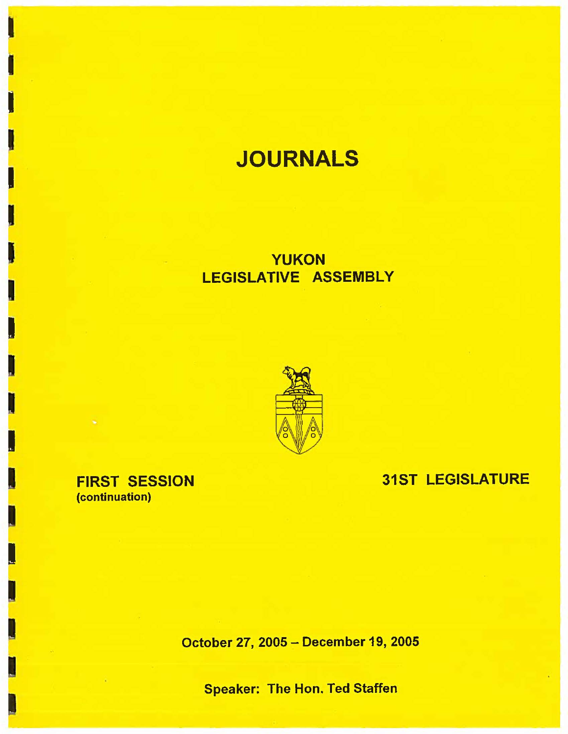# **JOURNALS**

# YUKON LEGISLATIVE ASSEMBLY



FIRST SESSION (continuation)

I

I

 $\blacksquare$ 

I

I

I

I

I

I

I

31ST LEGISLATURE

October 27, 2005 - December 19, 2005

Speaker: The Hon. Ted Staffen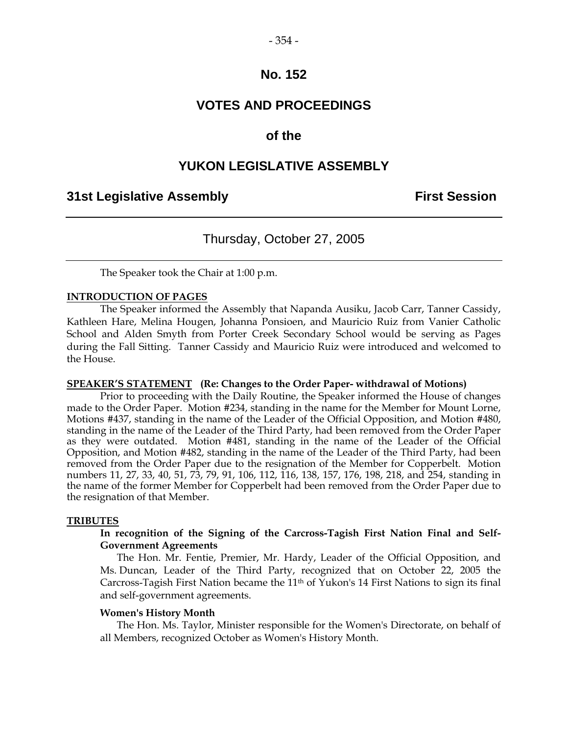# **VOTES AND PROCEEDINGS**

### **of the**

### **YUKON LEGISLATIVE ASSEMBLY**

### **31st Legislative Assembly First Session**

# Thursday, October 27, 2005

The Speaker took the Chair at 1:00 p.m.

### **INTRODUCTION OF PAGES**

 The Speaker informed the Assembly that Napanda Ausiku, Jacob Carr, Tanner Cassidy, Kathleen Hare, Melina Hougen, Johanna Ponsioen, and Mauricio Ruiz from Vanier Catholic School and Alden Smyth from Porter Creek Secondary School would be serving as Pages during the Fall Sitting. Tanner Cassidy and Mauricio Ruiz were introduced and welcomed to the House.

### **SPEAKER'S STATEMENT (Re: Changes to the Order Paper- withdrawal of Motions)**

 Prior to proceeding with the Daily Routine, the Speaker informed the House of changes made to the Order Paper. Motion #234, standing in the name for the Member for Mount Lorne, Motions #437, standing in the name of the Leader of the Official Opposition, and Motion #480, standing in the name of the Leader of the Third Party, had been removed from the Order Paper as they were outdated. Motion #481, standing in the name of the Leader of the Official Opposition, and Motion #482, standing in the name of the Leader of the Third Party, had been removed from the Order Paper due to the resignation of the Member for Copperbelt. Motion numbers 11, 27, 33, 40, 51, 73, 79, 91, 106, 112, 116, 138, 157, 176, 198, 218, and 254, standing in the name of the former Member for Copperbelt had been removed from the Order Paper due to the resignation of that Member.

### **TRIBUTES**

### **In recognition of the Signing of the Carcross-Tagish First Nation Final and Self-Government Agreements**

 The Hon. Mr. Fentie, Premier, Mr. Hardy, Leader of the Official Opposition, and Ms. Duncan, Leader of the Third Party, recognized that on October 22, 2005 the Carcross-Tagish First Nation became the 11th of Yukon's 14 First Nations to sign its final and self-government agreements.

#### **Women's History Month**

 The Hon. Ms. Taylor, Minister responsible for the Women's Directorate, on behalf of all Members, recognized October as Women's History Month.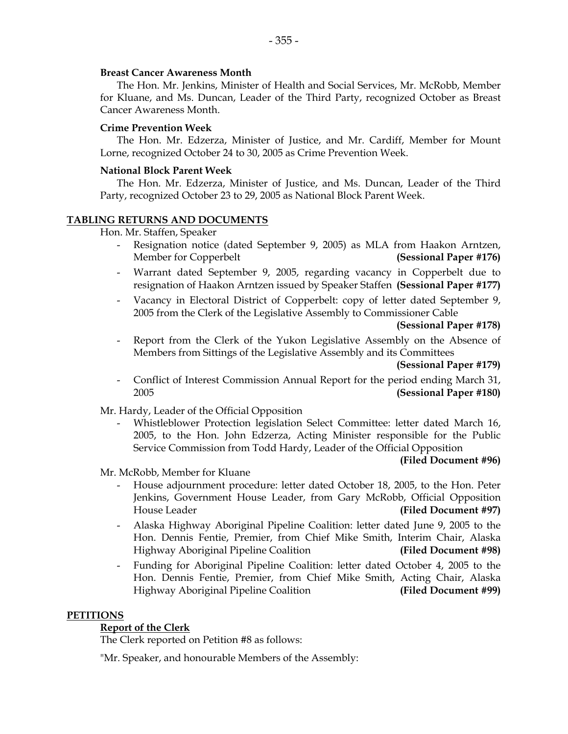### **Breast Cancer Awareness Month**

 The Hon. Mr. Jenkins, Minister of Health and Social Services, Mr. McRobb, Member for Kluane, and Ms. Duncan, Leader of the Third Party, recognized October as Breast Cancer Awareness Month.

### **Crime Prevention Week**

 The Hon. Mr. Edzerza, Minister of Justice, and Mr. Cardiff, Member for Mount Lorne, recognized October 24 to 30, 2005 as Crime Prevention Week.

### **National Block Parent Week**

 The Hon. Mr. Edzerza, Minister of Justice, and Ms. Duncan, Leader of the Third Party, recognized October 23 to 29, 2005 as National Block Parent Week.

### **TABLING RETURNS AND DOCUMENTS**

Hon. Mr. Staffen, Speaker

- Resignation notice (dated September 9, 2005) as MLA from Haakon Arntzen, Member for Copperbelt **(Sessional Paper #176)**
- Warrant dated September 9, 2005, regarding vacancy in Copperbelt due to resignation of Haakon Arntzen issued by Speaker Staffen **(Sessional Paper #177)**
- Vacancy in Electoral District of Copperbelt: copy of letter dated September 9, 2005 from the Clerk of the Legislative Assembly to Commissioner Cable

### **(Sessional Paper #178)**

Report from the Clerk of the Yukon Legislative Assembly on the Absence of Members from Sittings of the Legislative Assembly and its Committees

**(Sessional Paper #179)** 

 - Conflict of Interest Commission Annual Report for the period ending March 31, 2005 **(Sessional Paper #180)**

Mr. Hardy, Leader of the Official Opposition

 - Whistleblower Protection legislation Select Committee: letter dated March 16, 2005, to the Hon. John Edzerza, Acting Minister responsible for the Public Service Commission from Todd Hardy, Leader of the Official Opposition

### **(Filed Document #96)**

Mr. McRobb, Member for Kluane

- House adjournment procedure: letter dated October 18, 2005, to the Hon. Peter Jenkins, Government House Leader, from Gary McRobb, Official Opposition House Leader **(Filed Document #97)**
- Alaska Highway Aboriginal Pipeline Coalition: letter dated June 9, 2005 to the Hon. Dennis Fentie, Premier, from Chief Mike Smith, Interim Chair, Alaska Highway Aboriginal Pipeline Coalition **(Filed Document #98)**
- Funding for Aboriginal Pipeline Coalition: letter dated October 4, 2005 to the Hon. Dennis Fentie, Premier, from Chief Mike Smith, Acting Chair, Alaska Highway Aboriginal Pipeline Coalition **(Filed Document #99)**

### **PETITIONS**

### **Report of the Clerk**

The Clerk reported on Petition #8 as follows:

"Mr. Speaker, and honourable Members of the Assembly: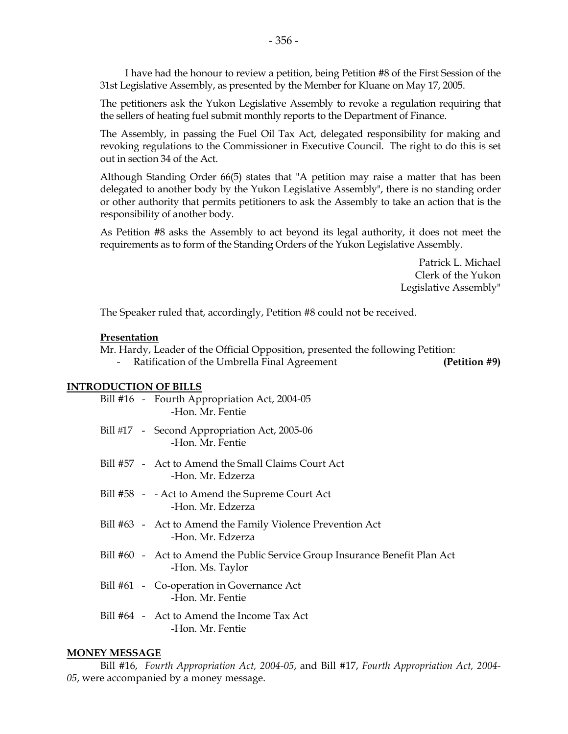I have had the honour to review a petition, being Petition #8 of the First Session of the 31st Legislative Assembly, as presented by the Member for Kluane on May 17, 2005.

 The petitioners ask the Yukon Legislative Assembly to revoke a regulation requiring that the sellers of heating fuel submit monthly reports to the Department of Finance.

 The Assembly, in passing the Fuel Oil Tax Act, delegated responsibility for making and revoking regulations to the Commissioner in Executive Council. The right to do this is set out in section 34 of the Act.

 Although Standing Order 66(5) states that "A petition may raise a matter that has been delegated to another body by the Yukon Legislative Assembly", there is no standing order or other authority that permits petitioners to ask the Assembly to take an action that is the responsibility of another body.

 As Petition #8 asks the Assembly to act beyond its legal authority, it does not meet the requirements as to form of the Standing Orders of the Yukon Legislative Assembly.

> Patrick L. Michael Clerk of the Yukon Legislative Assembly"

The Speaker ruled that, accordingly, Petition #8 could not be received.

### **Presentation**

 Mr. Hardy, Leader of the Official Opposition, presented the following Petition: Ratification of the Umbrella Final Agreement **(Petition #9)** 

### **INTRODUCTION OF BILLS**

|  | Bill #16 - Fourth Appropriation Act, 2004-05<br>-Hon. Mr. Fentie                                |
|--|-------------------------------------------------------------------------------------------------|
|  | Bill #17 - Second Appropriation Act, 2005-06<br>-Hon. Mr. Fentie                                |
|  | Bill #57 - Act to Amend the Small Claims Court Act<br>-Hon. Mr. Edzerza                         |
|  | Bill #58 - - Act to Amend the Supreme Court Act<br>-Hon. Mr. Edzerza                            |
|  | Bill #63 - Act to Amend the Family Violence Prevention Act<br>-Hon. Mr. Edzerza                 |
|  | Bill #60 - Act to Amend the Public Service Group Insurance Benefit Plan Act<br>-Hon. Ms. Taylor |
|  | Bill #61 - Co-operation in Governance Act<br>-Hon. Mr. Fentie                                   |
|  | Bill #64 - Act to Amend the Income Tax Act<br>-Hon. Mr. Fentie                                  |

#### **MONEY MESSAGE**

 Bill #16, *Fourth Appropriation Act, 2004-05*, and Bill #17, *Fourth Appropriation Act, 2004- 05*, were accompanied by a money message.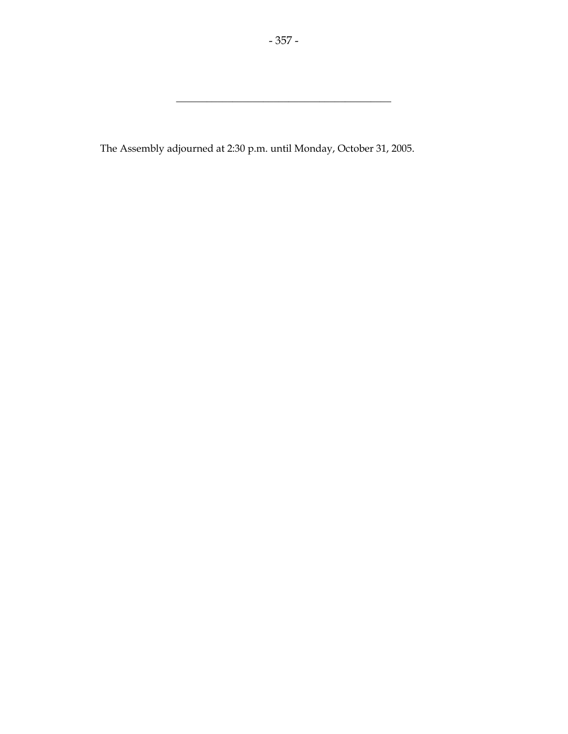\_\_\_\_\_\_\_\_\_\_\_\_\_\_\_\_\_\_\_\_\_\_\_\_\_\_\_\_\_\_\_\_\_\_\_\_\_\_\_\_\_\_

The Assembly adjourned at 2:30 p.m. until Monday, October 31, 2005.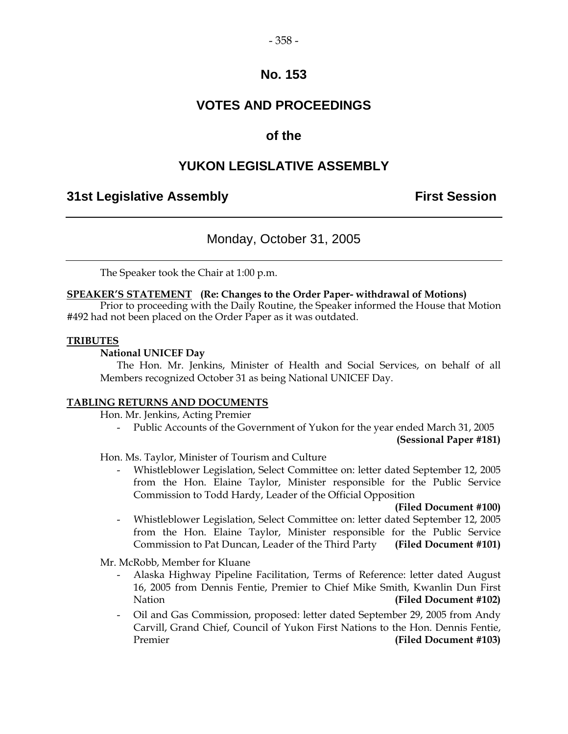# **VOTES AND PROCEEDINGS**

# **of the**

# **YUKON LEGISLATIVE ASSEMBLY**

# **31st Legislative Assembly First Session**

# Monday, October 31, 2005

The Speaker took the Chair at 1:00 p.m.

### **SPEAKER'S STATEMENT (Re: Changes to the Order Paper- withdrawal of Motions)**

 Prior to proceeding with the Daily Routine, the Speaker informed the House that Motion #492 had not been placed on the Order Paper as it was outdated.

### **TRIBUTES**

### **National UNICEF Day**

 The Hon. Mr. Jenkins, Minister of Health and Social Services, on behalf of all Members recognized October 31 as being National UNICEF Day.

### **TABLING RETURNS AND DOCUMENTS**

Hon. Mr. Jenkins, Acting Premier

- Public Accounts of the Government of Yukon for the year ended March 31, 2005

 **(Sessional Paper #181)** 

Hon. Ms. Taylor, Minister of Tourism and Culture

 - Whistleblower Legislation, Select Committee on: letter dated September 12, 2005 from the Hon. Elaine Taylor, Minister responsible for the Public Service Commission to Todd Hardy, Leader of the Official Opposition

### **(Filed Document #100)**

 - Whistleblower Legislation, Select Committee on: letter dated September 12, 2005 from the Hon. Elaine Taylor, Minister responsible for the Public Service Commission to Pat Duncan, Leader of the Third Party **(Filed Document #101)**

Mr. McRobb, Member for Kluane

- Alaska Highway Pipeline Facilitation, Terms of Reference: letter dated August 16, 2005 from Dennis Fentie, Premier to Chief Mike Smith, Kwanlin Dun First Nation **(Filed Document #102)**
- Oil and Gas Commission, proposed: letter dated September 29, 2005 from Andy Carvill, Grand Chief, Council of Yukon First Nations to the Hon. Dennis Fentie, Premier **(Filed Document #103)**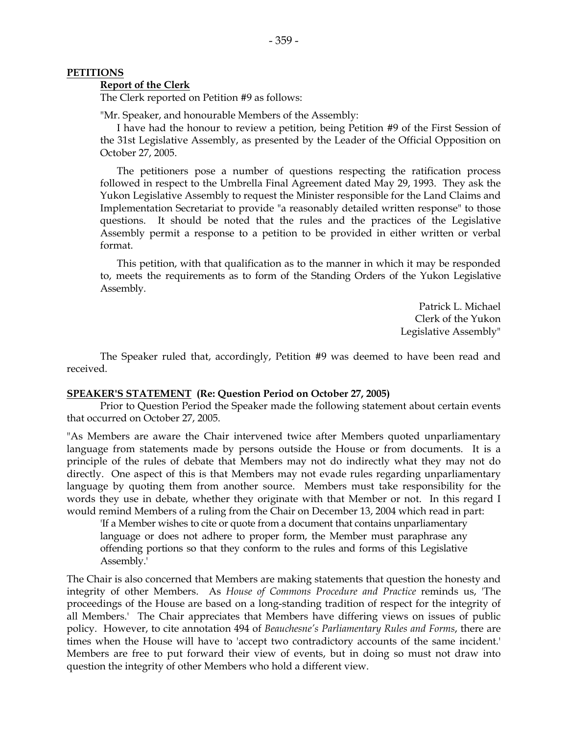### **PETITIONS**

### **Report of the Clerk**

The Clerk reported on Petition #9 as follows:

"Mr. Speaker, and honourable Members of the Assembly:

 I have had the honour to review a petition, being Petition #9 of the First Session of the 31st Legislative Assembly, as presented by the Leader of the Official Opposition on October 27, 2005.

 The petitioners pose a number of questions respecting the ratification process followed in respect to the Umbrella Final Agreement dated May 29, 1993. They ask the Yukon Legislative Assembly to request the Minister responsible for the Land Claims and Implementation Secretariat to provide "a reasonably detailed written response" to those questions. It should be noted that the rules and the practices of the Legislative Assembly permit a response to a petition to be provided in either written or verbal format.

 This petition, with that qualification as to the manner in which it may be responded to, meets the requirements as to form of the Standing Orders of the Yukon Legislative Assembly.

> Patrick L. Michael Clerk of the Yukon Legislative Assembly"

 The Speaker ruled that, accordingly, Petition #9 was deemed to have been read and received.

### **SPEAKER'S STATEMENT (Re: Question Period on October 27, 2005)**

 Prior to Question Period the Speaker made the following statement about certain events that occurred on October 27, 2005.

"As Members are aware the Chair intervened twice after Members quoted unparliamentary language from statements made by persons outside the House or from documents. It is a principle of the rules of debate that Members may not do indirectly what they may not do directly. One aspect of this is that Members may not evade rules regarding unparliamentary language by quoting them from another source. Members must take responsibility for the words they use in debate, whether they originate with that Member or not. In this regard I would remind Members of a ruling from the Chair on December 13, 2004 which read in part:

 'If a Member wishes to cite or quote from a document that contains unparliamentary language or does not adhere to proper form, the Member must paraphrase any offending portions so that they conform to the rules and forms of this Legislative Assembly.'

The Chair is also concerned that Members are making statements that question the honesty and integrity of other Members. As *House of Commons Procedure and Practice* reminds us, 'The proceedings of the House are based on a long-standing tradition of respect for the integrity of all Members.' The Chair appreciates that Members have differing views on issues of public policy. However, to cite annotation 494 of *Beauchesne's Parliamentary Rules and Forms*, there are times when the House will have to 'accept two contradictory accounts of the same incident.' Members are free to put forward their view of events, but in doing so must not draw into question the integrity of other Members who hold a different view.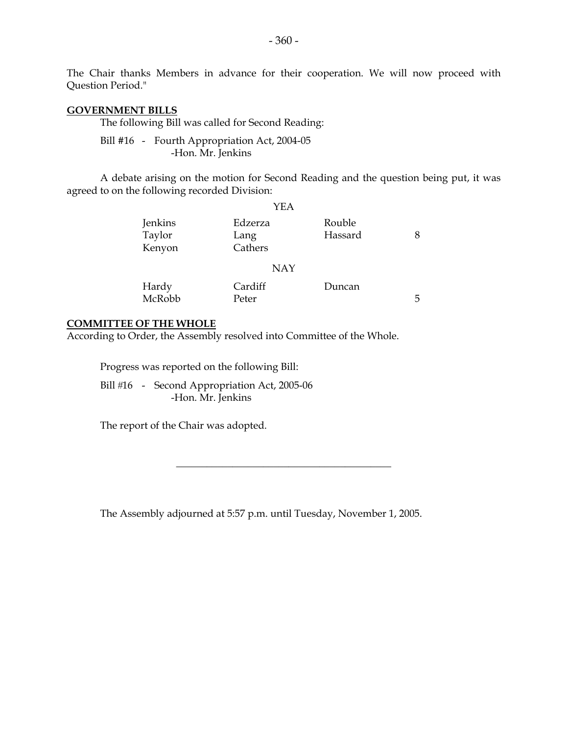The Chair thanks Members in advance for their cooperation. We will now proceed with Question Period."

#### **GOVERNMENT BILLS**

The following Bill was called for Second Reading:

 Bill #16 - Fourth Appropriation Act, 2004-05 -Hon. Mr. Jenkins

 A debate arising on the motion for Second Reading and the question being put, it was agreed to on the following recorded Division:

|                             | YEA                        |                   |   |
|-----------------------------|----------------------------|-------------------|---|
| Jenkins<br>Taylor<br>Kenyon | Edzerza<br>Lang<br>Cathers | Rouble<br>Hassard | 8 |
|                             | <b>NAY</b>                 |                   |   |
| Hardy<br>McRobb             | Cardiff<br>Peter           | Duncan            | 5 |

### **COMMITTEE OF THE WHOLE**

According to Order, the Assembly resolved into Committee of the Whole.

Progress was reported on the following Bill:

Bill #16 - Second Appropriation Act, 2005-06 -Hon. Mr. Jenkins

The report of the Chair was adopted.

The Assembly adjourned at 5:57 p.m. until Tuesday, November 1, 2005.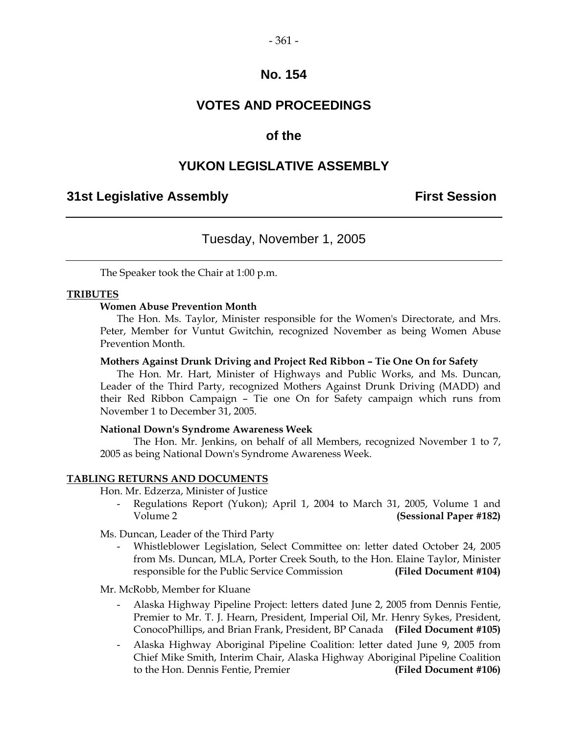# **VOTES AND PROCEEDINGS**

# **of the**

### **YUKON LEGISLATIVE ASSEMBLY**

### **31st Legislative Assembly First Session**

### Tuesday, November 1, 2005

The Speaker took the Chair at 1:00 p.m.

### **TRIBUTES**

### **Women Abuse Prevention Month**

 The Hon. Ms. Taylor, Minister responsible for the Women's Directorate, and Mrs. Peter, Member for Vuntut Gwitchin, recognized November as being Women Abuse Prevention Month.

### **Mothers Against Drunk Driving and Project Red Ribbon – Tie One On for Safety**

 The Hon. Mr. Hart, Minister of Highways and Public Works, and Ms. Duncan, Leader of the Third Party, recognized Mothers Against Drunk Driving (MADD) and their Red Ribbon Campaign – Tie one On for Safety campaign which runs from November 1 to December 31, 2005.

### **National Down's Syndrome Awareness Week**

 The Hon. Mr. Jenkins, on behalf of all Members, recognized November 1 to 7, 2005 as being National Down's Syndrome Awareness Week.

### **TABLING RETURNS AND DOCUMENTS**

Hon. Mr. Edzerza, Minister of Justice

Regulations Report (Yukon); April 1, 2004 to March 31, 2005, Volume 1 and Volume 2 **(Sessional Paper #182)** 

Ms. Duncan, Leader of the Third Party

 - Whistleblower Legislation, Select Committee on: letter dated October 24, 2005 from Ms. Duncan, MLA, Porter Creek South, to the Hon. Elaine Taylor, Minister responsible for the Public Service Commission **(Filed Document #104)** 

Mr. McRobb, Member for Kluane

- Alaska Highway Pipeline Project: letters dated June 2, 2005 from Dennis Fentie, Premier to Mr. T. J. Hearn, President, Imperial Oil, Mr. Henry Sykes, President, ConocoPhillips, and Brian Frank, President, BP Canada **(Filed Document #105)**
- Alaska Highway Aboriginal Pipeline Coalition: letter dated June 9, 2005 from Chief Mike Smith, Interim Chair, Alaska Highway Aboriginal Pipeline Coalition to the Hon. Dennis Fentie, Premier **(Filed Document #106)**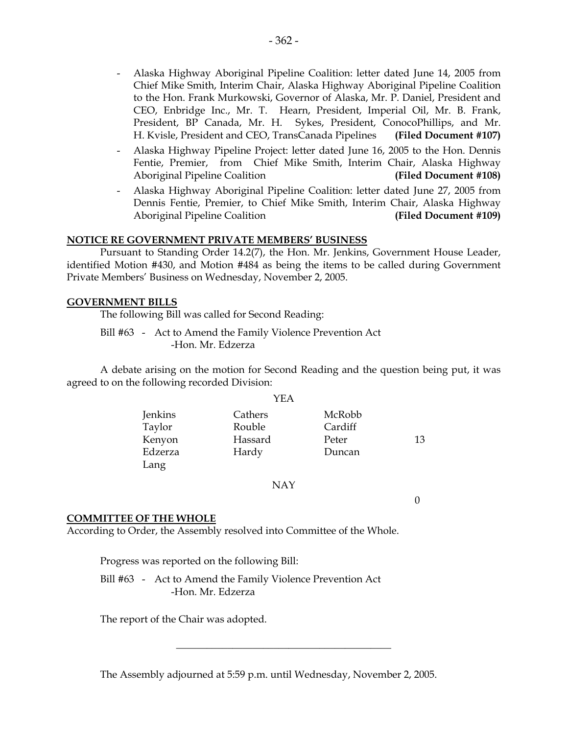- Alaska Highway Aboriginal Pipeline Coalition: letter dated June 14, 2005 from Chief Mike Smith, Interim Chair, Alaska Highway Aboriginal Pipeline Coalition to the Hon. Frank Murkowski, Governor of Alaska, Mr. P. Daniel, President and CEO, Enbridge Inc., Mr. T. Hearn, President, Imperial Oil, Mr. B. Frank, President, BP Canada, Mr. H. Sykes, President, ConocoPhillips, and Mr. H. Kvisle, President and CEO, TransCanada Pipelines **(Filed Document #107)**
- Alaska Highway Pipeline Project: letter dated June 16, 2005 to the Hon. Dennis Fentie, Premier, from Chief Mike Smith, Interim Chair, Alaska Highway Aboriginal Pipeline Coalition **(Filed Document #108)**
- Alaska Highway Aboriginal Pipeline Coalition: letter dated June 27, 2005 from Dennis Fentie, Premier, to Chief Mike Smith, Interim Chair, Alaska Highway Aboriginal Pipeline Coalition **(Filed Document #109)**

### **NOTICE RE GOVERNMENT PRIVATE MEMBERS' BUSINESS**

 Pursuant to Standing Order 14.2(7), the Hon. Mr. Jenkins, Government House Leader, identified Motion #430, and Motion #484 as being the items to be called during Government Private Members' Business on Wednesday, November 2, 2005.

### **GOVERNMENT BILLS**

The following Bill was called for Second Reading:

 Bill #63 - Act to Amend the Family Violence Prevention Act -Hon. Mr. Edzerza

 A debate arising on the motion for Second Reading and the question being put, it was agreed to on the following recorded Division:

|         | YEA     |         |    |
|---------|---------|---------|----|
| Jenkins | Cathers | McRobb  |    |
| Taylor  | Rouble  | Cardiff |    |
| Kenyon  | Hassard | Peter   | 13 |
| Edzerza | Hardy   | Duncan  |    |
| Lang    |         |         |    |

NAY

0

### **COMMITTEE OF THE WHOLE**

According to Order, the Assembly resolved into Committee of the Whole.

Progress was reported on the following Bill:

 Bill #63 - Act to Amend the Family Violence Prevention Act -Hon. Mr. Edzerza

The report of the Chair was adopted.

The Assembly adjourned at 5:59 p.m. until Wednesday, November 2, 2005.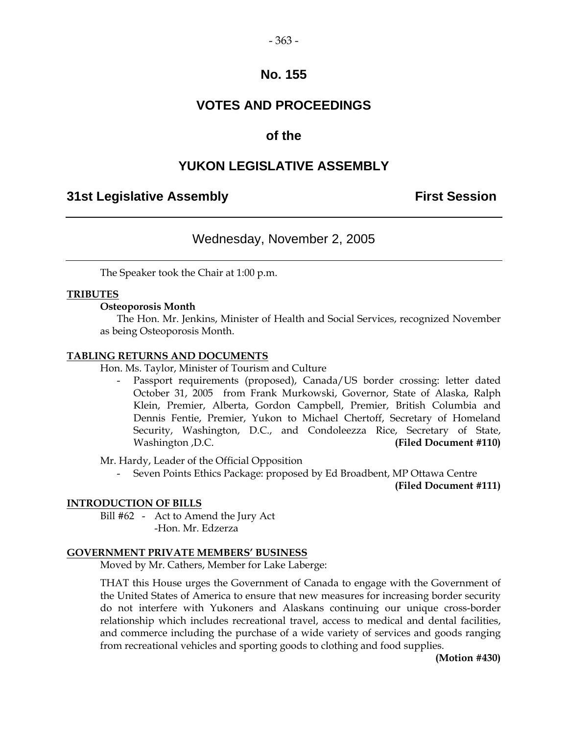# **VOTES AND PROCEEDINGS**

# **of the**

# **YUKON LEGISLATIVE ASSEMBLY**

# **31st Legislative Assembly First Session**

# Wednesday, November 2, 2005

The Speaker took the Chair at 1:00 p.m.

### **TRIBUTES**

### **Osteoporosis Month**

 The Hon. Mr. Jenkins, Minister of Health and Social Services, recognized November as being Osteoporosis Month.

### **TABLING RETURNS AND DOCUMENTS**

Hon. Ms. Taylor, Minister of Tourism and Culture

Passport requirements (proposed), Canada/US border crossing: letter dated October 31, 2005 from Frank Murkowski, Governor, State of Alaska, Ralph Klein, Premier, Alberta, Gordon Campbell, Premier, British Columbia and Dennis Fentie, Premier, Yukon to Michael Chertoff, Secretary of Homeland Security, Washington, D.C., and Condoleezza Rice, Secretary of State, Washington ,D.C. **(Filed Document #110)** 

Mr. Hardy, Leader of the Official Opposition

Seven Points Ethics Package: proposed by Ed Broadbent, MP Ottawa Centre

**(Filed Document #111)** 

### **INTRODUCTION OF BILLS**

 Bill #62 - Act to Amend the Jury Act -Hon. Mr. Edzerza

### **GOVERNMENT PRIVATE MEMBERS' BUSINESS**

Moved by Mr. Cathers, Member for Lake Laberge:

 THAT this House urges the Government of Canada to engage with the Government of the United States of America to ensure that new measures for increasing border security do not interfere with Yukoners and Alaskans continuing our unique cross-border relationship which includes recreational travel, access to medical and dental facilities, and commerce including the purchase of a wide variety of services and goods ranging from recreational vehicles and sporting goods to clothing and food supplies.

 **(Motion #430)**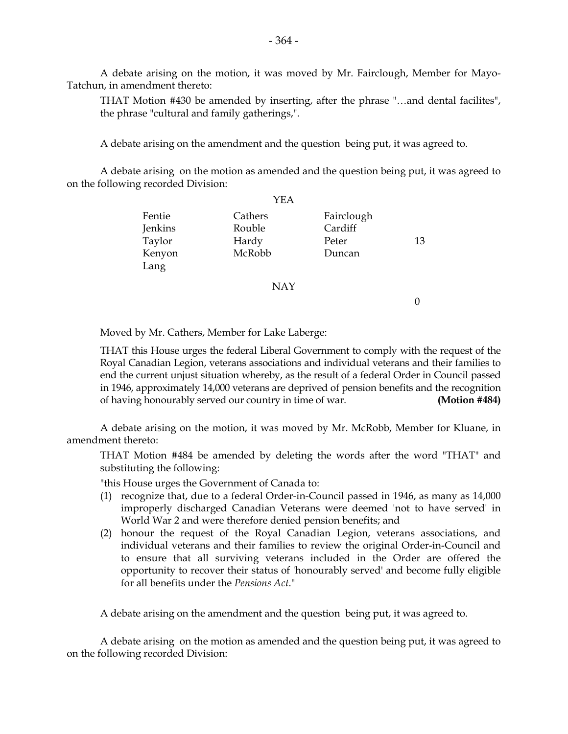A debate arising on the motion, it was moved by Mr. Fairclough, Member for Mayo-Tatchun, in amendment thereto:

 THAT Motion #430 be amended by inserting, after the phrase "…and dental facilites", the phrase "cultural and family gatherings,".

A debate arising on the amendment and the question being put, it was agreed to.

 A debate arising on the motion as amended and the question being put, it was agreed to on the following recorded Division:

|                                       | YEA                                  |                                          |    |
|---------------------------------------|--------------------------------------|------------------------------------------|----|
| Fentie<br>Jenkins<br>Taylor<br>Kenyon | Cathers<br>Rouble<br>Hardy<br>McRobb | Fairclough<br>Cardiff<br>Peter<br>Duncan | 13 |
| Lang                                  |                                      |                                          |    |
|                                       | <b>NAY</b>                           |                                          |    |
|                                       |                                      |                                          |    |

Moved by Mr. Cathers, Member for Lake Laberge:

 THAT this House urges the federal Liberal Government to comply with the request of the Royal Canadian Legion, veterans associations and individual veterans and their families to end the current unjust situation whereby, as the result of a federal Order in Council passed in 1946, approximately 14,000 veterans are deprived of pension benefits and the recognition of having honourably served our country in time of war. **(Motion #484)** 

 A debate arising on the motion, it was moved by Mr. McRobb, Member for Kluane, in amendment thereto:

 THAT Motion #484 be amended by deleting the words after the word "THAT" and substituting the following:

"this House urges the Government of Canada to:

- (1) recognize that, due to a federal Order-in-Council passed in 1946, as many as 14,000 improperly discharged Canadian Veterans were deemed 'not to have served' in World War 2 and were therefore denied pension benefits; and
- (2) honour the request of the Royal Canadian Legion, veterans associations, and individual veterans and their families to review the original Order-in-Council and to ensure that all surviving veterans included in the Order are offered the opportunity to recover their status of 'honourably served' and become fully eligible for all benefits under the *Pensions Act*."

A debate arising on the amendment and the question being put, it was agreed to.

 A debate arising on the motion as amended and the question being put, it was agreed to on the following recorded Division: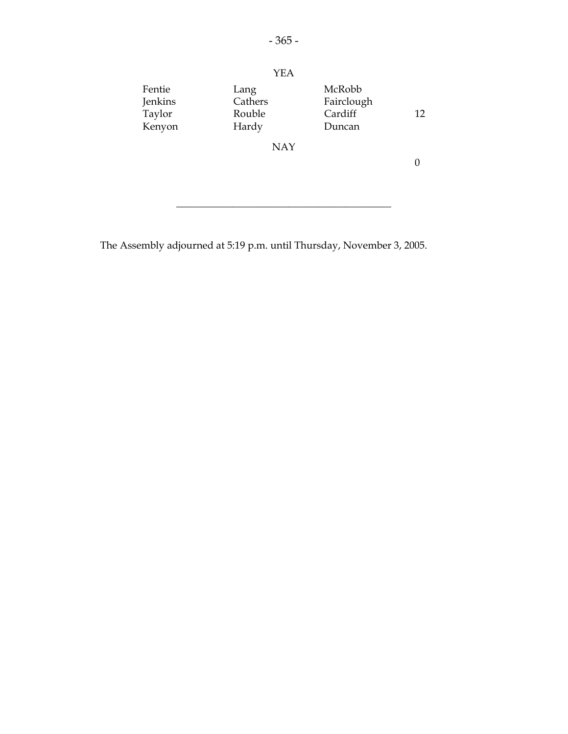

The Assembly adjourned at 5:19 p.m. until Thursday, November 3, 2005.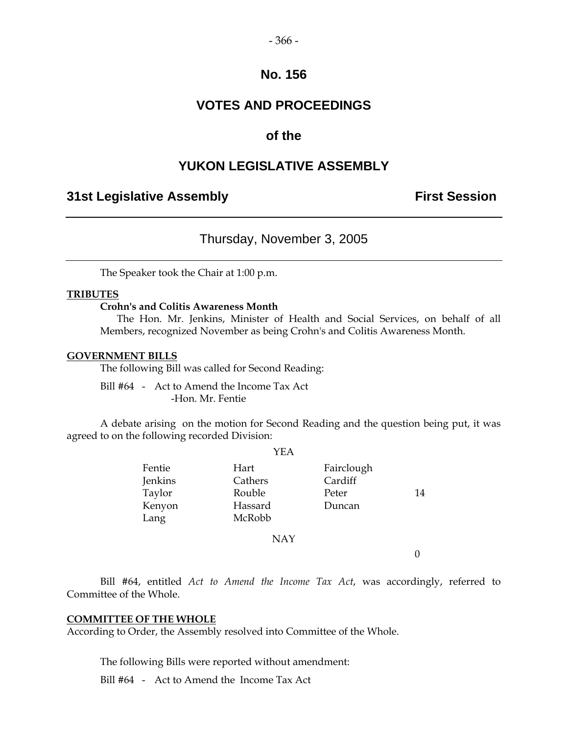### $-366-$

### **No. 156**

# **VOTES AND PROCEEDINGS**

# **of the**

# **YUKON LEGISLATIVE ASSEMBLY**

# **31st Legislative Assembly The Contract Session**

### Thursday, November 3, 2005

The Speaker took the Chair at 1:00 p.m.

### **TRIBUTES**

### **Crohn's and Colitis Awareness Month**

 The Hon. Mr. Jenkins, Minister of Health and Social Services, on behalf of all Members, recognized November as being Crohn's and Colitis Awareness Month.

#### **GOVERNMENT BILLS**

The following Bill was called for Second Reading:

 Bill #64 - Act to Amend the Income Tax Act -Hon. Mr. Fentie

 A debate arising on the motion for Second Reading and the question being put, it was agreed to on the following recorded Division:

 $YETA$ 

|         | I EA       |            |    |
|---------|------------|------------|----|
| Fentie  | Hart       | Fairclough |    |
| Jenkins | Cathers    | Cardiff    |    |
| Taylor  | Rouble     | Peter      | 14 |
| Kenyon  | Hassard    | Duncan     |    |
| Lang    | McRobb     |            |    |
|         | <b>NAY</b> |            |    |
|         |            |            |    |
|         |            |            |    |

 Bill #64, entitled *Act to Amend the Income Tax Act*, was accordingly, referred to Committee of the Whole.

### **COMMITTEE OF THE WHOLE**

According to Order, the Assembly resolved into Committee of the Whole.

The following Bills were reported without amendment:

Bill #64 - Act to Amend the Income Tax Act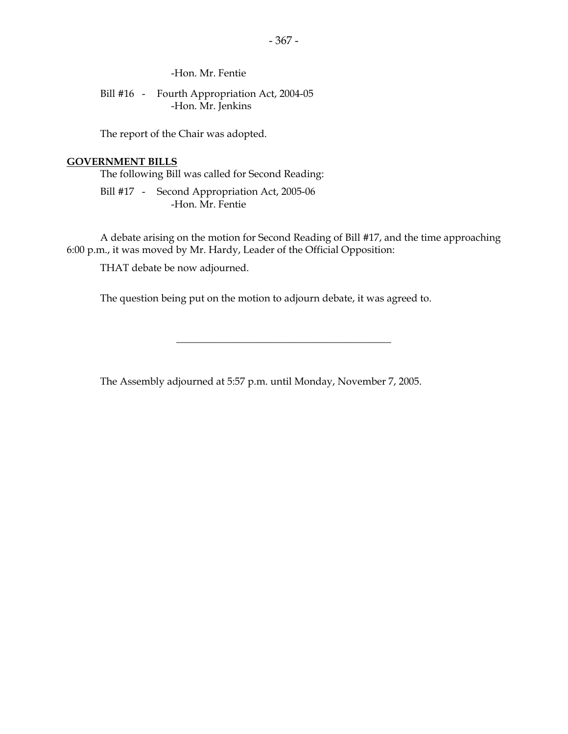-Hon. Mr. Fentie

 Bill #16 - Fourth Appropriation Act, 2004-05 -Hon. Mr. Jenkins

The report of the Chair was adopted.

### **GOVERNMENT BILLS**

The following Bill was called for Second Reading:

 Bill #17 - Second Appropriation Act, 2005-06 -Hon. Mr. Fentie

 A debate arising on the motion for Second Reading of Bill #17, and the time approaching 6:00 p.m., it was moved by Mr. Hardy, Leader of the Official Opposition:

\_\_\_\_\_\_\_\_\_\_\_\_\_\_\_\_\_\_\_\_\_\_\_\_\_\_\_\_\_\_\_\_\_\_\_\_\_\_\_\_\_\_

THAT debate be now adjourned.

The question being put on the motion to adjourn debate, it was agreed to.

The Assembly adjourned at 5:57 p.m. until Monday, November 7, 2005.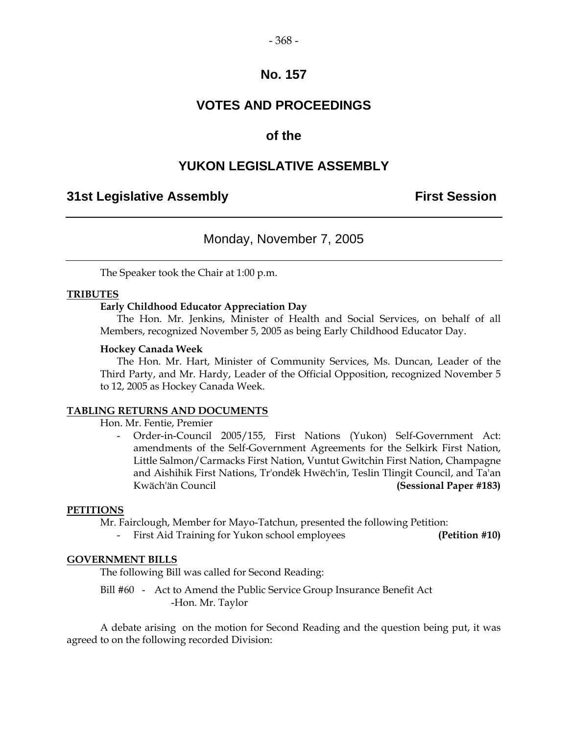# **VOTES AND PROCEEDINGS**

# **of the**

# **YUKON LEGISLATIVE ASSEMBLY**

# **31st Legislative Assembly First Session**

# Monday, November 7, 2005

The Speaker took the Chair at 1:00 p.m.

### **TRIBUTES**

### **Early Childhood Educator Appreciation Day**

 The Hon. Mr. Jenkins, Minister of Health and Social Services, on behalf of all Members, recognized November 5, 2005 as being Early Childhood Educator Day.

### **Hockey Canada Week**

 The Hon. Mr. Hart, Minister of Community Services, Ms. Duncan, Leader of the Third Party, and Mr. Hardy, Leader of the Official Opposition, recognized November 5 to 12, 2005 as Hockey Canada Week.

### **TABLING RETURNS AND DOCUMENTS**

Hon. Mr. Fentie, Premier

 - Order-in-Council 2005/155, First Nations (Yukon) Self-Government Act: amendments of the Self-Government Agreements for the Selkirk First Nation, Little Salmon/Carmacks First Nation, Vuntut Gwitchin First Nation, Champagne and Aishihik First Nations, Tr'ondëk Hwëch'in, Teslin Tlingit Council, and Ta'an Kwäch'än Council **(Sessional Paper #183)** 

### **PETITIONS**

Mr. Fairclough, Member for Mayo-Tatchun, presented the following Petition:

First Aid Training for Yukon school employees **(Petition #10)** 

### **GOVERNMENT BILLS**

The following Bill was called for Second Reading:

 Bill #60 - Act to Amend the Public Service Group Insurance Benefit Act -Hon. Mr. Taylor

 A debate arising on the motion for Second Reading and the question being put, it was agreed to on the following recorded Division: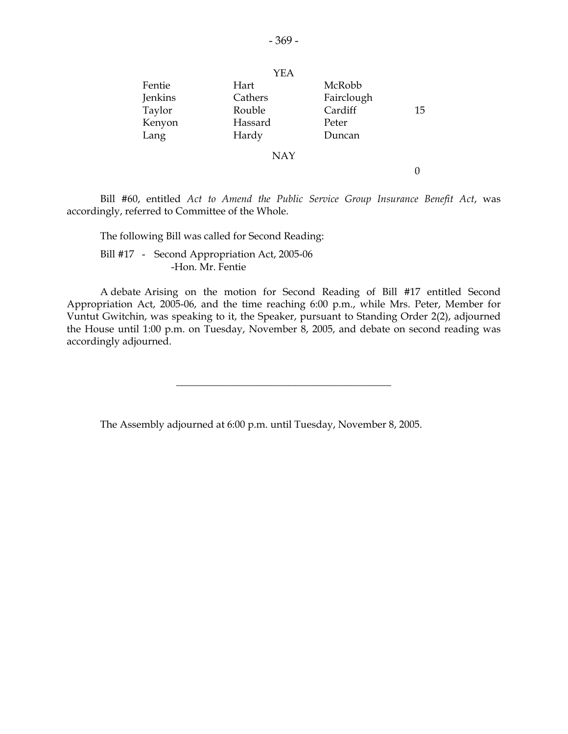|         | YEA        |            |    |
|---------|------------|------------|----|
| Fentie  | Hart       | McRobb     |    |
| Jenkins | Cathers    | Fairclough |    |
| Taylor  | Rouble     | Cardiff    | 15 |
| Kenyon  | Hassard    | Peter      |    |
| Lang    | Hardy      | Duncan     |    |
|         | <b>NAY</b> |            |    |
|         |            |            |    |

 Bill #60, entitled *Act to Amend the Public Service Group Insurance Benefit Act*, was accordingly, referred to Committee of the Whole.

 The following Bill was called for Second Reading: Bill #17 - Second Appropriation Act, 2005-06 -Hon. Mr. Fentie

 A debate Arising on the motion for Second Reading of Bill #17 entitled Second Appropriation Act, 2005-06, and the time reaching 6:00 p.m., while Mrs. Peter, Member for Vuntut Gwitchin, was speaking to it, the Speaker, pursuant to Standing Order 2(2), adjourned the House until 1:00 p.m. on Tuesday, November 8, 2005, and debate on second reading was accordingly adjourned.

\_\_\_\_\_\_\_\_\_\_\_\_\_\_\_\_\_\_\_\_\_\_\_\_\_\_\_\_\_\_\_\_\_\_\_\_\_\_\_\_\_\_

The Assembly adjourned at 6:00 p.m. until Tuesday, November 8, 2005.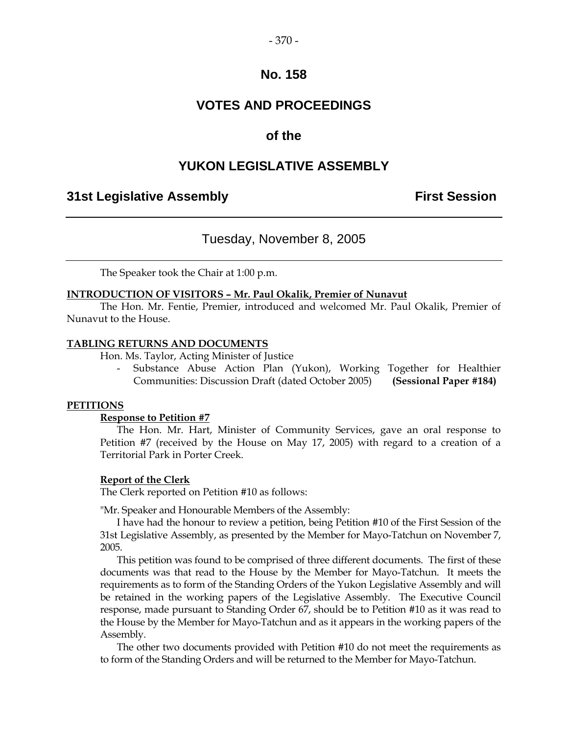# **VOTES AND PROCEEDINGS**

# **of the**

# **YUKON LEGISLATIVE ASSEMBLY**

# **31st Legislative Assembly First Session**

# Tuesday, November 8, 2005

The Speaker took the Chair at 1:00 p.m.

### **INTRODUCTION OF VISITORS – Mr. Paul Okalik, Premier of Nunavut**

 The Hon. Mr. Fentie, Premier, introduced and welcomed Mr. Paul Okalik, Premier of Nunavut to the House.

### **TABLING RETURNS AND DOCUMENTS**

Hon. Ms. Taylor, Acting Minister of Justice

Substance Abuse Action Plan (Yukon), Working Together for Healthier Communities: Discussion Draft (dated October 2005) **(Sessional Paper #184)** 

### **PETITIONS**

### **Response to Petition #7**

The Hon. Mr. Hart, Minister of Community Services, gave an oral response to Petition #7 (received by the House on May 17, 2005) with regard to a creation of a Territorial Park in Porter Creek.

### **Report of the Clerk**

The Clerk reported on Petition #10 as follows:

"Mr. Speaker and Honourable Members of the Assembly:

 I have had the honour to review a petition, being Petition #10 of the First Session of the 31st Legislative Assembly, as presented by the Member for Mayo-Tatchun on November 7, 2005.

 This petition was found to be comprised of three different documents. The first of these documents was that read to the House by the Member for Mayo-Tatchun. It meets the requirements as to form of the Standing Orders of the Yukon Legislative Assembly and will be retained in the working papers of the Legislative Assembly. The Executive Council response, made pursuant to Standing Order 67, should be to Petition #10 as it was read to the House by the Member for Mayo-Tatchun and as it appears in the working papers of the Assembly.

 The other two documents provided with Petition #10 do not meet the requirements as to form of the Standing Orders and will be returned to the Member for Mayo-Tatchun.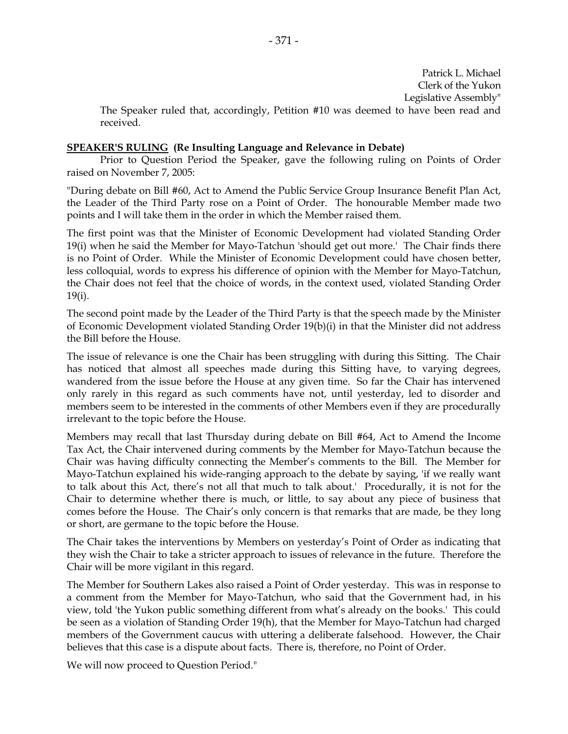Patrick L. Michael Clerk of the Yukon Legislative Assembly"

 The Speaker ruled that, accordingly, Petition #10 was deemed to have been read and received.

### **SPEAKER'S RULING (Re Insulting Language and Relevance in Debate)**

 Prior to Question Period the Speaker, gave the following ruling on Points of Order raised on November 7, 2005:

"During debate on Bill #60, Act to Amend the Public Service Group Insurance Benefit Plan Act, the Leader of the Third Party rose on a Point of Order. The honourable Member made two points and I will take them in the order in which the Member raised them.

The first point was that the Minister of Economic Development had violated Standing Order 19(i) when he said the Member for Mayo-Tatchun 'should get out more.' The Chair finds there is no Point of Order. While the Minister of Economic Development could have chosen better, less colloquial, words to express his difference of opinion with the Member for Mayo-Tatchun, the Chair does not feel that the choice of words, in the context used, violated Standing Order 19(i).

The second point made by the Leader of the Third Party is that the speech made by the Minister of Economic Development violated Standing Order 19(b)(i) in that the Minister did not address the Bill before the House.

The issue of relevance is one the Chair has been struggling with during this Sitting. The Chair has noticed that almost all speeches made during this Sitting have, to varying degrees, wandered from the issue before the House at any given time. So far the Chair has intervened only rarely in this regard as such comments have not, until yesterday, led to disorder and members seem to be interested in the comments of other Members even if they are procedurally irrelevant to the topic before the House.

Members may recall that last Thursday during debate on Bill #64, Act to Amend the Income Tax Act, the Chair intervened during comments by the Member for Mayo-Tatchun because the Chair was having difficulty connecting the Member's comments to the Bill. The Member for Mayo-Tatchun explained his wide-ranging approach to the debate by saying, 'if we really want to talk about this Act, there's not all that much to talk about.' Procedurally, it is not for the Chair to determine whether there is much, or little, to say about any piece of business that comes before the House. The Chair's only concern is that remarks that are made, be they long or short, are germane to the topic before the House.

The Chair takes the interventions by Members on yesterday's Point of Order as indicating that they wish the Chair to take a stricter approach to issues of relevance in the future. Therefore the Chair will be more vigilant in this regard.

The Member for Southern Lakes also raised a Point of Order yesterday. This was in response to a comment from the Member for Mayo-Tatchun, who said that the Government had, in his view, told 'the Yukon public something different from what's already on the books.' This could be seen as a violation of Standing Order 19(h), that the Member for Mayo-Tatchun had charged members of the Government caucus with uttering a deliberate falsehood. However, the Chair believes that this case is a dispute about facts. There is, therefore, no Point of Order.

We will now proceed to Question Period."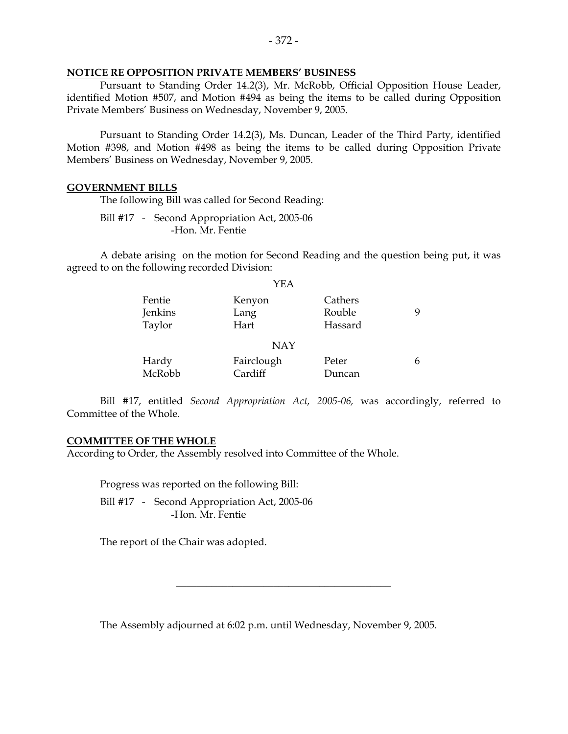### **NOTICE RE OPPOSITION PRIVATE MEMBERS' BUSINESS**

 Pursuant to Standing Order 14.2(3), Mr. McRobb, Official Opposition House Leader, identified Motion #507, and Motion #494 as being the items to be called during Opposition Private Members' Business on Wednesday, November 9, 2005.

 Pursuant to Standing Order 14.2(3), Ms. Duncan, Leader of the Third Party, identified Motion #398, and Motion #498 as being the items to be called during Opposition Private Members' Business on Wednesday, November 9, 2005.

#### **GOVERNMENT BILLS**

The following Bill was called for Second Reading:

 Bill #17 - Second Appropriation Act, 2005-06 -Hon. Mr. Fentie

 A debate arising on the motion for Second Reading and the question being put, it was agreed to on the following recorded Division:

|         | YEA        |         |  |
|---------|------------|---------|--|
| Fentie  | Kenyon     | Cathers |  |
| Jenkins | Lang       | Rouble  |  |
| Taylor  | Hart       | Hassard |  |
|         | <b>NAY</b> |         |  |
| Hardy   | Fairclough | Peter   |  |
| McRobb  | Cardiff    | Duncan  |  |

 Bill #17, entitled *Second Appropriation Act, 2005-06,* was accordingly, referred to Committee of the Whole.

### **COMMITTEE OF THE WHOLE**

According to Order, the Assembly resolved into Committee of the Whole.

Progress was reported on the following Bill:

 Bill #17 - Second Appropriation Act, 2005-06 -Hon. Mr. Fentie

The report of the Chair was adopted.

The Assembly adjourned at 6:02 p.m. until Wednesday, November 9, 2005.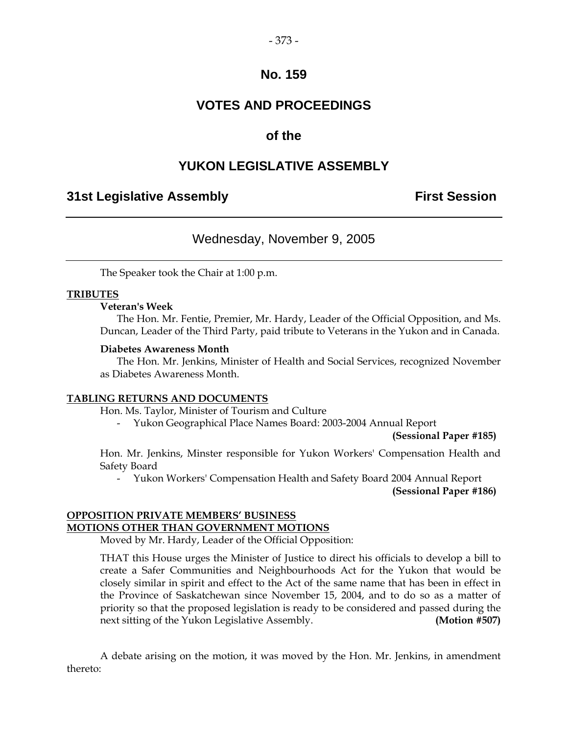# **VOTES AND PROCEEDINGS**

# **of the**

# **YUKON LEGISLATIVE ASSEMBLY**

# **31st Legislative Assembly First Session**

# Wednesday, November 9, 2005

The Speaker took the Chair at 1:00 p.m.

### **TRIBUTES**

### **Veteran's Week**

 The Hon. Mr. Fentie, Premier, Mr. Hardy, Leader of the Official Opposition, and Ms. Duncan, Leader of the Third Party, paid tribute to Veterans in the Yukon and in Canada.

### **Diabetes Awareness Month**

 The Hon. Mr. Jenkins, Minister of Health and Social Services, recognized November as Diabetes Awareness Month.

### **TABLING RETURNS AND DOCUMENTS**

Hon. Ms. Taylor, Minister of Tourism and Culture

- Yukon Geographical Place Names Board: 2003-2004 Annual Report

 **(Sessional Paper #185)** 

 Hon. Mr. Jenkins, Minster responsible for Yukon Workers' Compensation Health and Safety Board

- Yukon Workers' Compensation Health and Safety Board 2004 Annual Report

 **(Sessional Paper #186)** 

### **OPPOSITION PRIVATE MEMBERS' BUSINESS MOTIONS OTHER THAN GOVERNMENT MOTIONS**

Moved by Mr. Hardy, Leader of the Official Opposition:

 THAT this House urges the Minister of Justice to direct his officials to develop a bill to create a Safer Communities and Neighbourhoods Act for the Yukon that would be closely similar in spirit and effect to the Act of the same name that has been in effect in the Province of Saskatchewan since November 15, 2004, and to do so as a matter of priority so that the proposed legislation is ready to be considered and passed during the next sitting of the Yukon Legislative Assembly. **(Motion #507)** 

 A debate arising on the motion, it was moved by the Hon. Mr. Jenkins, in amendment thereto: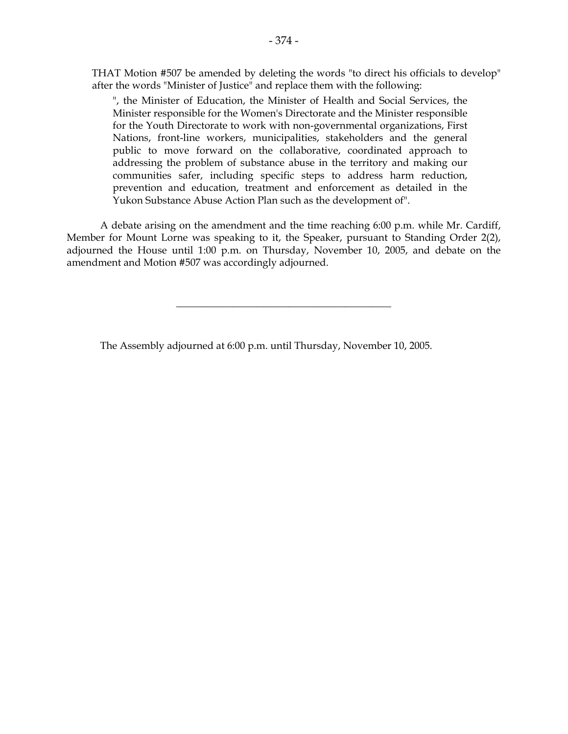THAT Motion #507 be amended by deleting the words "to direct his officials to develop" after the words "Minister of Justice" and replace them with the following:

 ", the Minister of Education, the Minister of Health and Social Services, the Minister responsible for the Women's Directorate and the Minister responsible for the Youth Directorate to work with non-governmental organizations, First Nations, front-line workers, municipalities, stakeholders and the general public to move forward on the collaborative, coordinated approach to addressing the problem of substance abuse in the territory and making our communities safer, including specific steps to address harm reduction, prevention and education, treatment and enforcement as detailed in the Yukon Substance Abuse Action Plan such as the development of".

 A debate arising on the amendment and the time reaching 6:00 p.m. while Mr. Cardiff, Member for Mount Lorne was speaking to it, the Speaker, pursuant to Standing Order 2(2), adjourned the House until 1:00 p.m. on Thursday, November 10, 2005, and debate on the amendment and Motion #507 was accordingly adjourned.

\_\_\_\_\_\_\_\_\_\_\_\_\_\_\_\_\_\_\_\_\_\_\_\_\_\_\_\_\_\_\_\_\_\_\_\_\_\_\_\_\_\_

The Assembly adjourned at 6:00 p.m. until Thursday, November 10, 2005.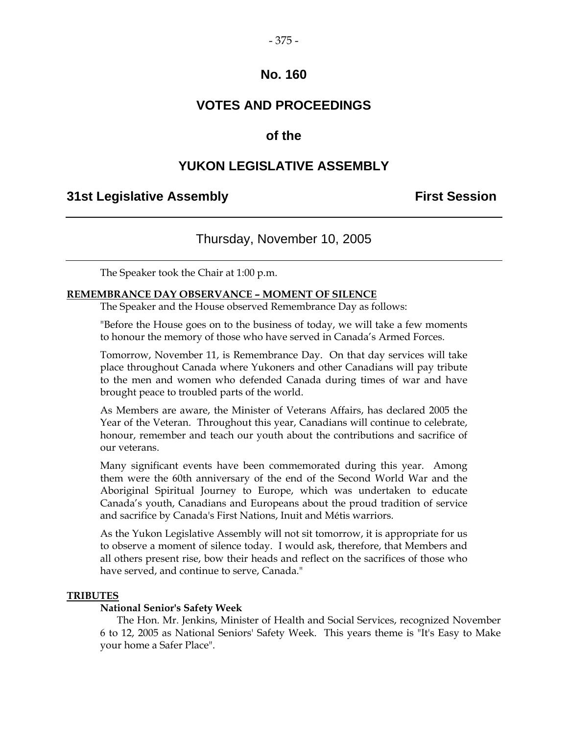### $-375-$

# **No. 160**

# **VOTES AND PROCEEDINGS**

# **of the**

# **YUKON LEGISLATIVE ASSEMBLY**

### **31st Legislative Assembly First Session**

### Thursday, November 10, 2005

The Speaker took the Chair at 1:00 p.m.

#### **REMEMBRANCE DAY OBSERVANCE – MOMENT OF SILENCE**

The Speaker and the House observed Remembrance Day as follows:

"Before the House goes on to the business of today, we will take a few moments to honour the memory of those who have served in Canada's Armed Forces.

Tomorrow, November 11, is Remembrance Day. On that day services will take place throughout Canada where Yukoners and other Canadians will pay tribute to the men and women who defended Canada during times of war and have brought peace to troubled parts of the world.

As Members are aware, the Minister of Veterans Affairs, has declared 2005 the Year of the Veteran. Throughout this year, Canadians will continue to celebrate, honour, remember and teach our youth about the contributions and sacrifice of our veterans.

Many significant events have been commemorated during this year. Among them were the 60th anniversary of the end of the Second World War and the Aboriginal Spiritual Journey to Europe, which was undertaken to educate Canada's youth, Canadians and Europeans about the proud tradition of service and sacrifice by Canada's First Nations, Inuit and Métis warriors.

As the Yukon Legislative Assembly will not sit tomorrow, it is appropriate for us to observe a moment of silence today. I would ask, therefore, that Members and all others present rise, bow their heads and reflect on the sacrifices of those who have served, and continue to serve, Canada."

### **TRIBUTES**

#### **National Senior's Safety Week**

 The Hon. Mr. Jenkins, Minister of Health and Social Services, recognized November 6 to 12, 2005 as National Seniors' Safety Week. This years theme is "It's Easy to Make your home a Safer Place".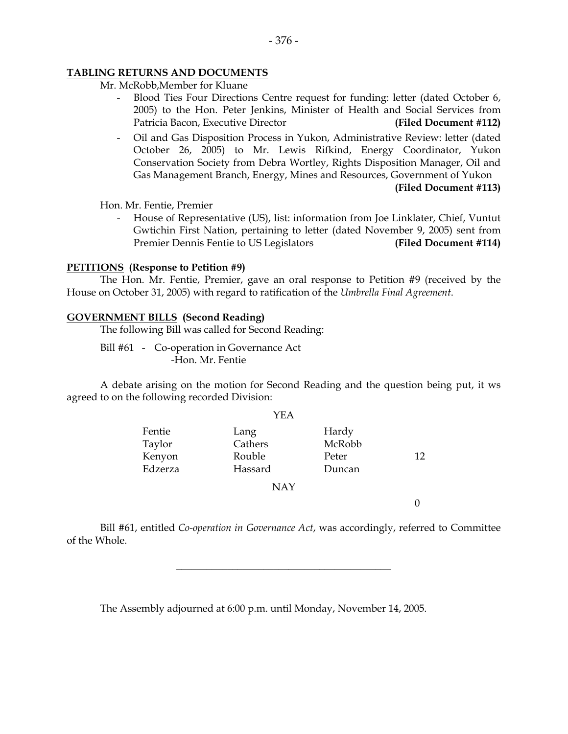### **TABLING RETURNS AND DOCUMENTS**

Mr. McRobb,Member for Kluane

- Blood Ties Four Directions Centre request for funding: letter (dated October 6, 2005) to the Hon. Peter Jenkins, Minister of Health and Social Services from Patricia Bacon, Executive Director **(Filed Document #112)**
- Oil and Gas Disposition Process in Yukon, Administrative Review: letter (dated October 26, 2005) to Mr. Lewis Rifkind, Energy Coordinator, Yukon Conservation Society from Debra Wortley, Rights Disposition Manager, Oil and Gas Management Branch, Energy, Mines and Resources, Government of Yukon

**(Filed Document #113)**

Hon. Mr. Fentie, Premier

 - House of Representative (US), list: information from Joe Linklater, Chief, Vuntut Gwtichin First Nation, pertaining to letter (dated November 9, 2005) sent from Premier Dennis Fentie to US Legislators **(Filed Document #114)**

### **PETITIONS (Response to Petition #9)**

The Hon. Mr. Fentie, Premier, gave an oral response to Petition #9 (received by the House on October 31, 2005) with regard to ratification of the *Umbrella Final Agreement*.

### **GOVERNMENT BILLS (Second Reading)**

The following Bill was called for Second Reading:

Bill #61 - Co-operation in Governance Act -Hon. Mr. Fentie

 A debate arising on the motion for Second Reading and the question being put, it ws agreed to on the following recorded Division:

 $\sim$ 

|         | YEA        |        |    |
|---------|------------|--------|----|
| Fentie  | Lang       | Hardy  |    |
| Taylor  | Cathers    | McRobb |    |
| Kenyon  | Rouble     | Peter  | 12 |
| Edzerza | Hassard    | Duncan |    |
|         | <b>NAY</b> |        |    |

0

 Bill #61, entitled *Co-operation in Governance Act*, was accordingly, referred to Committee of the Whole.

\_\_\_\_\_\_\_\_\_\_\_\_\_\_\_\_\_\_\_\_\_\_\_\_\_\_\_\_\_\_\_\_\_\_\_\_\_\_\_\_\_\_

The Assembly adjourned at 6:00 p.m. until Monday, November 14, 2005.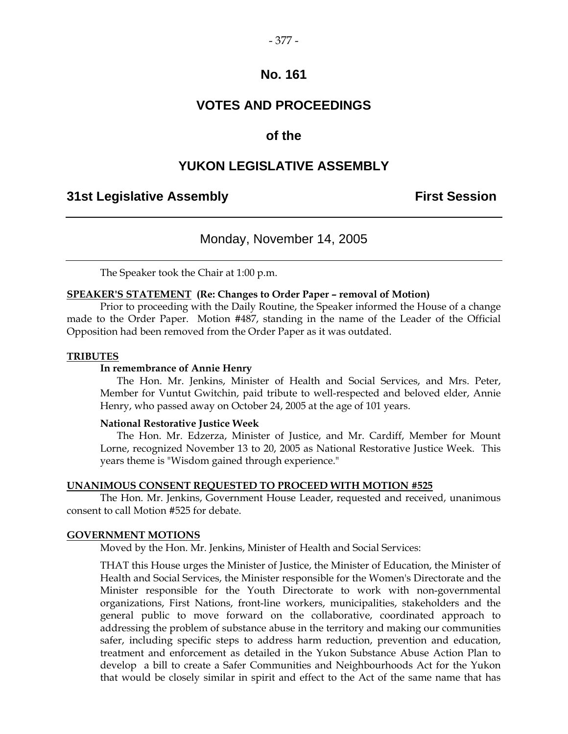# **VOTES AND PROCEEDINGS**

# **of the**

### **YUKON LEGISLATIVE ASSEMBLY**

### **31st Legislative Assembly First Session**

### Monday, November 14, 2005

The Speaker took the Chair at 1:00 p.m.

#### **SPEAKER'S STATEMENT (Re: Changes to Order Paper – removal of Motion)**

 Prior to proceeding with the Daily Routine, the Speaker informed the House of a change made to the Order Paper. Motion #487, standing in the name of the Leader of the Official Opposition had been removed from the Order Paper as it was outdated.

### **TRIBUTES**

### **In remembrance of Annie Henry**

 The Hon. Mr. Jenkins, Minister of Health and Social Services, and Mrs. Peter, Member for Vuntut Gwitchin, paid tribute to well-respected and beloved elder, Annie Henry, who passed away on October 24, 2005 at the age of 101 years.

### **National Restorative Justice Week**

 The Hon. Mr. Edzerza, Minister of Justice, and Mr. Cardiff, Member for Mount Lorne, recognized November 13 to 20, 2005 as National Restorative Justice Week. This years theme is "Wisdom gained through experience."

### **UNANIMOUS CONSENT REQUESTED TO PROCEED WITH MOTION #525**

 The Hon. Mr. Jenkins, Government House Leader, requested and received, unanimous consent to call Motion #525 for debate.

### **GOVERNMENT MOTIONS**

Moved by the Hon. Mr. Jenkins, Minister of Health and Social Services:

 THAT this House urges the Minister of Justice, the Minister of Education, the Minister of Health and Social Services, the Minister responsible for the Women's Directorate and the Minister responsible for the Youth Directorate to work with non-governmental organizations, First Nations, front-line workers, municipalities, stakeholders and the general public to move forward on the collaborative, coordinated approach to addressing the problem of substance abuse in the territory and making our communities safer, including specific steps to address harm reduction, prevention and education, treatment and enforcement as detailed in the Yukon Substance Abuse Action Plan to develop a bill to create a Safer Communities and Neighbourhoods Act for the Yukon that would be closely similar in spirit and effect to the Act of the same name that has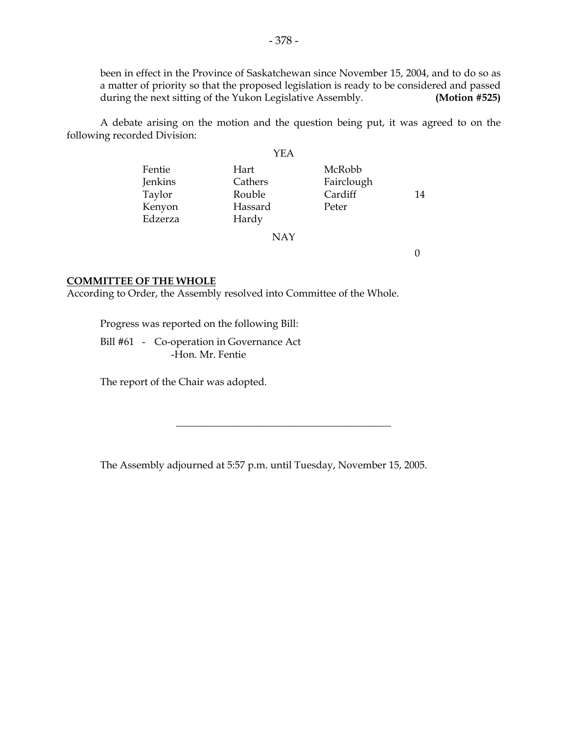been in effect in the Province of Saskatchewan since November 15, 2004, and to do so as a matter of priority so that the proposed legislation is ready to be considered and passed during the next sitting of the Yukon Legislative Assembly. **(Motion #525)** 

 A debate arising on the motion and the question being put, it was agreed to on the following recorded Division:

### YEA

| Fentie  | Hart    | McRobb     |    |
|---------|---------|------------|----|
| Jenkins | Cathers | Fairclough |    |
| Taylor  | Rouble  | Cardiff    | 14 |
| Kenyon  | Hassard | Peter      |    |
| Edzerza | Hardy   |            |    |
|         | NMV     |            |    |

NAY

0

### **COMMITTEE OF THE WHOLE**

According to Order, the Assembly resolved into Committee of the Whole.

Progress was reported on the following Bill:

 Bill #61 - Co-operation in Governance Act -Hon. Mr. Fentie

The report of the Chair was adopted.

The Assembly adjourned at 5:57 p.m. until Tuesday, November 15, 2005.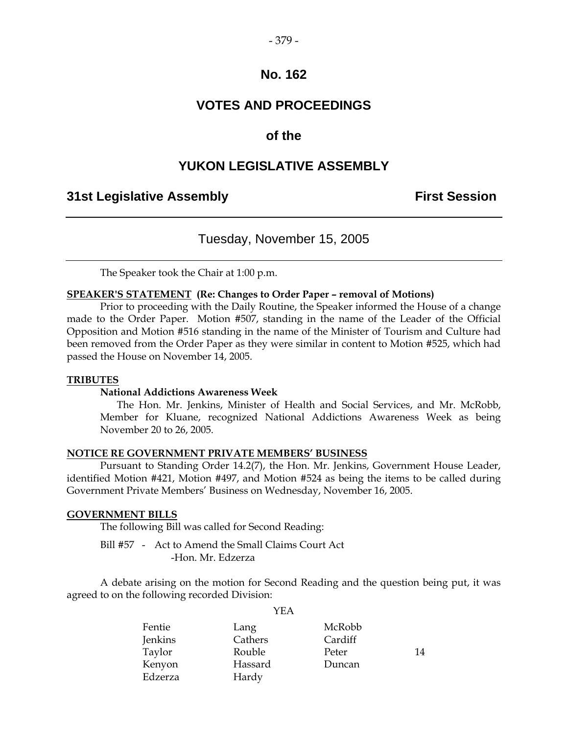# **VOTES AND PROCEEDINGS**

# **of the**

# **YUKON LEGISLATIVE ASSEMBLY**

### **31st Legislative Assembly First Session**

# Tuesday, November 15, 2005

The Speaker took the Chair at 1:00 p.m.

### **SPEAKER'S STATEMENT (Re: Changes to Order Paper – removal of Motions)**

 Prior to proceeding with the Daily Routine, the Speaker informed the House of a change made to the Order Paper. Motion #507, standing in the name of the Leader of the Official Opposition and Motion #516 standing in the name of the Minister of Tourism and Culture had been removed from the Order Paper as they were similar in content to Motion #525, which had passed the House on November 14, 2005.

### **TRIBUTES**

### **National Addictions Awareness Week**

 The Hon. Mr. Jenkins, Minister of Health and Social Services, and Mr. McRobb, Member for Kluane, recognized National Addictions Awareness Week as being November 20 to 26, 2005.

### **NOTICE RE GOVERNMENT PRIVATE MEMBERS' BUSINESS**

 Pursuant to Standing Order 14.2(7), the Hon. Mr. Jenkins, Government House Leader, identified Motion #421, Motion #497, and Motion #524 as being the items to be called during Government Private Members' Business on Wednesday, November 16, 2005.

### **GOVERNMENT BILLS**

The following Bill was called for Second Reading:

 Bill #57 - Act to Amend the Small Claims Court Act -Hon. Mr. Edzerza

 A debate arising on the motion for Second Reading and the question being put, it was agreed to on the following recorded Division:  $Y$ EA

|                | Y EA    |         |    |
|----------------|---------|---------|----|
| Fentie         | Lang    | McRobb  |    |
| <b>Jenkins</b> | Cathers | Cardiff |    |
| Taylor         | Rouble  | Peter   | 14 |
| Kenyon         | Hassard | Duncan  |    |
| Edzerza        | Hardy   |         |    |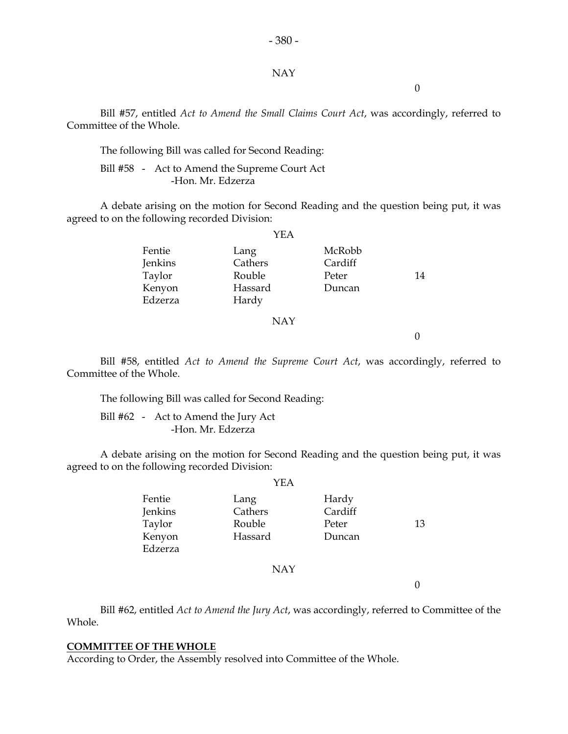### NAY

 $-380-$ 

0

 Bill #57, entitled *Act to Amend the Small Claims Court Act*, was accordingly, referred to Committee of the Whole.

The following Bill was called for Second Reading:

 Bill #58 - Act to Amend the Supreme Court Act -Hon. Mr. Edzerza

 A debate arising on the motion for Second Reading and the question being put, it was agreed to on the following recorded Division:

|                   | YEA              |                   |    |
|-------------------|------------------|-------------------|----|
| Fentie<br>Jenkins | Lang<br>Cathers  | McRobb<br>Cardiff |    |
| Taylor            | Rouble           | Peter             | 14 |
| Kenyon<br>Edzerza | Hassard<br>Hardy | Duncan            |    |
|                   | <b>NAY</b>       |                   |    |

0

 Bill #58, entitled *Act to Amend the Supreme Court Act*, was accordingly, referred to Committee of the Whole.

The following Bill was called for Second Reading:

 Bill #62 - Act to Amend the Jury Act -Hon. Mr. Edzerza

 A debate arising on the motion for Second Reading and the question being put, it was agreed to on the following recorded Division:  $\sim$ 

|                                                  | YEA                                  |                                     |    |
|--------------------------------------------------|--------------------------------------|-------------------------------------|----|
| Fentie<br>Jenkins<br>Taylor<br>Kenyon<br>Edzerza | Lang<br>Cathers<br>Rouble<br>Hassard | Hardy<br>Cardiff<br>Peter<br>Duncan | 13 |
|                                                  |                                      |                                     |    |
|                                                  |                                      |                                     |    |

# NAY

 $\overline{0}$ 

 Bill #62, entitled *Act to Amend the Jury Act*, was accordingly, referred to Committee of the Whole.

### **COMMITTEE OF THE WHOLE**

According to Order, the Assembly resolved into Committee of the Whole.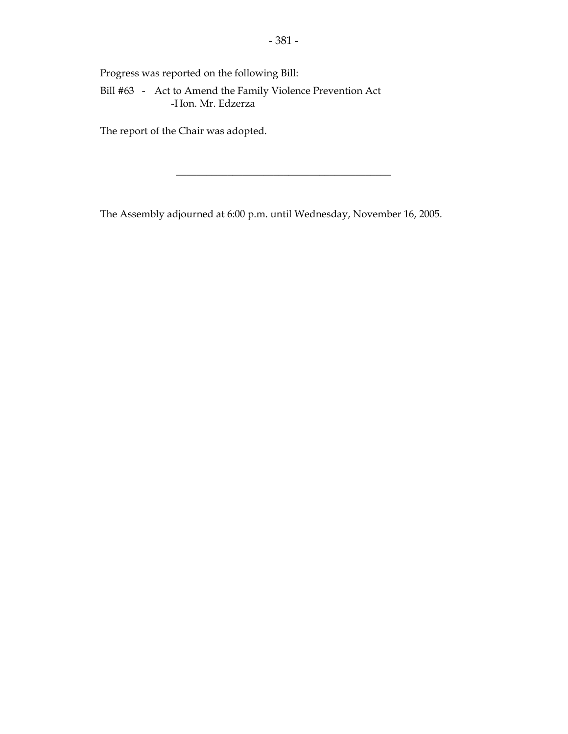Progress was reported on the following Bill:

 Bill #63 - Act to Amend the Family Violence Prevention Act -Hon. Mr. Edzerza

The report of the Chair was adopted.

The Assembly adjourned at 6:00 p.m. until Wednesday, November 16, 2005.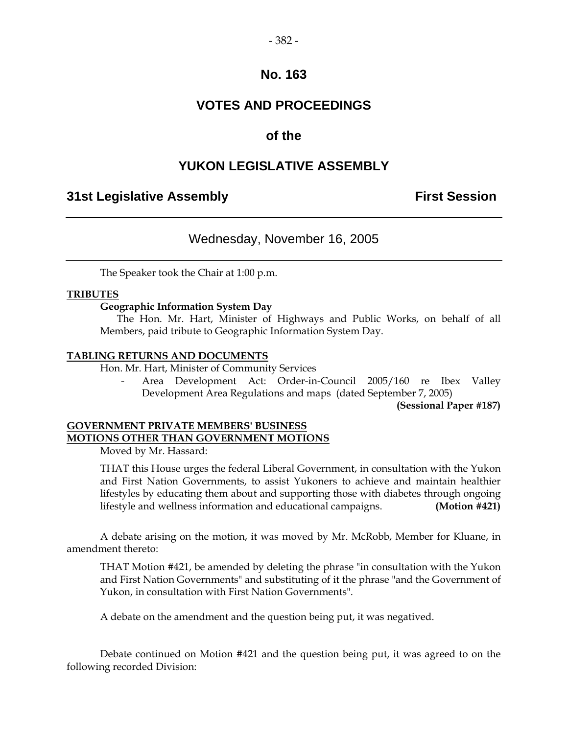# **VOTES AND PROCEEDINGS**

# **of the**

# **YUKON LEGISLATIVE ASSEMBLY**

# **31st Legislative Assembly First Session**

# Wednesday, November 16, 2005

The Speaker took the Chair at 1:00 p.m.

### **TRIBUTES**

### **Geographic Information System Day**

 The Hon. Mr. Hart, Minister of Highways and Public Works, on behalf of all Members, paid tribute to Geographic Information System Day.

### **TABLING RETURNS AND DOCUMENTS**

Hon. Mr. Hart, Minister of Community Services

 - Area Development Act: Order-in-Council 2005/160 re Ibex Valley Development Area Regulations and maps (dated September 7, 2005)

**(Sessional Paper #187)** 

### **GOVERNMENT PRIVATE MEMBERS' BUSINESS MOTIONS OTHER THAN GOVERNMENT MOTIONS**

Moved by Mr. Hassard:

 THAT this House urges the federal Liberal Government, in consultation with the Yukon and First Nation Governments, to assist Yukoners to achieve and maintain healthier lifestyles by educating them about and supporting those with diabetes through ongoing lifestyle and wellness information and educational campaigns. **(Motion #421)** 

 A debate arising on the motion, it was moved by Mr. McRobb, Member for Kluane, in amendment thereto:

 THAT Motion #421, be amended by deleting the phrase "in consultation with the Yukon and First Nation Governments" and substituting of it the phrase "and the Government of Yukon, in consultation with First Nation Governments".

A debate on the amendment and the question being put, it was negatived.

 Debate continued on Motion #421 and the question being put, it was agreed to on the following recorded Division: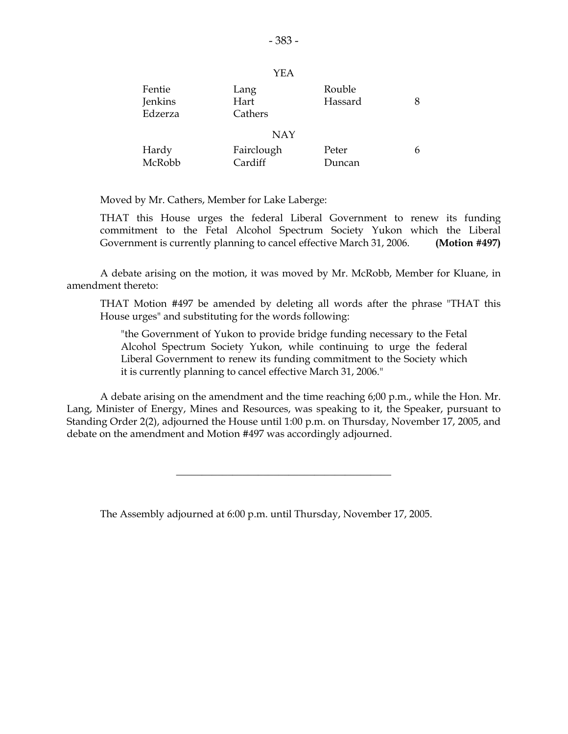| Fentie<br>Jenkins<br>Edzerza | Lang<br>Hart<br>Cathers | Rouble<br>Hassard |  |
|------------------------------|-------------------------|-------------------|--|
| <b>NAY</b>                   |                         |                   |  |
| Hardy<br>McRobb              | Fairclough<br>Cardiff   | Peter<br>Duncan   |  |

Moved by Mr. Cathers, Member for Lake Laberge:

 THAT this House urges the federal Liberal Government to renew its funding commitment to the Fetal Alcohol Spectrum Society Yukon which the Liberal Government is currently planning to cancel effective March 31, 2006. **(Motion #497)** 

 A debate arising on the motion, it was moved by Mr. McRobb, Member for Kluane, in amendment thereto:

 THAT Motion #497 be amended by deleting all words after the phrase "THAT this House urges" and substituting for the words following:

 "the Government of Yukon to provide bridge funding necessary to the Fetal Alcohol Spectrum Society Yukon, while continuing to urge the federal Liberal Government to renew its funding commitment to the Society which it is currently planning to cancel effective March 31, 2006."

 A debate arising on the amendment and the time reaching 6;00 p.m., while the Hon. Mr. Lang, Minister of Energy, Mines and Resources, was speaking to it, the Speaker, pursuant to Standing Order 2(2), adjourned the House until 1:00 p.m. on Thursday, November 17, 2005, and debate on the amendment and Motion #497 was accordingly adjourned.

\_\_\_\_\_\_\_\_\_\_\_\_\_\_\_\_\_\_\_\_\_\_\_\_\_\_\_\_\_\_\_\_\_\_\_\_\_\_\_\_\_\_

The Assembly adjourned at 6:00 p.m. until Thursday, November 17, 2005.

YEA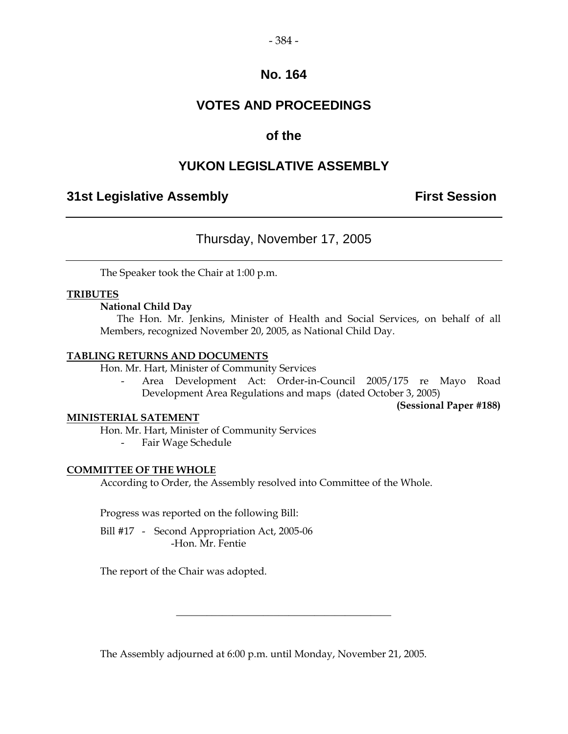# **VOTES AND PROCEEDINGS**

# **of the**

# **YUKON LEGISLATIVE ASSEMBLY**

# **31st Legislative Assembly The Contract Session**

# Thursday, November 17, 2005

The Speaker took the Chair at 1:00 p.m.

### **TRIBUTES**

### **National Child Day**

 The Hon. Mr. Jenkins, Minister of Health and Social Services, on behalf of all Members, recognized November 20, 2005, as National Child Day.

### **TABLING RETURNS AND DOCUMENTS**

Hon. Mr. Hart, Minister of Community Services

 - Area Development Act: Order-in-Council 2005/175 re Mayo Road Development Area Regulations and maps (dated October 3, 2005)

**(Sessional Paper #188)** 

### **MINISTERIAL SATEMENT**

Hon. Mr. Hart, Minister of Community Services

- Fair Wage Schedule

### **COMMITTEE OF THE WHOLE**

According to Order, the Assembly resolved into Committee of the Whole.

Progress was reported on the following Bill:

Bill #17 - Second Appropriation Act, 2005-06 -Hon. Mr. Fentie

The report of the Chair was adopted.

The Assembly adjourned at 6:00 p.m. until Monday, November 21, 2005.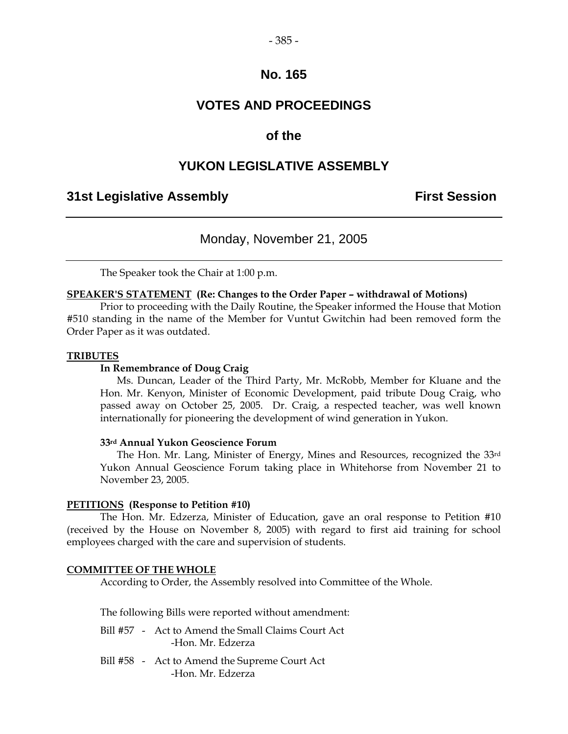# **VOTES AND PROCEEDINGS**

# **of the**

# **YUKON LEGISLATIVE ASSEMBLY**

# **31st Legislative Assembly First Session**

Monday, November 21, 2005

The Speaker took the Chair at 1:00 p.m.

### **SPEAKER'S STATEMENT (Re: Changes to the Order Paper – withdrawal of Motions)**

 Prior to proceeding with the Daily Routine, the Speaker informed the House that Motion #510 standing in the name of the Member for Vuntut Gwitchin had been removed form the Order Paper as it was outdated.

### **TRIBUTES**

### **In Remembrance of Doug Craig**

 Ms. Duncan, Leader of the Third Party, Mr. McRobb, Member for Kluane and the Hon. Mr. Kenyon, Minister of Economic Development, paid tribute Doug Craig, who passed away on October 25, 2005. Dr. Craig, a respected teacher, was well known internationally for pioneering the development of wind generation in Yukon.

### **33rd Annual Yukon Geoscience Forum**

The Hon. Mr. Lang, Minister of Energy, Mines and Resources, recognized the 33rd Yukon Annual Geoscience Forum taking place in Whitehorse from November 21 to November 23, 2005.

### **PETITIONS (Response to Petition #10)**

 The Hon. Mr. Edzerza, Minister of Education, gave an oral response to Petition #10 (received by the House on November 8, 2005) with regard to first aid training for school employees charged with the care and supervision of students.

### **COMMITTEE OF THE WHOLE**

According to Order, the Assembly resolved into Committee of the Whole.

The following Bills were reported without amendment:

- Bill #57 Act to Amend the Small Claims Court Act -Hon. Mr. Edzerza
- Bill #58 Act to Amend the Supreme Court Act -Hon. Mr. Edzerza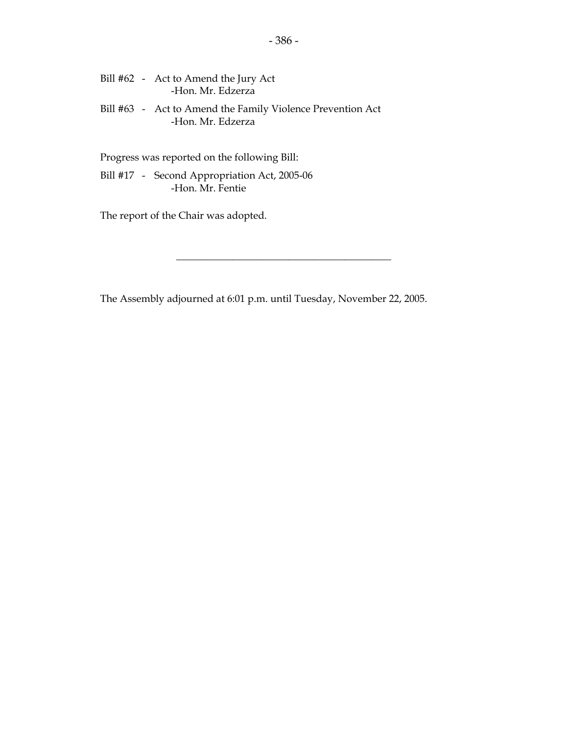| Bill #62 - Act to Amend the Jury Act          |  |
|-----------------------------------------------|--|
| -Hon. Mr. Edzerza                             |  |
| $Rill$ #63 - Act to Amend the Family Violence |  |

 Bill #63 - Act to Amend the Family Violence Prevention Act -Hon. Mr. Edzerza

Progress was reported on the following Bill:

Bill #17 - Second Appropriation Act, 2005-06 -Hon. Mr. Fentie

The report of the Chair was adopted.

The Assembly adjourned at 6:01 p.m. until Tuesday, November 22, 2005.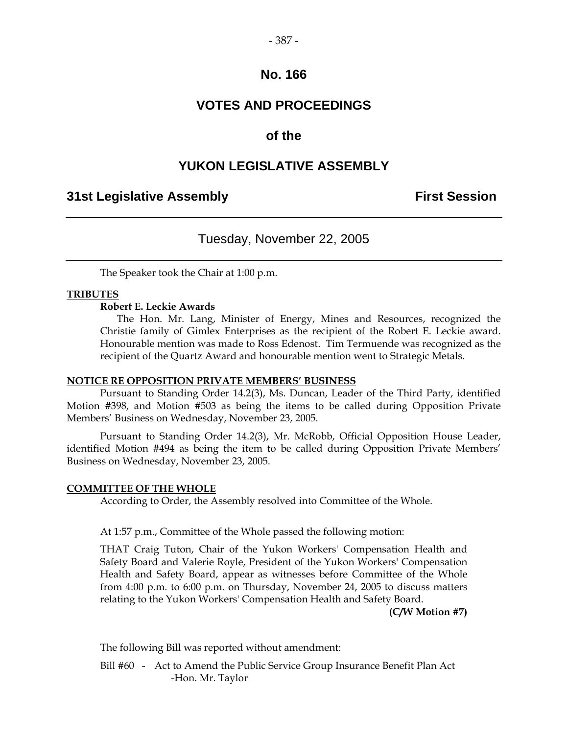# **VOTES AND PROCEEDINGS**

# **of the**

# **YUKON LEGISLATIVE ASSEMBLY**

### **31st Legislative Assembly First Session**

# Tuesday, November 22, 2005

The Speaker took the Chair at 1:00 p.m.

### **TRIBUTES**

### **Robert E. Leckie Awards**

 The Hon. Mr. Lang, Minister of Energy, Mines and Resources, recognized the Christie family of Gimlex Enterprises as the recipient of the Robert E. Leckie award. Honourable mention was made to Ross Edenost. Tim Termuende was recognized as the recipient of the Quartz Award and honourable mention went to Strategic Metals.

### **NOTICE RE OPPOSITION PRIVATE MEMBERS' BUSINESS**

 Pursuant to Standing Order 14.2(3), Ms. Duncan, Leader of the Third Party, identified Motion #398, and Motion #503 as being the items to be called during Opposition Private Members' Business on Wednesday, November 23, 2005.

 Pursuant to Standing Order 14.2(3), Mr. McRobb, Official Opposition House Leader, identified Motion #494 as being the item to be called during Opposition Private Members' Business on Wednesday, November 23, 2005.

### **COMMITTEE OF THE WHOLE**

According to Order, the Assembly resolved into Committee of the Whole.

At 1:57 p.m., Committee of the Whole passed the following motion:

 THAT Craig Tuton, Chair of the Yukon Workers' Compensation Health and Safety Board and Valerie Royle, President of the Yukon Workers' Compensation Health and Safety Board, appear as witnesses before Committee of the Whole from 4:00 p.m. to 6:00 p.m. on Thursday, November 24, 2005 to discuss matters relating to the Yukon Workers' Compensation Health and Safety Board.

### **(C/W Motion #7)**

The following Bill was reported without amendment:

 Bill #60 - Act to Amend the Public Service Group Insurance Benefit Plan Act -Hon. Mr. Taylor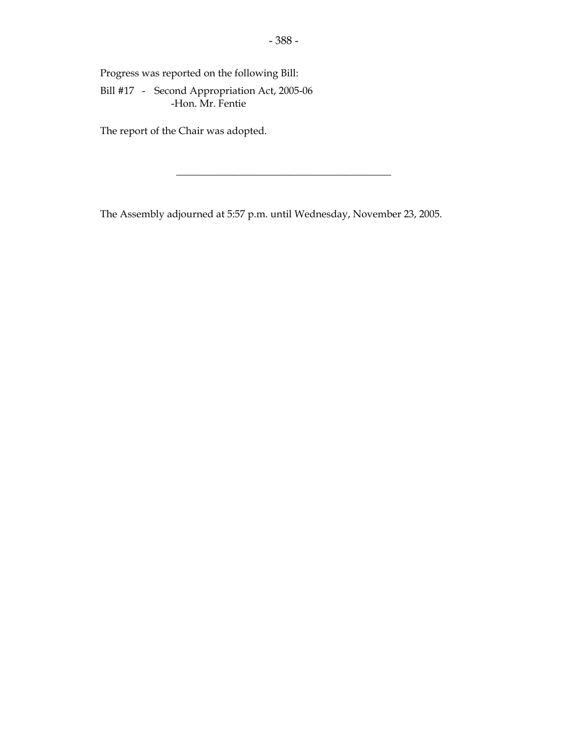Progress was reported on the following Bill:

Bill #17 - Second Appropriation Act, 2005-06 -Hon. Mr. Fentie

The report of the Chair was adopted.

The Assembly adjourned at 5:57 p.m. until Wednesday, November 23, 2005.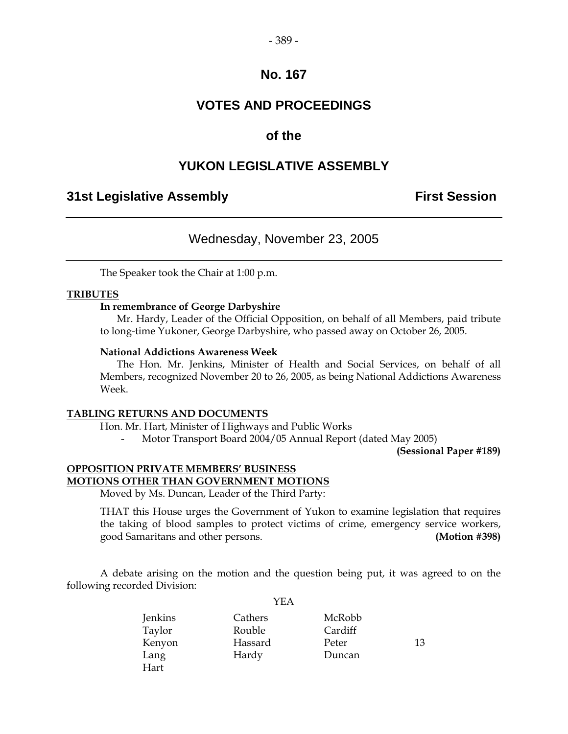### **VOTES AND PROCEEDINGS**

### **of the**

### **YUKON LEGISLATIVE ASSEMBLY**

### **31st Legislative Assembly First Session**

### Wednesday, November 23, 2005

The Speaker took the Chair at 1:00 p.m.

#### **TRIBUTES**

#### **In remembrance of George Darbyshire**

 Mr. Hardy, Leader of the Official Opposition, on behalf of all Members, paid tribute to long-time Yukoner, George Darbyshire, who passed away on October 26, 2005.

#### **National Addictions Awareness Week**

 The Hon. Mr. Jenkins, Minister of Health and Social Services, on behalf of all Members, recognized November 20 to 26, 2005, as being National Addictions Awareness Week.

#### **TABLING RETURNS AND DOCUMENTS**

Hon. Mr. Hart, Minister of Highways and Public Works

- Motor Transport Board 2004/05 Annual Report (dated May 2005)

**(Sessional Paper #189)** 

#### **OPPOSITION PRIVATE MEMBERS' BUSINESS MOTIONS OTHER THAN GOVERNMENT MOTIONS**

Moved by Ms. Duncan, Leader of the Third Party:

 THAT this House urges the Government of Yukon to examine legislation that requires the taking of blood samples to protect victims of crime, emergency service workers, good Samaritans and other persons. **(Motion #398)** 

 A debate arising on the motion and the question being put, it was agreed to on the following recorded Division:

YEA

|         | .       |         |    |
|---------|---------|---------|----|
| Jenkins | Cathers | McRobb  |    |
| Taylor  | Rouble  | Cardiff |    |
| Kenyon  | Hassard | Peter   | 13 |
| Lang    | Hardy   | Duncan  |    |
| Hart    |         |         |    |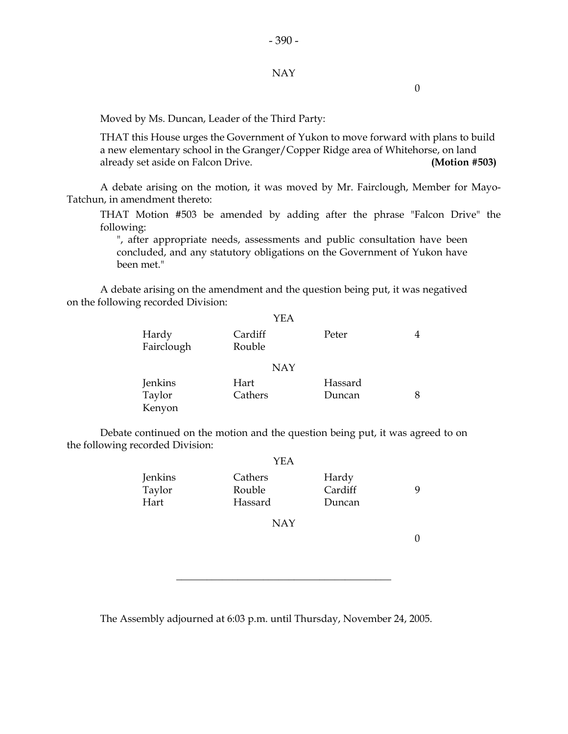#### NAY

0

Moved by Ms. Duncan, Leader of the Third Party:

 THAT this House urges the Government of Yukon to move forward with plans to build a new elementary school in the Granger/Copper Ridge area of Whitehorse, on land already set aside on Falcon Drive. **(Motion #503)**

 A debate arising on the motion, it was moved by Mr. Fairclough, Member for Mayo-Tatchun, in amendment thereto:

 THAT Motion #503 be amended by adding after the phrase "Falcon Drive" the following:

 ", after appropriate needs, assessments and public consultation have been concluded, and any statutory obligations on the Government of Yukon have been met."

 A debate arising on the amendment and the question being put, it was negatived on the following recorded Division:

|                     | <b>YEA</b>        |         |   |
|---------------------|-------------------|---------|---|
| Hardy<br>Fairclough | Cardiff<br>Rouble | Peter   |   |
|                     | <b>NAY</b>        |         |   |
| Jenkins             | Hart              | Hassard |   |
| Taylor              | Cathers           | Duncan  | 8 |
| Kenyon              |                   |         |   |

 Debate continued on the motion and the question being put, it was agreed to on the following recorded Division:

|                           | YEA                          |                            |   |
|---------------------------|------------------------------|----------------------------|---|
| Jenkins<br>Taylor<br>Hart | Cathers<br>Rouble<br>Hassard | Hardy<br>Cardiff<br>Duncan | 9 |
|                           | <b>NAY</b>                   |                            |   |
|                           |                              |                            |   |

\_\_\_\_\_\_\_\_\_\_\_\_\_\_\_\_\_\_\_\_\_\_\_\_\_\_\_\_\_\_\_\_\_\_\_\_\_\_\_\_\_\_

The Assembly adjourned at 6:03 p.m. until Thursday, November 24, 2005.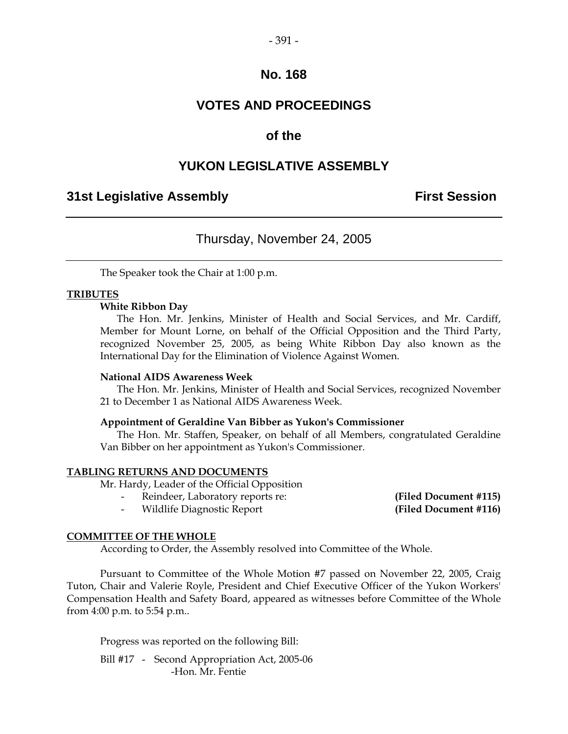## **VOTES AND PROCEEDINGS**

### **of the**

### **YUKON LEGISLATIVE ASSEMBLY**

### **31st Legislative Assembly First Session**

### Thursday, November 24, 2005

The Speaker took the Chair at 1:00 p.m.

#### **TRIBUTES**

#### **White Ribbon Day**

 The Hon. Mr. Jenkins, Minister of Health and Social Services, and Mr. Cardiff, Member for Mount Lorne, on behalf of the Official Opposition and the Third Party, recognized November 25, 2005, as being White Ribbon Day also known as the International Day for the Elimination of Violence Against Women.

#### **National AIDS Awareness Week**

 The Hon. Mr. Jenkins, Minister of Health and Social Services, recognized November 21 to December 1 as National AIDS Awareness Week.

#### **Appointment of Geraldine Van Bibber as Yukon's Commissioner**

 The Hon. Mr. Staffen, Speaker, on behalf of all Members, congratulated Geraldine Van Bibber on her appointment as Yukon's Commissioner.

#### **TABLING RETURNS AND DOCUMENTS**

Mr. Hardy, Leader of the Official Opposition

- Reindeer, Laboratory reports re: **(Filed Document #115)** 

- Wildlife Diagnostic Report **(Filed Document #116)**

#### **COMMITTEE OF THE WHOLE**

According to Order, the Assembly resolved into Committee of the Whole.

 Pursuant to Committee of the Whole Motion #7 passed on November 22, 2005, Craig Tuton, Chair and Valerie Royle, President and Chief Executive Officer of the Yukon Workers' Compensation Health and Safety Board, appeared as witnesses before Committee of the Whole from 4:00 p.m. to 5:54 p.m..

Progress was reported on the following Bill:

Bill #17 - Second Appropriation Act, 2005-06 -Hon. Mr. Fentie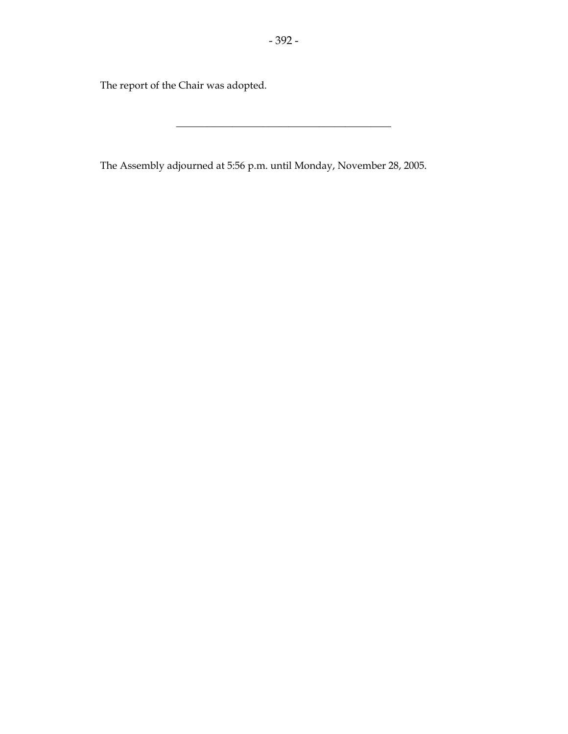The report of the Chair was adopted.

The Assembly adjourned at 5:56 p.m. until Monday, November 28, 2005.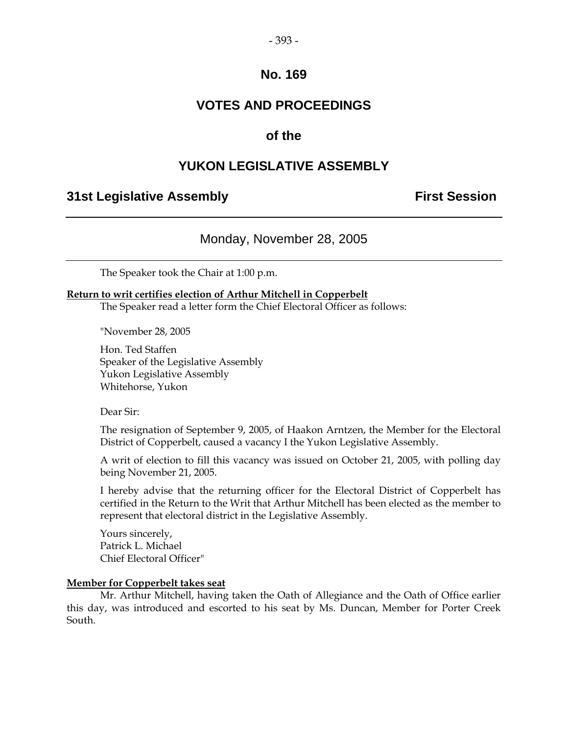### **VOTES AND PROCEEDINGS**

### **of the**

### **YUKON LEGISLATIVE ASSEMBLY**

### **31st Legislative Assembly The Contract Session**

Monday, November 28, 2005

The Speaker took the Chair at 1:00 p.m.

#### **Return to writ certifies election of Arthur Mitchell in Copperbelt**

The Speaker read a letter form the Chief Electoral Officer as follows:

"November 28, 2005

 Hon. Ted Staffen Speaker of the Legislative Assembly Yukon Legislative Assembly Whitehorse, Yukon

Dear Sir:

 The resignation of September 9, 2005, of Haakon Arntzen, the Member for the Electoral District of Copperbelt, caused a vacancy I the Yukon Legislative Assembly.

 A writ of election to fill this vacancy was issued on October 21, 2005, with polling day being November 21, 2005.

 I hereby advise that the returning officer for the Electoral District of Copperbelt has certified in the Return to the Writ that Arthur Mitchell has been elected as the member to represent that electoral district in the Legislative Assembly.

 Yours sincerely, Patrick L. Michael Chief Electoral Officer"

#### **Member for Copperbelt takes seat**

 Mr. Arthur Mitchell, having taken the Oath of Allegiance and the Oath of Office earlier this day, was introduced and escorted to his seat by Ms. Duncan, Member for Porter Creek South.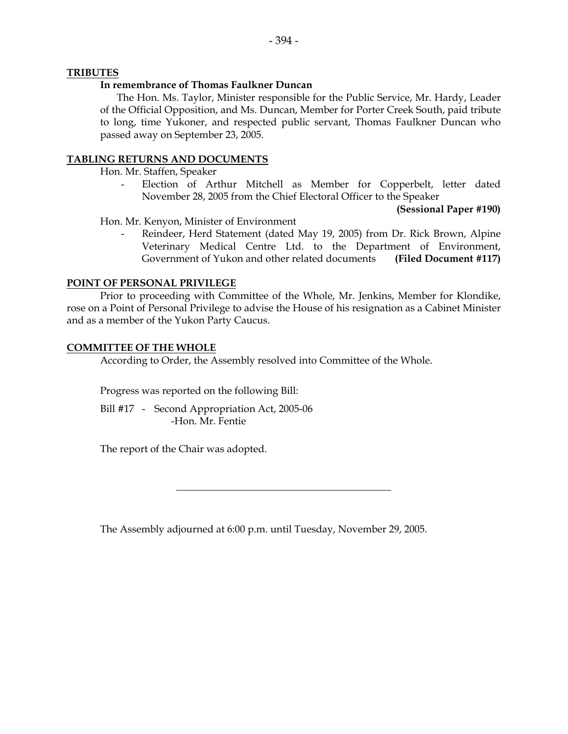#### **TRIBUTES**

#### **In remembrance of Thomas Faulkner Duncan**

 The Hon. Ms. Taylor, Minister responsible for the Public Service, Mr. Hardy, Leader of the Official Opposition, and Ms. Duncan, Member for Porter Creek South, paid tribute to long, time Yukoner, and respected public servant, Thomas Faulkner Duncan who passed away on September 23, 2005.

#### **TABLING RETURNS AND DOCUMENTS**

Hon. Mr. Staffen, Speaker

Election of Arthur Mitchell as Member for Copperbelt, letter dated November 28, 2005 from the Chief Electoral Officer to the Speaker

**(Sessional Paper #190)** 

Hon. Mr. Kenyon, Minister of Environment

Reindeer, Herd Statement (dated May 19, 2005) from Dr. Rick Brown, Alpine Veterinary Medical Centre Ltd. to the Department of Environment, Government of Yukon and other related documents **(Filed Document #117)** 

#### **POINT OF PERSONAL PRIVILEGE**

 Prior to proceeding with Committee of the Whole, Mr. Jenkins, Member for Klondike, rose on a Point of Personal Privilege to advise the House of his resignation as a Cabinet Minister and as a member of the Yukon Party Caucus.

#### **COMMITTEE OF THE WHOLE**

According to Order, the Assembly resolved into Committee of the Whole.

Progress was reported on the following Bill:

 Bill #17 - Second Appropriation Act, 2005-06 -Hon. Mr. Fentie

The report of the Chair was adopted.

The Assembly adjourned at 6:00 p.m. until Tuesday, November 29, 2005.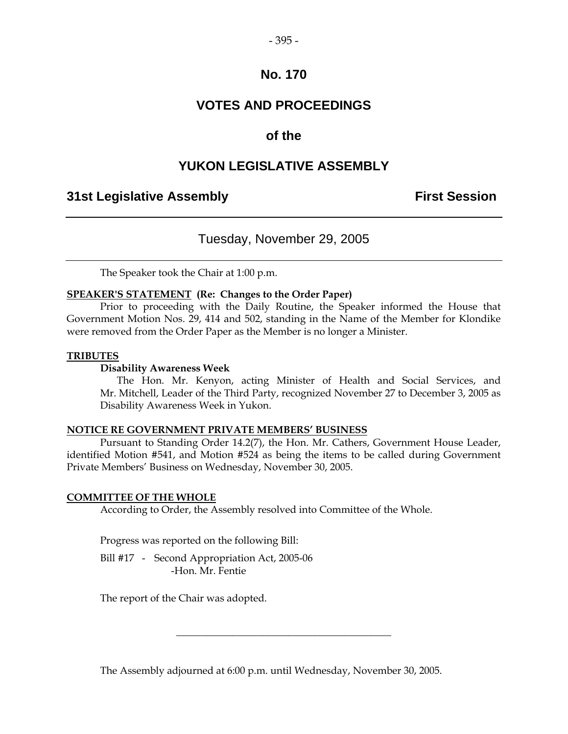## **VOTES AND PROCEEDINGS**

### **of the**

### **YUKON LEGISLATIVE ASSEMBLY**

### **31st Legislative Assembly First Session**

### Tuesday, November 29, 2005

The Speaker took the Chair at 1:00 p.m.

#### **SPEAKER'S STATEMENT (Re: Changes to the Order Paper)**

 Prior to proceeding with the Daily Routine, the Speaker informed the House that Government Motion Nos. 29, 414 and 502, standing in the Name of the Member for Klondike were removed from the Order Paper as the Member is no longer a Minister.

#### **TRIBUTES**

#### **Disability Awareness Week**

 The Hon. Mr. Kenyon, acting Minister of Health and Social Services, and Mr. Mitchell, Leader of the Third Party, recognized November 27 to December 3, 2005 as Disability Awareness Week in Yukon.

#### **NOTICE RE GOVERNMENT PRIVATE MEMBERS' BUSINESS**

 Pursuant to Standing Order 14.2(7), the Hon. Mr. Cathers, Government House Leader, identified Motion #541, and Motion #524 as being the items to be called during Government Private Members' Business on Wednesday, November 30, 2005.

#### **COMMITTEE OF THE WHOLE**

According to Order, the Assembly resolved into Committee of the Whole.

Progress was reported on the following Bill:

Bill #17 - Second Appropriation Act, 2005-06 -Hon. Mr. Fentie

The report of the Chair was adopted.

The Assembly adjourned at 6:00 p.m. until Wednesday, November 30, 2005.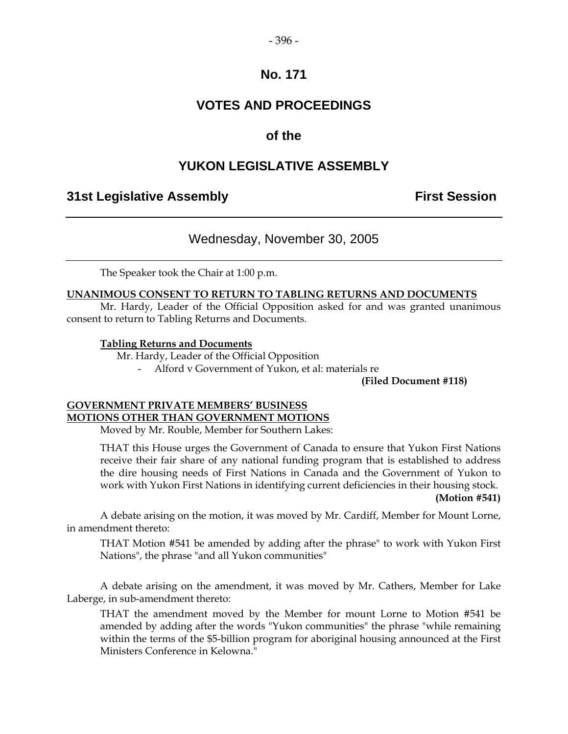### **VOTES AND PROCEEDINGS**

### **of the**

### **YUKON LEGISLATIVE ASSEMBLY**

### **31st Legislative Assembly First Session**

### Wednesday, November 30, 2005

The Speaker took the Chair at 1:00 p.m.

#### **UNANIMOUS CONSENT TO RETURN TO TABLING RETURNS AND DOCUMENTS**

 Mr. Hardy, Leader of the Official Opposition asked for and was granted unanimous consent to return to Tabling Returns and Documents.

#### **Tabling Returns and Documents**

Mr. Hardy, Leader of the Official Opposition

- Alford v Government of Yukon, et al: materials re

**(Filed Document #118)** 

### **GOVERNMENT PRIVATE MEMBERS' BUSINESS MOTIONS OTHER THAN GOVERNMENT MOTIONS**

Moved by Mr. Rouble, Member for Southern Lakes:

 THAT this House urges the Government of Canada to ensure that Yukon First Nations receive their fair share of any national funding program that is established to address the dire housing needs of First Nations in Canada and the Government of Yukon to work with Yukon First Nations in identifying current deficiencies in their housing stock.

#### **(Motion #541)**

 A debate arising on the motion, it was moved by Mr. Cardiff, Member for Mount Lorne, in amendment thereto:

 THAT Motion #541 be amended by adding after the phrase" to work with Yukon First Nations", the phrase "and all Yukon communities"

 A debate arising on the amendment, it was moved by Mr. Cathers, Member for Lake Laberge, in sub-amendment thereto:

 THAT the amendment moved by the Member for mount Lorne to Motion #541 be amended by adding after the words "Yukon communities" the phrase "while remaining within the terms of the \$5-billion program for aboriginal housing announced at the First Ministers Conference in Kelowna."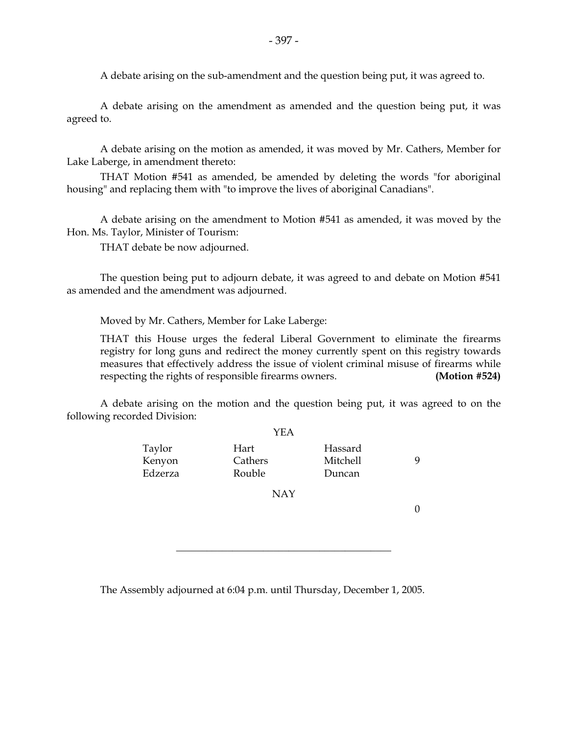A debate arising on the sub-amendment and the question being put, it was agreed to.

 A debate arising on the amendment as amended and the question being put, it was agreed to.

 A debate arising on the motion as amended, it was moved by Mr. Cathers, Member for Lake Laberge, in amendment thereto:

 THAT Motion #541 as amended, be amended by deleting the words "for aboriginal housing" and replacing them with "to improve the lives of aboriginal Canadians".

 A debate arising on the amendment to Motion #541 as amended, it was moved by the Hon. Ms. Taylor, Minister of Tourism:

THAT debate be now adjourned.

 The question being put to adjourn debate, it was agreed to and debate on Motion #541 as amended and the amendment was adjourned.

Moved by Mr. Cathers, Member for Lake Laberge:

 THAT this House urges the federal Liberal Government to eliminate the firearms registry for long guns and redirect the money currently spent on this registry towards measures that effectively address the issue of violent criminal misuse of firearms while respecting the rights of responsible firearms owners. **(Motion #524)**

 A debate arising on the motion and the question being put, it was agreed to on the following recorded Division:

|                             | YEA                       |                               |  |
|-----------------------------|---------------------------|-------------------------------|--|
| Taylor<br>Kenyon<br>Edzerza | Hart<br>Cathers<br>Rouble | Hassard<br>Mitchell<br>Duncan |  |
|                             | <b>NAY</b>                |                               |  |
|                             |                           |                               |  |

\_\_\_\_\_\_\_\_\_\_\_\_\_\_\_\_\_\_\_\_\_\_\_\_\_\_\_\_\_\_\_\_\_\_\_\_\_\_\_\_\_\_

The Assembly adjourned at 6:04 p.m. until Thursday, December 1, 2005.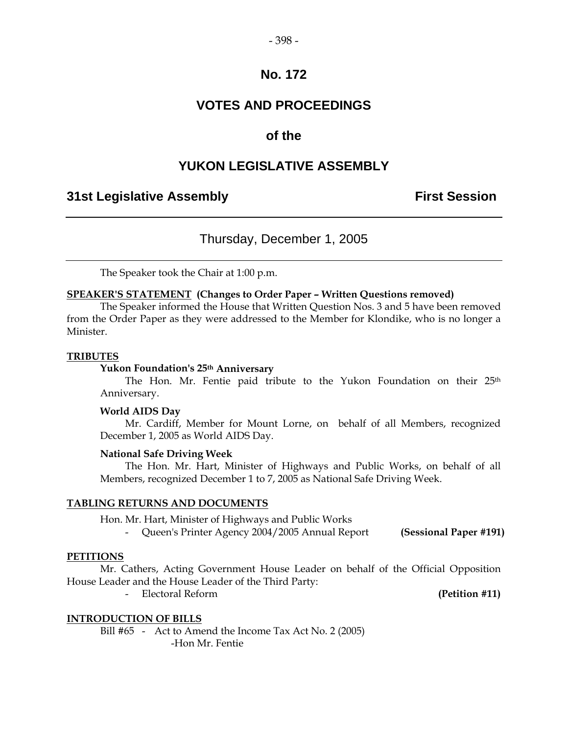## **VOTES AND PROCEEDINGS**

### **of the**

### **YUKON LEGISLATIVE ASSEMBLY**

### **31st Legislative Assembly First Session**

Thursday, December 1, 2005

The Speaker took the Chair at 1:00 p.m.

#### **SPEAKER'S STATEMENT (Changes to Order Paper – Written Questions removed)**

 The Speaker informed the House that Written Question Nos. 3 and 5 have been removed from the Order Paper as they were addressed to the Member for Klondike, who is no longer a Minister.

#### **TRIBUTES**

#### **Yukon Foundation's 25th Anniversary**

The Hon. Mr. Fentie paid tribute to the Yukon Foundation on their 25<sup>th</sup> Anniversary.

#### **World AIDS Day**

 Mr. Cardiff, Member for Mount Lorne, on behalf of all Members, recognized December 1, 2005 as World AIDS Day.

#### **National Safe Driving Week**

 The Hon. Mr. Hart, Minister of Highways and Public Works, on behalf of all Members, recognized December 1 to 7, 2005 as National Safe Driving Week.

#### **TABLING RETURNS AND DOCUMENTS**

Hon. Mr. Hart, Minister of Highways and Public Works

- Queen's Printer Agency 2004/2005 Annual Report **(Sessional Paper #191)** 

#### **PETITIONS**

 Mr. Cathers, Acting Government House Leader on behalf of the Official Opposition House Leader and the House Leader of the Third Party:

- Electoral Reform **(Petition #11)** 

#### **INTRODUCTION OF BILLS**

Bill #65 - Act to Amend the Income Tax Act No. 2 (2005) -Hon Mr. Fentie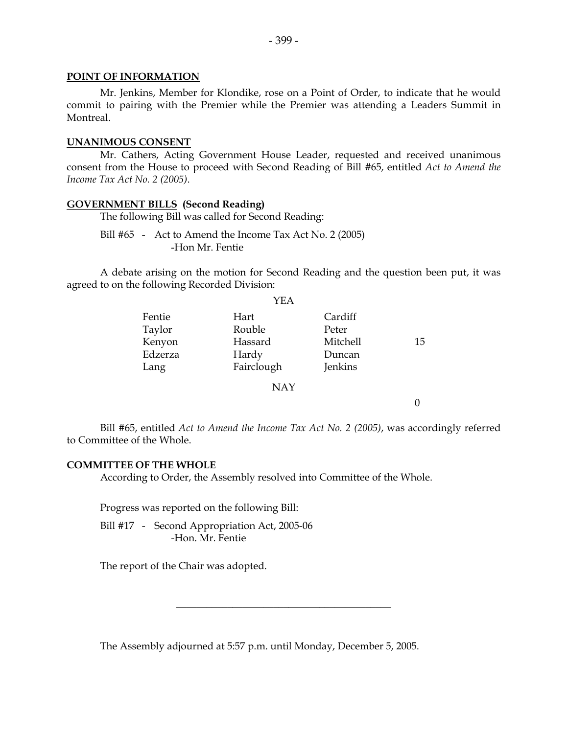#### **POINT OF INFORMATION**

 Mr. Jenkins, Member for Klondike, rose on a Point of Order, to indicate that he would commit to pairing with the Premier while the Premier was attending a Leaders Summit in Montreal.

#### **UNANIMOUS CONSENT**

 Mr. Cathers, Acting Government House Leader, requested and received unanimous consent from the House to proceed with Second Reading of Bill #65, entitled *Act to Amend the Income Tax Act No. 2 (2005)*.

#### **GOVERNMENT BILLS (Second Reading)**

The following Bill was called for Second Reading:

Bill #65 - Act to Amend the Income Tax Act No. 2 (2005) -Hon Mr. Fentie

 A debate arising on the motion for Second Reading and the question been put, it was agreed to on the following Recorded Division:  $\sim$ 

|         | YEA        |          |    |
|---------|------------|----------|----|
| Fentie  | Hart       | Cardiff  |    |
| Taylor  | Rouble     | Peter    |    |
| Kenyon  | Hassard    | Mitchell | 15 |
| Edzerza | Hardy      | Duncan   |    |
| Lang    | Fairclough | Jenkins  |    |
|         | <b>NAY</b> |          |    |
|         |            |          |    |

 Bill #65, entitled *Act to Amend the Income Tax Act No. 2 (2005)*, was accordingly referred to Committee of the Whole.

#### **COMMITTEE OF THE WHOLE**

According to Order, the Assembly resolved into Committee of the Whole.

Progress was reported on the following Bill:

 Bill #17 - Second Appropriation Act, 2005-06 -Hon. Mr. Fentie

The report of the Chair was adopted.

The Assembly adjourned at 5:57 p.m. until Monday, December 5, 2005.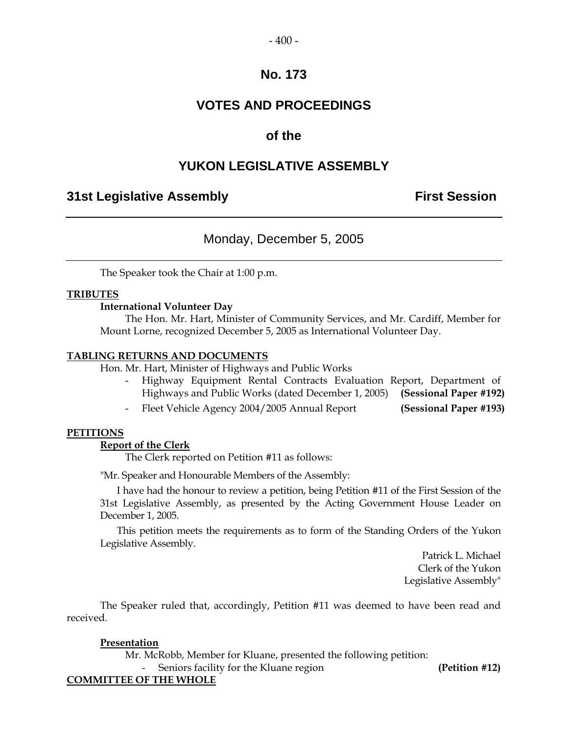### **VOTES AND PROCEEDINGS**

### **of the**

### **YUKON LEGISLATIVE ASSEMBLY**

### **31st Legislative Assembly First Session**

### Monday, December 5, 2005

The Speaker took the Chair at 1:00 p.m.

#### **TRIBUTES**

#### **International Volunteer Day**

 The Hon. Mr. Hart, Minister of Community Services, and Mr. Cardiff, Member for Mount Lorne, recognized December 5, 2005 as International Volunteer Day.

#### **TABLING RETURNS AND DOCUMENTS**

Hon. Mr. Hart, Minister of Highways and Public Works

- Highway Equipment Rental Contracts Evaluation Report, Department of Highways and Public Works (dated December 1, 2005) **(Sessional Paper #192)**
- Fleet Vehicle Agency 2004/2005 Annual Report **(Sessional Paper #193)**

#### **PETITIONS**

#### **Report of the Clerk**

The Clerk reported on Petition #11 as follows:

"Mr. Speaker and Honourable Members of the Assembly:

 I have had the honour to review a petition, being Petition #11 of the First Session of the 31st Legislative Assembly, as presented by the Acting Government House Leader on December 1, 2005.

 This petition meets the requirements as to form of the Standing Orders of the Yukon Legislative Assembly.

> Patrick L. Michael Clerk of the Yukon Legislative Assembly"

 The Speaker ruled that, accordingly, Petition #11 was deemed to have been read and received.

#### **Presentation**

Mr. McRobb, Member for Kluane, presented the following petition:

- Seniors facility for the Kluane region **(Petition #12)** 

#### **COMMITTEE OF THE WHOLE**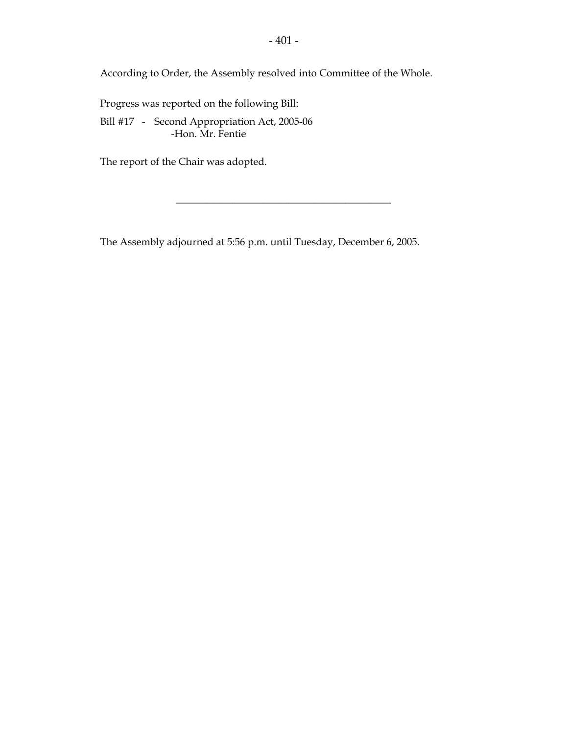According to Order, the Assembly resolved into Committee of the Whole.

Progress was reported on the following Bill:

Bill #17 - Second Appropriation Act, 2005-06 -Hon. Mr. Fentie

The report of the Chair was adopted.

The Assembly adjourned at 5:56 p.m. until Tuesday, December 6, 2005.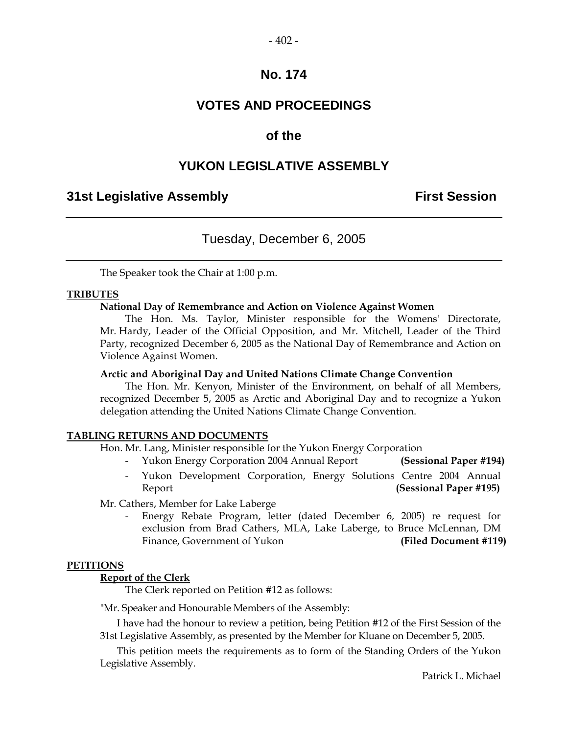### **VOTES AND PROCEEDINGS**

### **of the**

### **YUKON LEGISLATIVE ASSEMBLY**

### **31st Legislative Assembly First Session**

### Tuesday, December 6, 2005

The Speaker took the Chair at 1:00 p.m.

#### **TRIBUTES**

#### **National Day of Remembrance and Action on Violence Against Women**

 The Hon. Ms. Taylor, Minister responsible for the Womens' Directorate, Mr. Hardy, Leader of the Official Opposition, and Mr. Mitchell, Leader of the Third Party, recognized December 6, 2005 as the National Day of Remembrance and Action on Violence Against Women.

#### **Arctic and Aboriginal Day and United Nations Climate Change Convention**

 The Hon. Mr. Kenyon, Minister of the Environment, on behalf of all Members, recognized December 5, 2005 as Arctic and Aboriginal Day and to recognize a Yukon delegation attending the United Nations Climate Change Convention.

#### **TABLING RETURNS AND DOCUMENTS**

Hon. Mr. Lang, Minister responsible for the Yukon Energy Corporation

- Yukon Energy Corporation 2004 Annual Report **(Sessional Paper #194)**
- Yukon Development Corporation, Energy Solutions Centre 2004 Annual Report **(Sessional Paper #195)**

Mr. Cathers, Member for Lake Laberge

 - Energy Rebate Program, letter (dated December 6, 2005) re request for exclusion from Brad Cathers, MLA, Lake Laberge, to Bruce McLennan, DM Finance, Government of Yukon **(Filed Document #119)** 

#### **PETITIONS**

#### **Report of the Clerk**

The Clerk reported on Petition #12 as follows:

"Mr. Speaker and Honourable Members of the Assembly:

 I have had the honour to review a petition, being Petition #12 of the First Session of the 31st Legislative Assembly, as presented by the Member for Kluane on December 5, 2005.

 This petition meets the requirements as to form of the Standing Orders of the Yukon Legislative Assembly.

Patrick L. Michael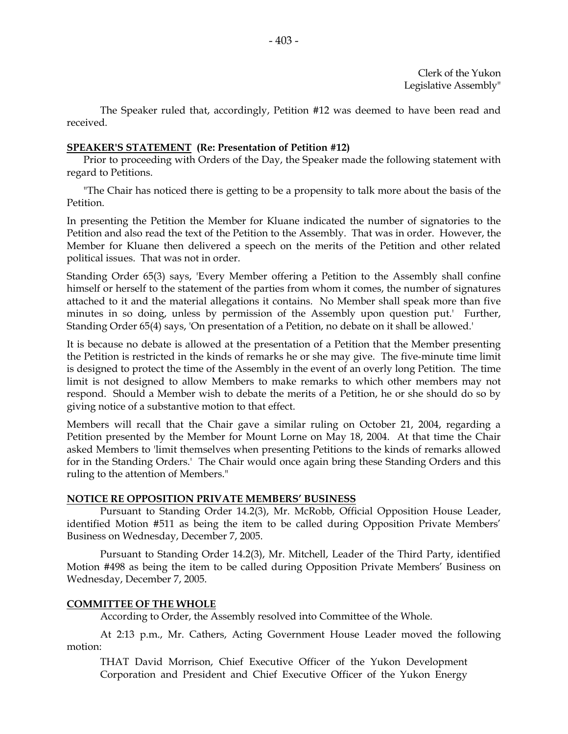The Speaker ruled that, accordingly, Petition #12 was deemed to have been read and received.

#### **SPEAKER'S STATEMENT (Re: Presentation of Petition #12)**

Prior to proceeding with Orders of the Day, the Speaker made the following statement with regard to Petitions.

"The Chair has noticed there is getting to be a propensity to talk more about the basis of the Petition.

In presenting the Petition the Member for Kluane indicated the number of signatories to the Petition and also read the text of the Petition to the Assembly. That was in order. However, the Member for Kluane then delivered a speech on the merits of the Petition and other related political issues. That was not in order.

Standing Order 65(3) says, 'Every Member offering a Petition to the Assembly shall confine himself or herself to the statement of the parties from whom it comes, the number of signatures attached to it and the material allegations it contains. No Member shall speak more than five minutes in so doing, unless by permission of the Assembly upon question put.' Further, Standing Order 65(4) says, 'On presentation of a Petition, no debate on it shall be allowed.'

It is because no debate is allowed at the presentation of a Petition that the Member presenting the Petition is restricted in the kinds of remarks he or she may give. The five-minute time limit is designed to protect the time of the Assembly in the event of an overly long Petition. The time limit is not designed to allow Members to make remarks to which other members may not respond. Should a Member wish to debate the merits of a Petition, he or she should do so by giving notice of a substantive motion to that effect.

Members will recall that the Chair gave a similar ruling on October 21, 2004, regarding a Petition presented by the Member for Mount Lorne on May 18, 2004. At that time the Chair asked Members to 'limit themselves when presenting Petitions to the kinds of remarks allowed for in the Standing Orders.' The Chair would once again bring these Standing Orders and this ruling to the attention of Members."

#### **NOTICE RE OPPOSITION PRIVATE MEMBERS' BUSINESS**

 Pursuant to Standing Order 14.2(3), Mr. McRobb, Official Opposition House Leader, identified Motion #511 as being the item to be called during Opposition Private Members' Business on Wednesday, December 7, 2005.

 Pursuant to Standing Order 14.2(3), Mr. Mitchell, Leader of the Third Party, identified Motion #498 as being the item to be called during Opposition Private Members' Business on Wednesday, December 7, 2005.

#### **COMMITTEE OF THE WHOLE**

According to Order, the Assembly resolved into Committee of the Whole.

 At 2:13 p.m., Mr. Cathers, Acting Government House Leader moved the following motion:

 THAT David Morrison, Chief Executive Officer of the Yukon Development Corporation and President and Chief Executive Officer of the Yukon Energy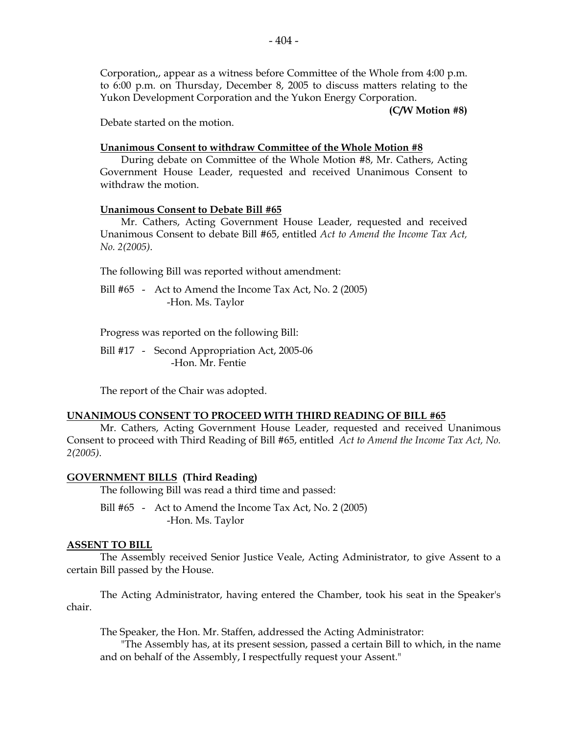Corporation,, appear as a witness before Committee of the Whole from 4:00 p.m. to 6:00 p.m. on Thursday, December 8, 2005 to discuss matters relating to the Yukon Development Corporation and the Yukon Energy Corporation.

**(C/W Motion #8)** 

Debate started on the motion.

#### **Unanimous Consent to withdraw Committee of the Whole Motion #8**

 During debate on Committee of the Whole Motion #8, Mr. Cathers, Acting Government House Leader, requested and received Unanimous Consent to withdraw the motion.

#### **Unanimous Consent to Debate Bill #65**

 Mr. Cathers, Acting Government House Leader, requested and received Unanimous Consent to debate Bill #65, entitled *Act to Amend the Income Tax Act, No. 2(2005)*.

The following Bill was reported without amendment:

Bill #65 - Act to Amend the Income Tax Act, No. 2 (2005) -Hon. Ms. Taylor

Progress was reported on the following Bill:

 Bill #17 - Second Appropriation Act, 2005-06 -Hon. Mr. Fentie

The report of the Chair was adopted.

#### **UNANIMOUS CONSENT TO PROCEED WITH THIRD READING OF BILL #65**

 Mr. Cathers, Acting Government House Leader, requested and received Unanimous Consent to proceed with Third Reading of Bill #65, entitled *Act to Amend the Income Tax Act, No. 2(2005)*.

#### **GOVERNMENT BILLS (Third Reading)**

The following Bill was read a third time and passed:

Bill #65 - Act to Amend the Income Tax Act, No. 2 (2005) -Hon. Ms. Taylor

#### **ASSENT TO BILL**

 The Assembly received Senior Justice Veale, Acting Administrator, to give Assent to a certain Bill passed by the House.

 The Acting Administrator, having entered the Chamber, took his seat in the Speaker's chair.

The Speaker, the Hon. Mr. Staffen, addressed the Acting Administrator:

 "The Assembly has, at its present session, passed a certain Bill to which, in the name and on behalf of the Assembly, I respectfully request your Assent."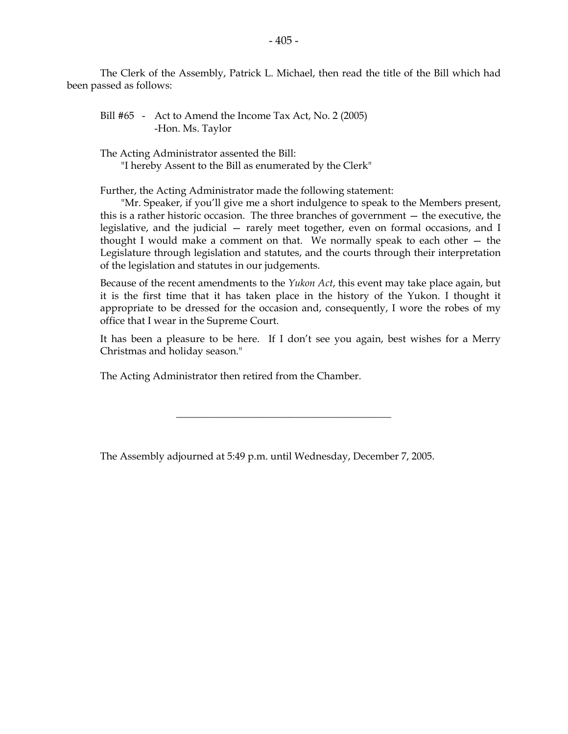The Clerk of the Assembly, Patrick L. Michael, then read the title of the Bill which had been passed as follows:

Bill #65 - Act to Amend the Income Tax Act, No. 2 (2005) -Hon. Ms. Taylor

The Acting Administrator assented the Bill:

"I hereby Assent to the Bill as enumerated by the Clerk"

Further, the Acting Administrator made the following statement:

 "Mr. Speaker, if you'll give me a short indulgence to speak to the Members present, this is a rather historic occasion. The three branches of government — the executive, the legislative, and the judicial — rarely meet together, even on formal occasions, and I thought I would make a comment on that. We normally speak to each other — the Legislature through legislation and statutes, and the courts through their interpretation of the legislation and statutes in our judgements.

 Because of the recent amendments to the *Yukon Act*, this event may take place again, but it is the first time that it has taken place in the history of the Yukon. I thought it appropriate to be dressed for the occasion and, consequently, I wore the robes of my office that I wear in the Supreme Court.

 It has been a pleasure to be here. If I don't see you again, best wishes for a Merry Christmas and holiday season."

The Acting Administrator then retired from the Chamber.

The Assembly adjourned at 5:49 p.m. until Wednesday, December 7, 2005.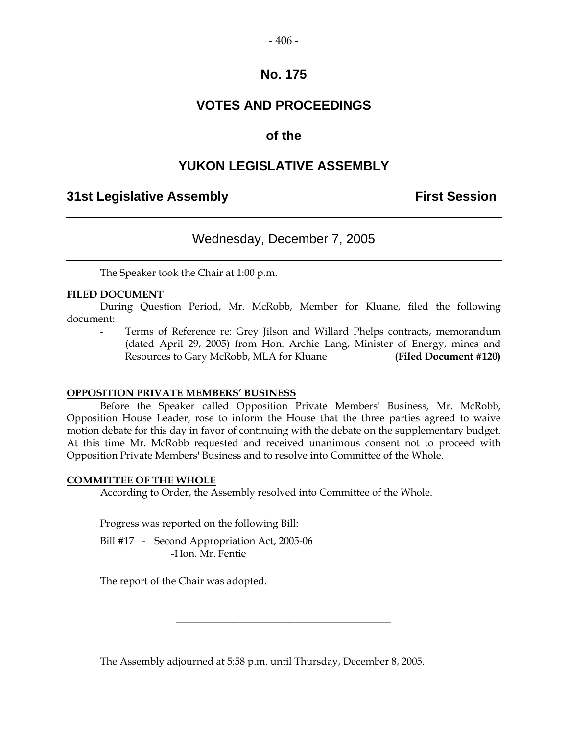#### $-406-$

### **No. 175**

### **VOTES AND PROCEEDINGS**

### **of the**

### **YUKON LEGISLATIVE ASSEMBLY**

### **31st Legislative Assembly First Session**

### Wednesday, December 7, 2005

The Speaker took the Chair at 1:00 p.m.

#### **FILED DOCUMENT**

 During Question Period, Mr. McRobb, Member for Kluane, filed the following document:

Terms of Reference re: Grey Jilson and Willard Phelps contracts, memorandum (dated April 29, 2005) from Hon. Archie Lang, Minister of Energy, mines and Resources to Gary McRobb, MLA for Kluane **(Filed Document #120)** 

#### **OPPOSITION PRIVATE MEMBERS' BUSINESS**

 Before the Speaker called Opposition Private Members' Business, Mr. McRobb, Opposition House Leader, rose to inform the House that the three parties agreed to waive motion debate for this day in favor of continuing with the debate on the supplementary budget. At this time Mr. McRobb requested and received unanimous consent not to proceed with Opposition Private Members' Business and to resolve into Committee of the Whole.

#### **COMMITTEE OF THE WHOLE**

According to Order, the Assembly resolved into Committee of the Whole.

Progress was reported on the following Bill:

Bill #17 - Second Appropriation Act, 2005-06 -Hon. Mr. Fentie

The report of the Chair was adopted.

The Assembly adjourned at 5:58 p.m. until Thursday, December 8, 2005.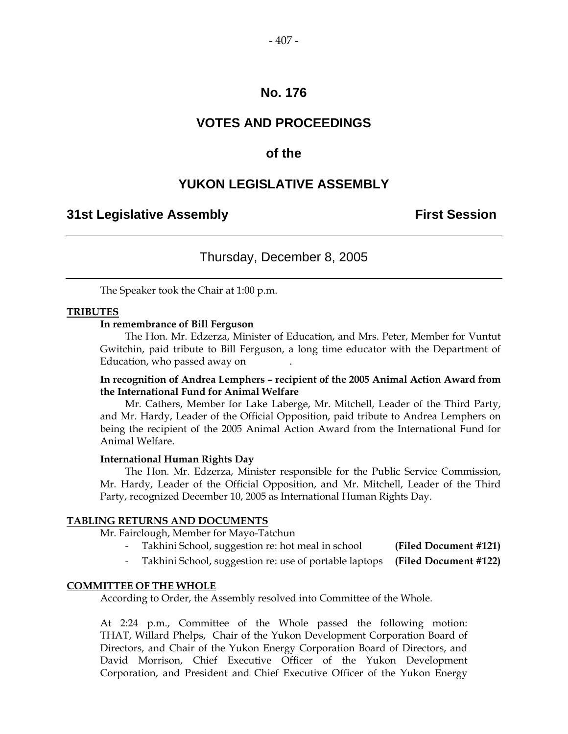### **VOTES AND PROCEEDINGS**

### **of the**

### **YUKON LEGISLATIVE ASSEMBLY**

### **31st Legislative Assembly The Contract Session**

### Thursday, December 8, 2005

The Speaker took the Chair at 1:00 p.m.

#### **TRIBUTES**

#### **In remembrance of Bill Ferguson**

 The Hon. Mr. Edzerza, Minister of Education, and Mrs. Peter, Member for Vuntut Gwitchin, paid tribute to Bill Ferguson, a long time educator with the Department of Education, who passed away on .

#### **In recognition of Andrea Lemphers – recipient of the 2005 Animal Action Award from the International Fund for Animal Welfare**

 Mr. Cathers, Member for Lake Laberge, Mr. Mitchell, Leader of the Third Party, and Mr. Hardy, Leader of the Official Opposition, paid tribute to Andrea Lemphers on being the recipient of the 2005 Animal Action Award from the International Fund for Animal Welfare.

#### **International Human Rights Day**

 The Hon. Mr. Edzerza, Minister responsible for the Public Service Commission, Mr. Hardy, Leader of the Official Opposition, and Mr. Mitchell, Leader of the Third Party, recognized December 10, 2005 as International Human Rights Day.

#### **TABLING RETURNS AND DOCUMENTS**

Mr. Fairclough, Member for Mayo-Tatchun

- Takhini School, suggestion re: hot meal in school **(Filed Document #121)**
- Takhini School, suggestion re: use of portable laptops **(Filed Document #122)**

#### **COMMITTEE OF THE WHOLE**

According to Order, the Assembly resolved into Committee of the Whole.

 At 2:24 p.m., Committee of the Whole passed the following motion: THAT, Willard Phelps, Chair of the Yukon Development Corporation Board of Directors, and Chair of the Yukon Energy Corporation Board of Directors, and David Morrison, Chief Executive Officer of the Yukon Development Corporation, and President and Chief Executive Officer of the Yukon Energy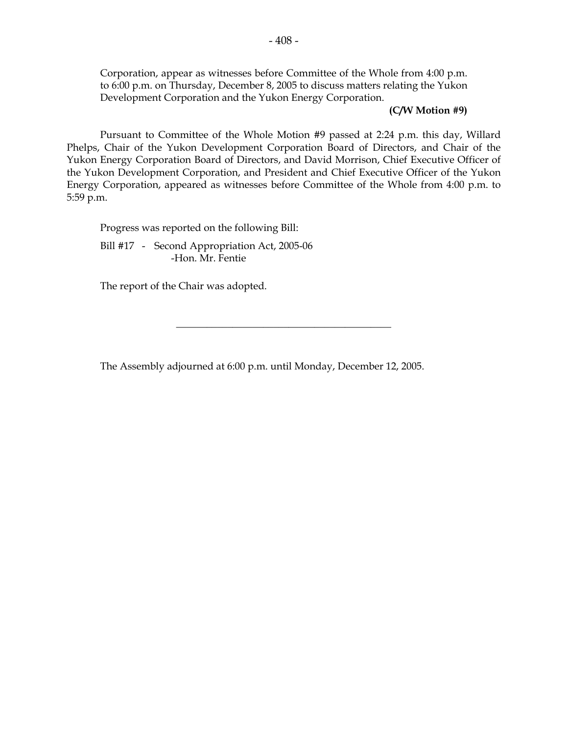Corporation, appear as witnesses before Committee of the Whole from 4:00 p.m. to 6:00 p.m. on Thursday, December 8, 2005 to discuss matters relating the Yukon Development Corporation and the Yukon Energy Corporation.

#### **(C/W Motion #9)**

 Pursuant to Committee of the Whole Motion #9 passed at 2:24 p.m. this day, Willard Phelps, Chair of the Yukon Development Corporation Board of Directors, and Chair of the Yukon Energy Corporation Board of Directors, and David Morrison, Chief Executive Officer of the Yukon Development Corporation, and President and Chief Executive Officer of the Yukon Energy Corporation, appeared as witnesses before Committee of the Whole from 4:00 p.m. to 5:59 p.m.

Progress was reported on the following Bill:

Bill #17 - Second Appropriation Act, 2005-06 -Hon. Mr. Fentie

The report of the Chair was adopted.

The Assembly adjourned at 6:00 p.m. until Monday, December 12, 2005.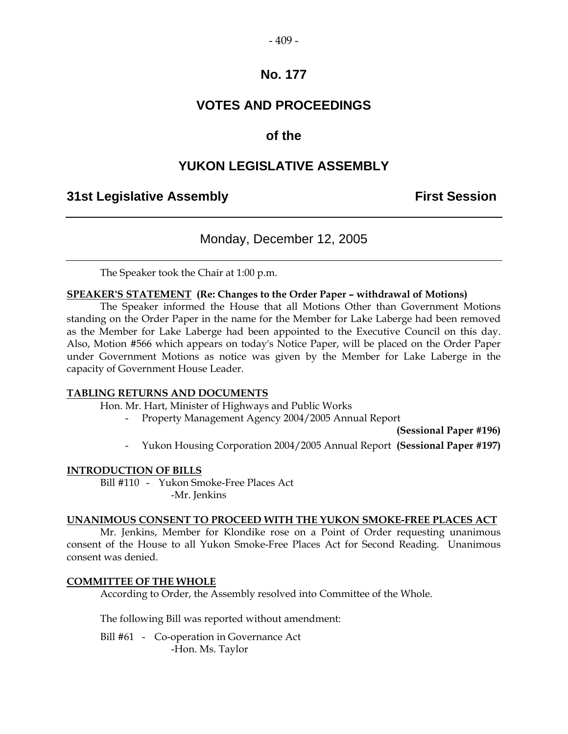#### $-409-$

### **No. 177**

### **VOTES AND PROCEEDINGS**

### **of the**

### **YUKON LEGISLATIVE ASSEMBLY**

### **31st Legislative Assembly First Session**

### Monday, December 12, 2005

The Speaker took the Chair at 1:00 p.m.

#### **SPEAKER'S STATEMENT (Re: Changes to the Order Paper – withdrawal of Motions)**

 The Speaker informed the House that all Motions Other than Government Motions standing on the Order Paper in the name for the Member for Lake Laberge had been removed as the Member for Lake Laberge had been appointed to the Executive Council on this day. Also, Motion #566 which appears on today's Notice Paper, will be placed on the Order Paper under Government Motions as notice was given by the Member for Lake Laberge in the capacity of Government House Leader.

#### **TABLING RETURNS AND DOCUMENTS**

Hon. Mr. Hart, Minister of Highways and Public Works

- Property Management Agency 2004/2005 Annual Report

**(Sessional Paper #196)** 

- Yukon Housing Corporation 2004/2005 Annual Report **(Sessional Paper #197)**

#### **INTRODUCTION OF BILLS**

 Bill #110 - Yukon Smoke-Free Places Act -Mr. Jenkins

#### **UNANIMOUS CONSENT TO PROCEED WITH THE YUKON SMOKE-FREE PLACES ACT**

 Mr. Jenkins, Member for Klondike rose on a Point of Order requesting unanimous consent of the House to all Yukon Smoke-Free Places Act for Second Reading. Unanimous consent was denied.

#### **COMMITTEE OF THE WHOLE**

According to Order, the Assembly resolved into Committee of the Whole.

The following Bill was reported without amendment:

 Bill #61 - Co-operation in Governance Act -Hon. Ms. Taylor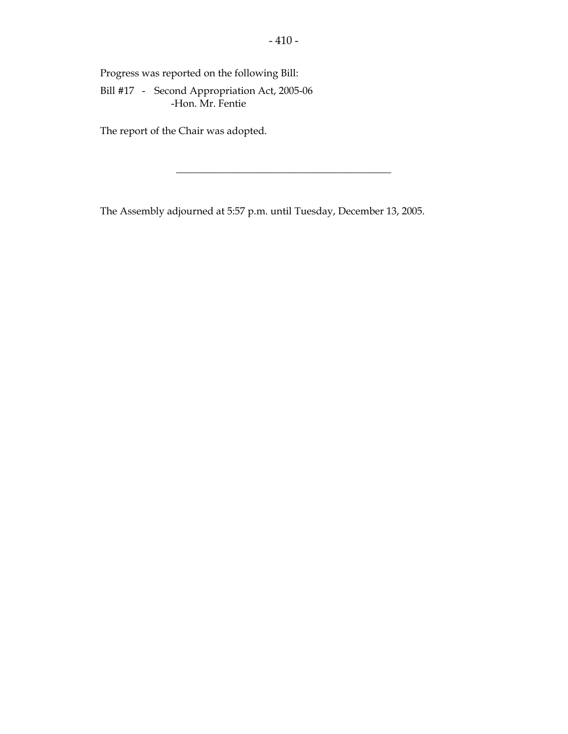Progress was reported on the following Bill:

Bill #17 - Second Appropriation Act, 2005-06 -Hon. Mr. Fentie

The report of the Chair was adopted.

The Assembly adjourned at 5:57 p.m. until Tuesday, December 13, 2005.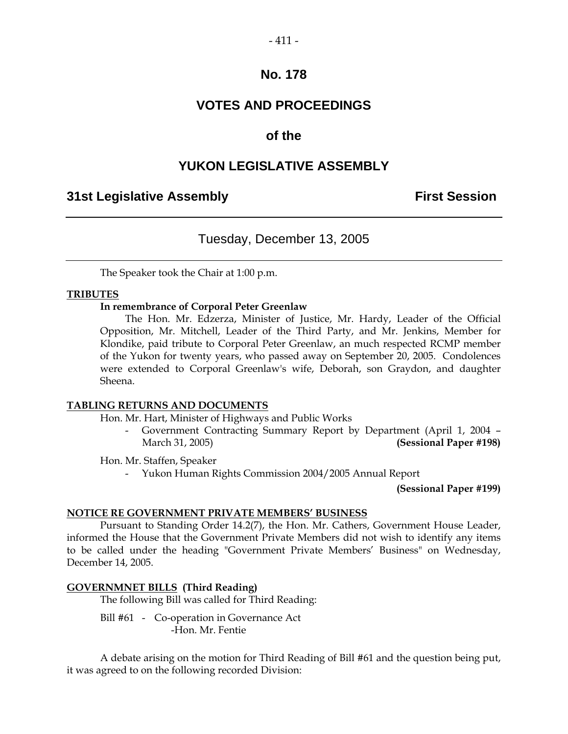#### $-411-$

### **No. 178**

### **VOTES AND PROCEEDINGS**

### **of the**

### **YUKON LEGISLATIVE ASSEMBLY**

### **31st Legislative Assembly First Session**

### Tuesday, December 13, 2005

The Speaker took the Chair at 1:00 p.m.

#### **TRIBUTES**

#### **In remembrance of Corporal Peter Greenlaw**

 The Hon. Mr. Edzerza, Minister of Justice, Mr. Hardy, Leader of the Official Opposition, Mr. Mitchell, Leader of the Third Party, and Mr. Jenkins, Member for Klondike, paid tribute to Corporal Peter Greenlaw, an much respected RCMP member of the Yukon for twenty years, who passed away on September 20, 2005. Condolences were extended to Corporal Greenlaw's wife, Deborah, son Graydon, and daughter Sheena.

#### **TABLING RETURNS AND DOCUMENTS**

Hon. Mr. Hart, Minister of Highways and Public Works

 - Government Contracting Summary Report by Department (April 1, 2004 – March 31, 2005) **(Sessional Paper #198)** 

Hon. Mr. Staffen, Speaker

- Yukon Human Rights Commission 2004/2005 Annual Report

**(Sessional Paper #199)**

#### **NOTICE RE GOVERNMENT PRIVATE MEMBERS' BUSINESS**

 Pursuant to Standing Order 14.2(7), the Hon. Mr. Cathers, Government House Leader, informed the House that the Government Private Members did not wish to identify any items to be called under the heading "Government Private Members' Business" on Wednesday, December 14, 2005.

#### **GOVERNMNET BILLS (Third Reading)**

The following Bill was called for Third Reading:

Bill #61 - Co-operation in Governance Act -Hon. Mr. Fentie

 A debate arising on the motion for Third Reading of Bill #61 and the question being put, it was agreed to on the following recorded Division: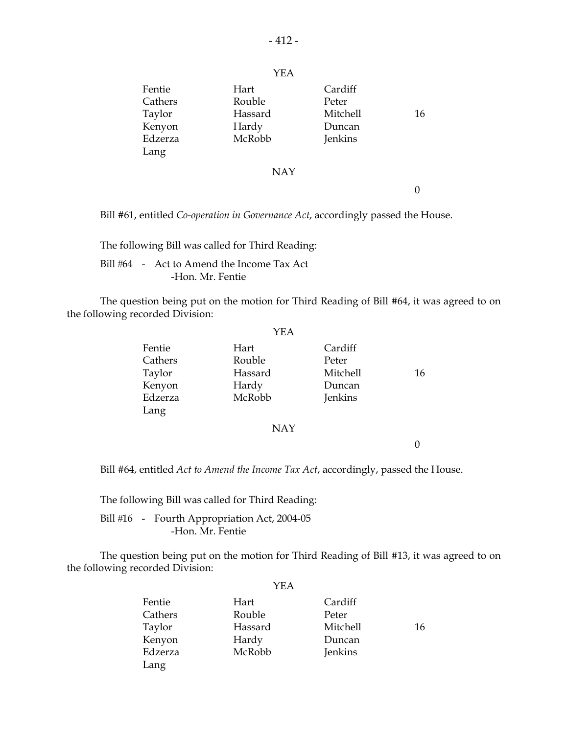| Fentie<br>Cathers | Hart<br>Rouble | Cardiff<br>Peter |    |
|-------------------|----------------|------------------|----|
| Taylor            | Hassard        | Mitchell         | 16 |
| Kenyon            | Hardy          | Duncan           |    |
| Edzerza           | McRobb         | Jenkins          |    |
| Lang              |                |                  |    |
|                   | <b>NAY</b>     |                  |    |
|                   |                |                  |    |

Bill #61, entitled *Co-operation in Governance Act*, accordingly passed the House.

The following Bill was called for Third Reading:

Bill #64 - Act to Amend the Income Tax Act -Hon. Mr. Fentie

 The question being put on the motion for Third Reading of Bill #64, it was agreed to on the following recorded Division:

|                                                          | YEA                                          |                                                   |    |
|----------------------------------------------------------|----------------------------------------------|---------------------------------------------------|----|
| Fentie<br>Cathers<br>Taylor<br>Kenyon<br>Edzerza<br>Lang | Hart<br>Rouble<br>Hassard<br>Hardy<br>McRobb | Cardiff<br>Peter<br>Mitchell<br>Duncan<br>Jenkins | 16 |
|                                                          | <b>NAY</b>                                   |                                                   |    |

0

Bill #64, entitled *Act to Amend the Income Tax Act*, accordingly, passed the House.

The following Bill was called for Third Reading:

Bill #16 - Fourth Appropriation Act, 2004-05 -Hon. Mr. Fentie

 The question being put on the motion for Third Reading of Bill #13, it was agreed to on the following recorded Division:

|         | YEA     |          |    |
|---------|---------|----------|----|
| Fentie  | Hart    | Cardiff  |    |
| Cathers | Rouble  | Peter    |    |
| Taylor  | Hassard | Mitchell | 16 |
| Kenyon  | Hardy   | Duncan   |    |
| Edzerza | McRobb  | Jenkins  |    |
| Lang    |         |          |    |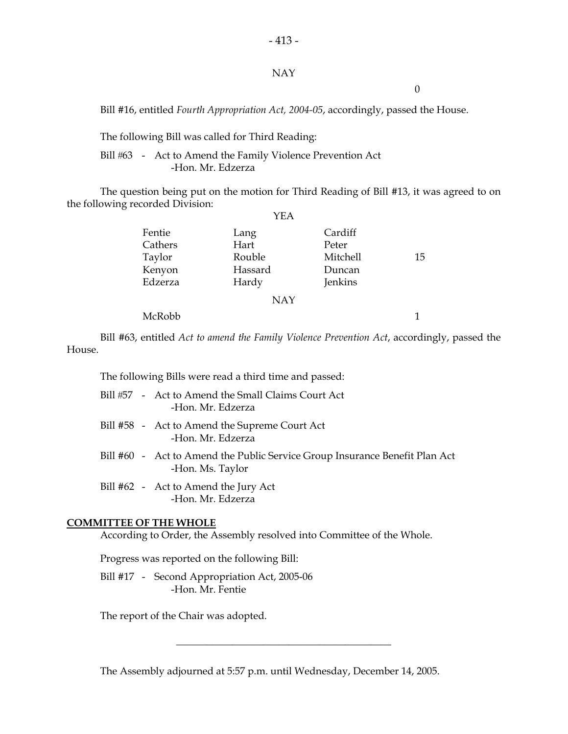#### NAY

 $-413-$ 

0

Bill #16, entitled *Fourth Appropriation Act, 2004-05*, accordingly, passed the House.

The following Bill was called for Third Reading:

Bill #63 - Act to Amend the Family Violence Prevention Act -Hon. Mr. Edzerza

 The question being put on the motion for Third Reading of Bill #13, it was agreed to on the following recorded Division:

|                                                  | YEA                                        |                                                   |    |
|--------------------------------------------------|--------------------------------------------|---------------------------------------------------|----|
| Fentie<br>Cathers<br>Taylor<br>Kenyon<br>Edzerza | Lang<br>Hart<br>Rouble<br>Hassard<br>Hardy | Cardiff<br>Peter<br>Mitchell<br>Duncan<br>Jenkins | 15 |
|                                                  | <b>NAY</b>                                 |                                                   |    |
| McRobb                                           |                                            |                                                   |    |

 Bill #63, entitled *Act to amend the Family Violence Prevention Act*, accordingly, passed the House.

The following Bills were read a third time and passed:

|  | Bill #57 - Act to Amend the Small Claims Court Act<br>-Hon. Mr. Edzerza                         |
|--|-------------------------------------------------------------------------------------------------|
|  | Bill #58 - Act to Amend the Supreme Court Act<br>-Hon. Mr. Edzerza                              |
|  | Bill #60 - Act to Amend the Public Service Group Insurance Benefit Plan Act<br>-Hon. Ms. Taylor |
|  | Bill #62 - Act to Amend the Jury Act                                                            |

ena the Jury -Hon. Mr. Edzerza

#### **COMMITTEE OF THE WHOLE**

According to Order, the Assembly resolved into Committee of the Whole.

Progress was reported on the following Bill:

 Bill #17 - Second Appropriation Act, 2005-06 -Hon. Mr. Fentie

The report of the Chair was adopted.

The Assembly adjourned at 5:57 p.m. until Wednesday, December 14, 2005.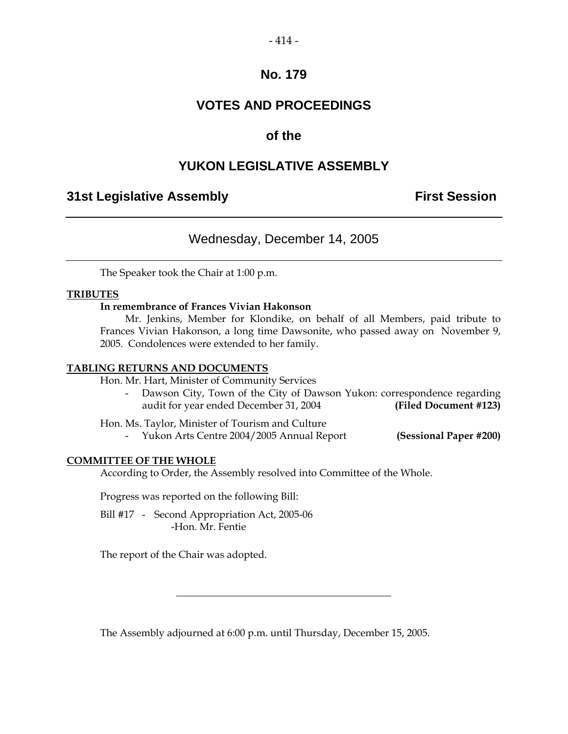#### $-414-$

### **No. 179**

## **VOTES AND PROCEEDINGS**

### **of the**

### **YUKON LEGISLATIVE ASSEMBLY**

### **31st Legislative Assembly First Session**

### Wednesday, December 14, 2005

The Speaker took the Chair at 1:00 p.m.

#### **TRIBUTES**

#### **In remembrance of Frances Vivian Hakonson**

 Mr. Jenkins, Member for Klondike, on behalf of all Members, paid tribute to Frances Vivian Hakonson, a long time Dawsonite, who passed away on November 9, 2005. Condolences were extended to her family.

#### **TABLING RETURNS AND DOCUMENTS**

Hon. Mr. Hart, Minister of Community Services

 - Dawson City, Town of the City of Dawson Yukon: correspondence regarding audit for year ended December 31, 2004 **(Filed Document #123)** 

| Hon. Ms. Taylor, Minister of Tourism and Culture |  |
|--------------------------------------------------|--|
|--------------------------------------------------|--|

- Yukon Arts Centre 2004/2005 Annual Report **(Sessional Paper #200)**

#### **COMMITTEE OF THE WHOLE**

According to Order, the Assembly resolved into Committee of the Whole.

Progress was reported on the following Bill:

Bill #17 - Second Appropriation Act, 2005-06 -Hon. Mr. Fentie

The report of the Chair was adopted.

The Assembly adjourned at 6:00 p.m. until Thursday, December 15, 2005.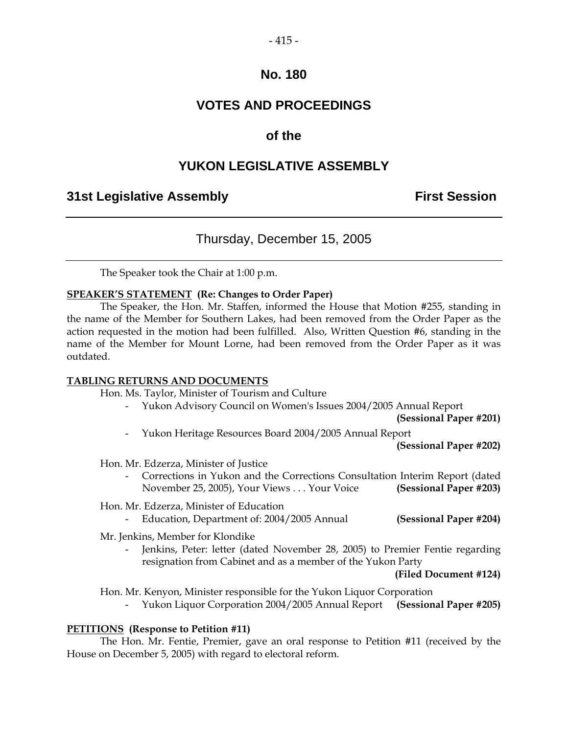### $-415-$

### **No. 180**

### **VOTES AND PROCEEDINGS**

### **of the**

### **YUKON LEGISLATIVE ASSEMBLY**

### **31st Legislative Assembly First Session**

### Thursday, December 15, 2005

The Speaker took the Chair at 1:00 p.m.

#### **SPEAKER'S STATEMENT (Re: Changes to Order Paper)**

 The Speaker, the Hon. Mr. Staffen, informed the House that Motion #255, standing in the name of the Member for Southern Lakes, had been removed from the Order Paper as the action requested in the motion had been fulfilled. Also, Written Question #6, standing in the name of the Member for Mount Lorne, had been removed from the Order Paper as it was outdated.

#### **TABLING RETURNS AND DOCUMENTS**

Hon. Ms. Taylor, Minister of Tourism and Culture

- Yukon Advisory Council on Women's Issues 2004/2005 Annual Report

**(Sessional Paper #201)** 

- Yukon Heritage Resources Board 2004/2005 Annual Report

**(Sessional Paper #202)** 

Hon. Mr. Edzerza, Minister of Justice

 - Corrections in Yukon and the Corrections Consultation Interim Report (dated November 25, 2005), Your Views . . . Your Voice **(Sessional Paper #203)** 

#### Hon. Mr. Edzerza, Minister of Education

- Education, Department of: 2004/2005 Annual **(Sessional Paper #204)** 

Mr. Jenkins, Member for Klondike

 - Jenkins, Peter: letter (dated November 28, 2005) to Premier Fentie regarding resignation from Cabinet and as a member of the Yukon Party

**(Filed Document #124)** 

Hon. Mr. Kenyon, Minister responsible for the Yukon Liquor Corporation

- Yukon Liquor Corporation 2004/2005 Annual Report **(Sessional Paper #205)**

#### **PETITIONS (Response to Petition #11)**

 The Hon. Mr. Fentie, Premier, gave an oral response to Petition #11 (received by the House on December 5, 2005) with regard to electoral reform.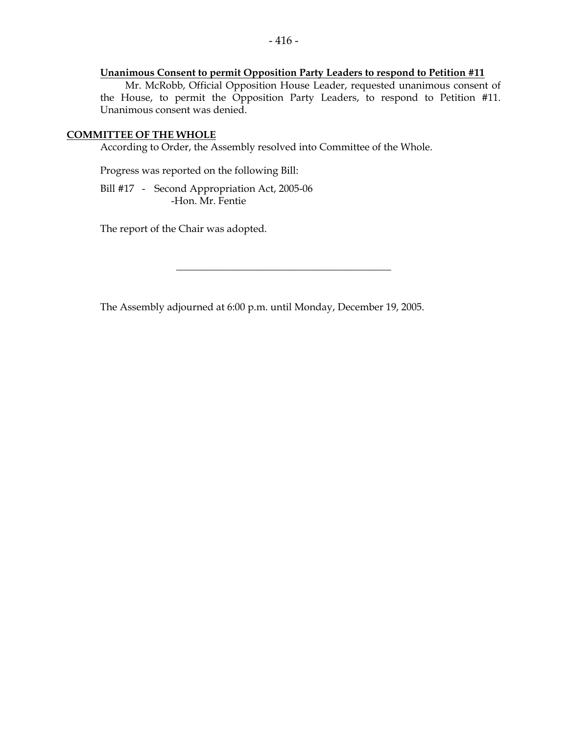### **Unanimous Consent to permit Opposition Party Leaders to respond to Petition #11**

 Mr. McRobb, Official Opposition House Leader, requested unanimous consent of the House, to permit the Opposition Party Leaders, to respond to Petition #11. Unanimous consent was denied.

#### **COMMITTEE OF THE WHOLE**

According to Order, the Assembly resolved into Committee of the Whole.

Progress was reported on the following Bill:

Bill #17 - Second Appropriation Act, 2005-06 -Hon. Mr. Fentie

The report of the Chair was adopted.

The Assembly adjourned at 6:00 p.m. until Monday, December 19, 2005.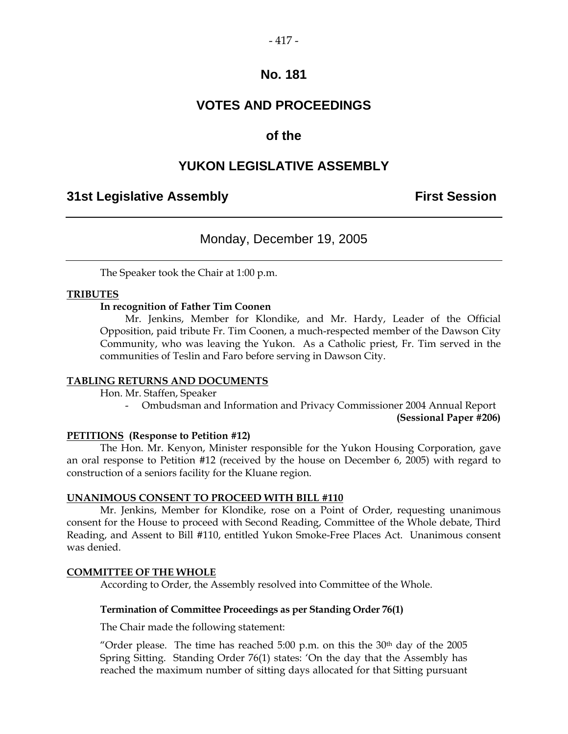### **VOTES AND PROCEEDINGS**

### **of the**

### **YUKON LEGISLATIVE ASSEMBLY**

### **31st Legislative Assembly First Session**

### Monday, December 19, 2005

The Speaker took the Chair at 1:00 p.m.

#### **TRIBUTES**

#### **In recognition of Father Tim Coonen**

 Mr. Jenkins, Member for Klondike, and Mr. Hardy, Leader of the Official Opposition, paid tribute Fr. Tim Coonen, a much-respected member of the Dawson City Community, who was leaving the Yukon. As a Catholic priest, Fr. Tim served in the communities of Teslin and Faro before serving in Dawson City.

#### **TABLING RETURNS AND DOCUMENTS**

Hon. Mr. Staffen, Speaker

- Ombudsman and Information and Privacy Commissioner 2004 Annual Report

**(Sessional Paper #206)** 

#### **PETITIONS (Response to Petition #12)**

 The Hon. Mr. Kenyon, Minister responsible for the Yukon Housing Corporation, gave an oral response to Petition #12 (received by the house on December 6, 2005) with regard to construction of a seniors facility for the Kluane region.

#### **UNANIMOUS CONSENT TO PROCEED WITH BILL #110**

 Mr. Jenkins, Member for Klondike, rose on a Point of Order, requesting unanimous consent for the House to proceed with Second Reading, Committee of the Whole debate, Third Reading, and Assent to Bill #110, entitled Yukon Smoke-Free Places Act. Unanimous consent was denied.

#### **COMMITTEE OF THE WHOLE**

According to Order, the Assembly resolved into Committee of the Whole.

#### **Termination of Committee Proceedings as per Standing Order 76(1)**

The Chair made the following statement:

"Order please. The time has reached 5:00 p.m. on this the  $30<sup>th</sup>$  day of the 2005 Spring Sitting. Standing Order 76(1) states: 'On the day that the Assembly has reached the maximum number of sitting days allocated for that Sitting pursuant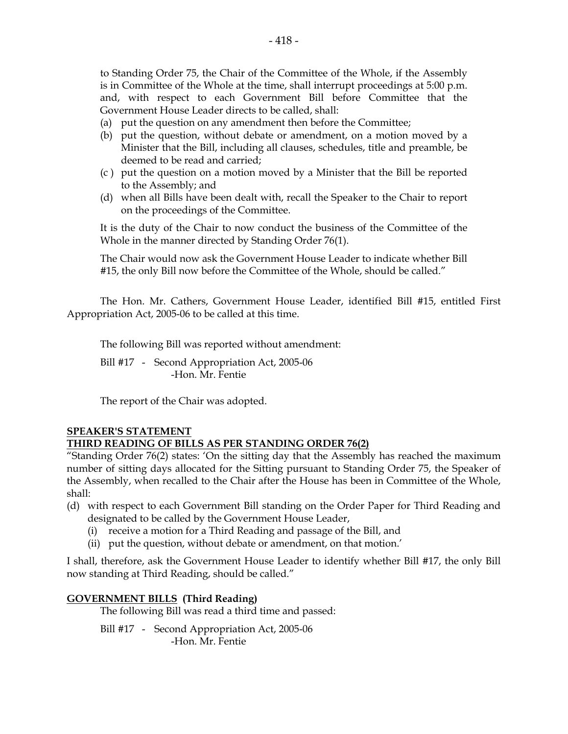to Standing Order 75, the Chair of the Committee of the Whole, if the Assembly is in Committee of the Whole at the time, shall interrupt proceedings at 5:00 p.m. and, with respect to each Government Bill before Committee that the Government House Leader directs to be called, shall:

- (a) put the question on any amendment then before the Committee;
- (b) put the question, without debate or amendment, on a motion moved by a Minister that the Bill, including all clauses, schedules, title and preamble, be deemed to be read and carried;
- (c ) put the question on a motion moved by a Minister that the Bill be reported to the Assembly; and
- (d) when all Bills have been dealt with, recall the Speaker to the Chair to report on the proceedings of the Committee.

It is the duty of the Chair to now conduct the business of the Committee of the Whole in the manner directed by Standing Order 76(1).

The Chair would now ask the Government House Leader to indicate whether Bill #15, the only Bill now before the Committee of the Whole, should be called."

The Hon. Mr. Cathers, Government House Leader, identified Bill #15, entitled First Appropriation Act, 2005-06 to be called at this time.

The following Bill was reported without amendment:

 Bill #17 - Second Appropriation Act, 2005-06 -Hon. Mr. Fentie

The report of the Chair was adopted.

#### **SPEAKER'S STATEMENT THIRD READING OF BILLS AS PER STANDING ORDER 76(2)**

"Standing Order 76(2) states: 'On the sitting day that the Assembly has reached the maximum number of sitting days allocated for the Sitting pursuant to Standing Order 75, the Speaker of the Assembly, when recalled to the Chair after the House has been in Committee of the Whole, shall:

- (d) with respect to each Government Bill standing on the Order Paper for Third Reading and designated to be called by the Government House Leader,
	- (i) receive a motion for a Third Reading and passage of the Bill, and
	- (ii) put the question, without debate or amendment, on that motion.'

I shall, therefore, ask the Government House Leader to identify whether Bill #17, the only Bill now standing at Third Reading, should be called."

#### **GOVERNMENT BILLS (Third Reading)**

The following Bill was read a third time and passed:

Bill #17 - Second Appropriation Act, 2005-06 -Hon. Mr. Fentie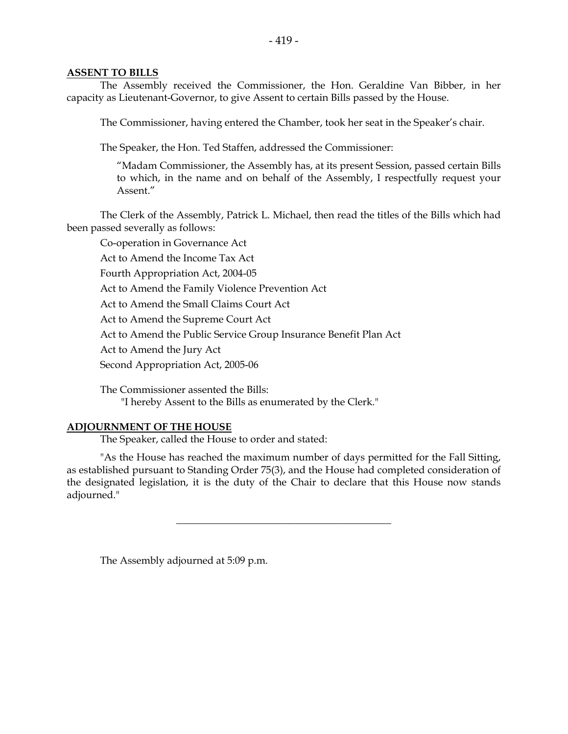#### **ASSENT TO BILLS**

 The Assembly received the Commissioner, the Hon. Geraldine Van Bibber, in her capacity as Lieutenant-Governor, to give Assent to certain Bills passed by the House.

The Commissioner, having entered the Chamber, took her seat in the Speaker's chair.

The Speaker, the Hon. Ted Staffen, addressed the Commissioner:

 "Madam Commissioner, the Assembly has, at its present Session, passed certain Bills to which, in the name and on behalf of the Assembly, I respectfully request your Assent."

 The Clerk of the Assembly, Patrick L. Michael, then read the titles of the Bills which had been passed severally as follows:

 Co-operation in Governance Act Act to Amend the Income Tax Act Fourth Appropriation Act, 2004-05 Act to Amend the Family Violence Prevention Act Act to Amend the Small Claims Court Act Act to Amend the Supreme Court Act Act to Amend the Public Service Group Insurance Benefit Plan Act Act to Amend the Jury Act Second Appropriation Act, 2005-06

 The Commissioner assented the Bills: "I hereby Assent to the Bills as enumerated by the Clerk."

#### **ADJOURNMENT OF THE HOUSE**

The Speaker, called the House to order and stated:

 "As the House has reached the maximum number of days permitted for the Fall Sitting, as established pursuant to Standing Order 75(3), and the House had completed consideration of the designated legislation, it is the duty of the Chair to declare that this House now stands adjourned."

\_\_\_\_\_\_\_\_\_\_\_\_\_\_\_\_\_\_\_\_\_\_\_\_\_\_\_\_\_\_\_\_\_\_\_\_\_\_\_\_\_\_

The Assembly adjourned at 5:09 p.m.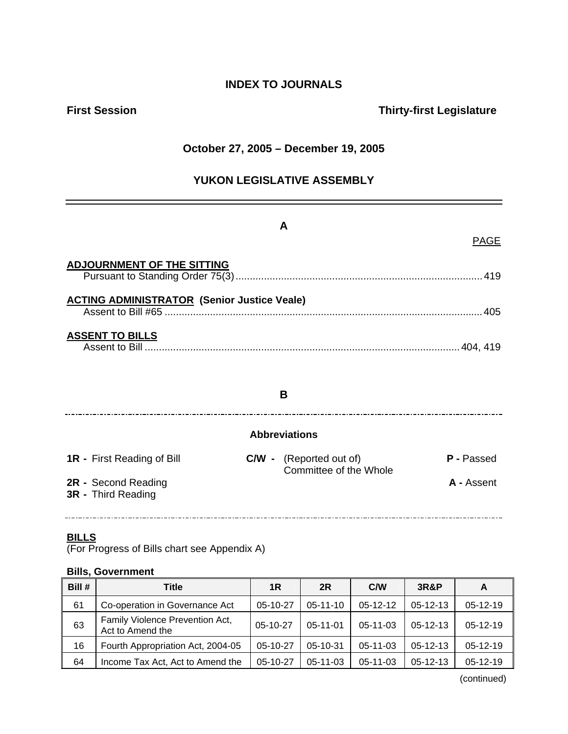### **INDEX TO JOURNALS**

### **First Session Thirty-first Legislature**

### **October 27, 2005 – December 19, 2005**

### **YUKON LEGISLATIVE ASSEMBLY**

# **A**  PAGE **ADJOURNMENT OF THE SITTING** Pursuant to Standing Order 75(3).......................................................................................419 **ACTING ADMINISTRATOR (Senior Justice Veale)**  Assent to Bill #65 ................................................................................................................405 **ASSENT TO BILLS** Assent to Bill ...............................................................................................................404, 419

### **B**

### 

### **Abbreviations**

| <b>1R</b> - First Reading of Bill                | <b>C/W</b> - (Reported out of)<br>Committee of the Whole | P - Passed |
|--------------------------------------------------|----------------------------------------------------------|------------|
| 2R - Second Reading<br><b>3R</b> - Third Reading |                                                          | A - Assent |

### **BILLS**

(For Progress of Bills chart see Appendix A)

### **Bills, Government**

| Bill # | Title                                               | 1R         | 2R             | C/W            | <b>3R&amp;P</b> | A          |
|--------|-----------------------------------------------------|------------|----------------|----------------|-----------------|------------|
| 61     | Co-operation in Governance Act                      | 05-10-27   | $05 - 11 - 10$ | $05-12-12$     | $05-12-13$      | $05-12-19$ |
| 63     | Family Violence Prevention Act,<br>Act to Amend the | $05-10-27$ | $05 - 11 - 01$ | $05-11-03$     | $05-12-13$      | $05-12-19$ |
| 16     | Fourth Appropriation Act, 2004-05                   | $05-10-27$ | 05-10-31       | $05-11-03$     | $05-12-13$      | $05-12-19$ |
| 64     | Income Tax Act, Act to Amend the                    | $05-10-27$ | 05-11-03       | $05 - 11 - 03$ | $05-12-13$      | $05-12-19$ |

(continued)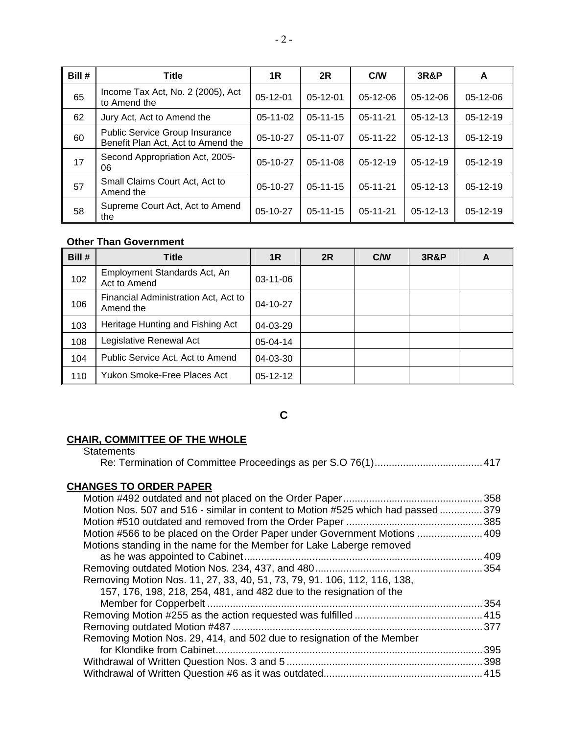| Bill # | <b>Title</b>                                                                | 1R         | 2R             | <b>C/W</b>     | <b>3R&amp;P</b> | A          |
|--------|-----------------------------------------------------------------------------|------------|----------------|----------------|-----------------|------------|
| 65     | Income Tax Act, No. 2 (2005), Act<br>to Amend the                           | $05-12-01$ | $05-12-01$     | $05-12-06$     | $05-12-06$      | $05-12-06$ |
| 62     | Jury Act, Act to Amend the                                                  | $05-11-02$ | $05 - 11 - 15$ | $05 - 11 - 21$ | $05 - 12 - 13$  | 05-12-19   |
| 60     | <b>Public Service Group Insurance</b><br>Benefit Plan Act, Act to Amend the | $05-10-27$ | $05-11-07$     | $05-11-22$     | $05-12-13$      | $05-12-19$ |
| 17     | Second Appropriation Act, 2005-<br>06                                       | $05-10-27$ | $05-11-08$     | $05-12-19$     | $05-12-19$      | $05-12-19$ |
| 57     | Small Claims Court Act, Act to<br>Amend the                                 | $05-10-27$ | $05-11-15$     | $05 - 11 - 21$ | $05-12-13$      | $05-12-19$ |
| 58     | Supreme Court Act, Act to Amend<br>the                                      | $05-10-27$ | $05 - 11 - 15$ | $05 - 11 - 21$ | $05-12-13$      | $05-12-19$ |

### **Other Than Government**

| Bill # | Title                                             | 1R             | 2R | C/W | <b>3R&amp;P</b> | A |
|--------|---------------------------------------------------|----------------|----|-----|-----------------|---|
| 102    | Employment Standards Act, An<br>Act to Amend      | $03 - 11 - 06$ |    |     |                 |   |
| 106    | Financial Administration Act, Act to<br>Amend the | $04 - 10 - 27$ |    |     |                 |   |
| 103    | Heritage Hunting and Fishing Act                  | $04 - 03 - 29$ |    |     |                 |   |
| 108    | Legislative Renewal Act                           | 05-04-14       |    |     |                 |   |
| 104    | Public Service Act, Act to Amend                  | 04-03-30       |    |     |                 |   |
| 110    | Yukon Smoke-Free Places Act                       | $05-12-12$     |    |     |                 |   |

**C** 

### **CHAIR, COMMITTEE OF THE WHOLE**

**Statements** 

|--|--|--|--|

### **CHANGES TO ORDER PAPER**

| Motion Nos. 507 and 516 - similar in content to Motion #525 which had passed 379 |  |
|----------------------------------------------------------------------------------|--|
|                                                                                  |  |
| Motion #566 to be placed on the Order Paper under Government Motions  409        |  |
| Motions standing in the name for the Member for Lake Laberge removed             |  |
|                                                                                  |  |
|                                                                                  |  |
| Removing Motion Nos. 11, 27, 33, 40, 51, 73, 79, 91. 106, 112, 116, 138,         |  |
| 157, 176, 198, 218, 254, 481, and 482 due to the resignation of the              |  |
|                                                                                  |  |
|                                                                                  |  |
|                                                                                  |  |
| Removing Motion Nos. 29, 414, and 502 due to resignation of the Member           |  |
|                                                                                  |  |
|                                                                                  |  |
|                                                                                  |  |
|                                                                                  |  |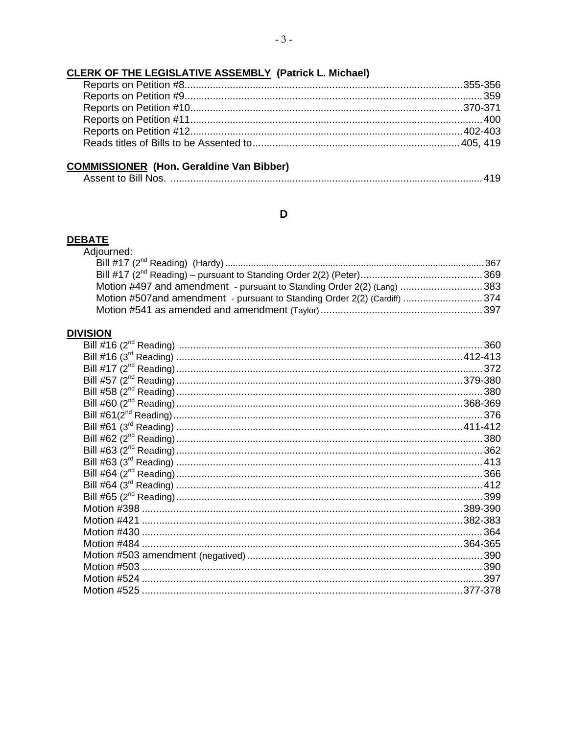### **CLERK OF THE LEGISLATIVE ASSEMBLY (Patrick L. Michael)**

### **COMMISSIONER** (Hon. Geraldine Van Bibber)

### $\mathbf D$

### **DEBATE**

| Adjourned:                                                               |  |
|--------------------------------------------------------------------------|--|
|                                                                          |  |
|                                                                          |  |
| Motion #497 and amendment - pursuant to Standing Order 2(2) (Lang) 383   |  |
| Motion #507and amendment - pursuant to Standing Order 2(2) (Cardiff) 374 |  |
|                                                                          |  |

#### **DIVISION**

| VIƏIUN |     |
|--------|-----|
|        | 360 |
|        |     |
|        | 372 |
|        |     |
|        | 380 |
|        |     |
|        |     |
|        |     |
|        |     |
|        |     |
|        |     |
|        |     |
|        |     |
|        |     |
|        |     |
|        |     |
|        |     |
|        |     |
|        |     |
|        |     |
|        |     |
|        |     |
|        |     |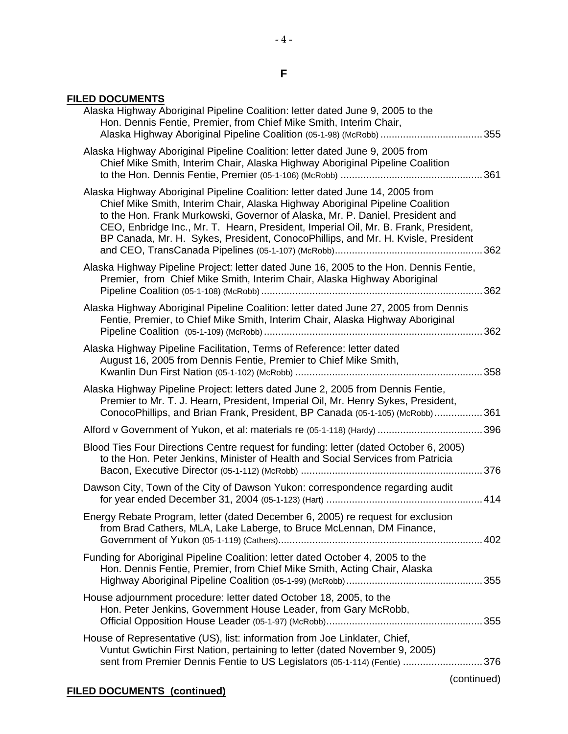#### **F**

 $-4 -$ 

### **FILED DOCUMENTS**

| Alaska Highway Aboriginal Pipeline Coalition: letter dated June 9, 2005 to the<br>Hon. Dennis Fentie, Premier, from Chief Mike Smith, Interim Chair,<br>Alaska Highway Aboriginal Pipeline Coalition (05-1-98) (McRobb) 355                                                                                                                                                                                                |
|----------------------------------------------------------------------------------------------------------------------------------------------------------------------------------------------------------------------------------------------------------------------------------------------------------------------------------------------------------------------------------------------------------------------------|
| Alaska Highway Aboriginal Pipeline Coalition: letter dated June 9, 2005 from<br>Chief Mike Smith, Interim Chair, Alaska Highway Aboriginal Pipeline Coalition                                                                                                                                                                                                                                                              |
| Alaska Highway Aboriginal Pipeline Coalition: letter dated June 14, 2005 from<br>Chief Mike Smith, Interim Chair, Alaska Highway Aboriginal Pipeline Coalition<br>to the Hon. Frank Murkowski, Governor of Alaska, Mr. P. Daniel, President and<br>CEO, Enbridge Inc., Mr. T. Hearn, President, Imperial Oil, Mr. B. Frank, President,<br>BP Canada, Mr. H. Sykes, President, ConocoPhillips, and Mr. H. Kvisle, President |
| Alaska Highway Pipeline Project: letter dated June 16, 2005 to the Hon. Dennis Fentie,<br>Premier, from Chief Mike Smith, Interim Chair, Alaska Highway Aboriginal                                                                                                                                                                                                                                                         |
| Alaska Highway Aboriginal Pipeline Coalition: letter dated June 27, 2005 from Dennis<br>Fentie, Premier, to Chief Mike Smith, Interim Chair, Alaska Highway Aboriginal                                                                                                                                                                                                                                                     |
| Alaska Highway Pipeline Facilitation, Terms of Reference: letter dated<br>August 16, 2005 from Dennis Fentie, Premier to Chief Mike Smith,                                                                                                                                                                                                                                                                                 |
| Alaska Highway Pipeline Project: letters dated June 2, 2005 from Dennis Fentie,<br>Premier to Mr. T. J. Hearn, President, Imperial Oil, Mr. Henry Sykes, President,<br>ConocoPhillips, and Brian Frank, President, BP Canada (05-1-105) (McRobb)361                                                                                                                                                                        |
|                                                                                                                                                                                                                                                                                                                                                                                                                            |
| Blood Ties Four Directions Centre request for funding: letter (dated October 6, 2005)<br>to the Hon. Peter Jenkins, Minister of Health and Social Services from Patricia                                                                                                                                                                                                                                                   |
| Dawson City, Town of the City of Dawson Yukon: correspondence regarding audit                                                                                                                                                                                                                                                                                                                                              |
| Energy Rebate Program, letter (dated December 6, 2005) re request for exclusion<br>from Brad Cathers, MLA, Lake Laberge, to Bruce McLennan, DM Finance,                                                                                                                                                                                                                                                                    |
| Funding for Aboriginal Pipeline Coalition: letter dated October 4, 2005 to the<br>Hon. Dennis Fentie, Premier, from Chief Mike Smith, Acting Chair, Alaska                                                                                                                                                                                                                                                                 |
| House adjournment procedure: letter dated October 18, 2005, to the<br>Hon. Peter Jenkins, Government House Leader, from Gary McRobb,                                                                                                                                                                                                                                                                                       |
| House of Representative (US), list: information from Joe Linklater, Chief,<br>Vuntut Gwtichin First Nation, pertaining to letter (dated November 9, 2005)                                                                                                                                                                                                                                                                  |
| sent from Premier Dennis Fentie to US Legislators (05-1-114) (Fentie) 376<br>(continued)                                                                                                                                                                                                                                                                                                                                   |
|                                                                                                                                                                                                                                                                                                                                                                                                                            |

### **FILED DOCUMENTS (continued)**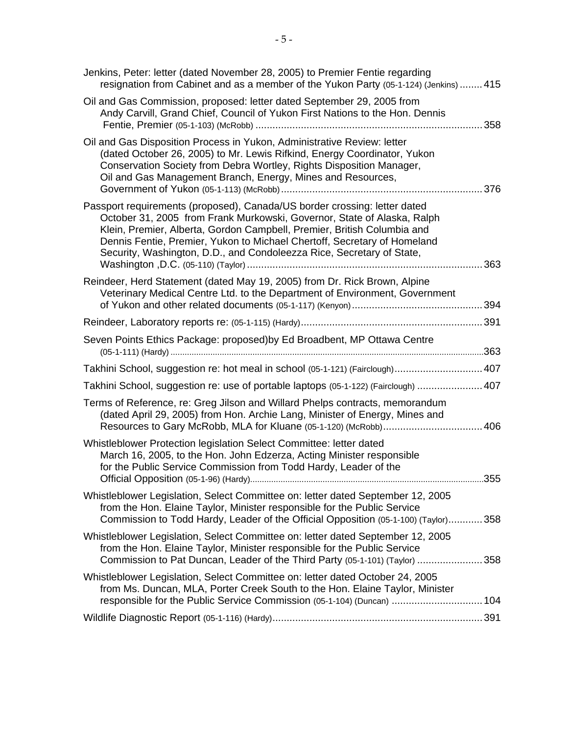| Jenkins, Peter: letter (dated November 28, 2005) to Premier Fentie regarding<br>resignation from Cabinet and as a member of the Yukon Party (05-1-124) (Jenkins)  415                                                                                                                                                                                                                |  |
|--------------------------------------------------------------------------------------------------------------------------------------------------------------------------------------------------------------------------------------------------------------------------------------------------------------------------------------------------------------------------------------|--|
| Oil and Gas Commission, proposed: letter dated September 29, 2005 from<br>Andy Carvill, Grand Chief, Council of Yukon First Nations to the Hon. Dennis                                                                                                                                                                                                                               |  |
| Oil and Gas Disposition Process in Yukon, Administrative Review: letter<br>(dated October 26, 2005) to Mr. Lewis Rifkind, Energy Coordinator, Yukon<br>Conservation Society from Debra Wortley, Rights Disposition Manager,<br>Oil and Gas Management Branch, Energy, Mines and Resources,                                                                                           |  |
| Passport requirements (proposed), Canada/US border crossing: letter dated<br>October 31, 2005 from Frank Murkowski, Governor, State of Alaska, Ralph<br>Klein, Premier, Alberta, Gordon Campbell, Premier, British Columbia and<br>Dennis Fentie, Premier, Yukon to Michael Chertoff, Secretary of Homeland<br>Security, Washington, D.D., and Condoleezza Rice, Secretary of State, |  |
| Reindeer, Herd Statement (dated May 19, 2005) from Dr. Rick Brown, Alpine<br>Veterinary Medical Centre Ltd. to the Department of Environment, Government                                                                                                                                                                                                                             |  |
|                                                                                                                                                                                                                                                                                                                                                                                      |  |
| Seven Points Ethics Package: proposed) by Ed Broadbent, MP Ottawa Centre                                                                                                                                                                                                                                                                                                             |  |
| Takhini School, suggestion re: hot meal in school (05-1-121) (Fairclough) 407                                                                                                                                                                                                                                                                                                        |  |
| Takhini School, suggestion re: use of portable laptops (05-1-122) (Fairclough)  407                                                                                                                                                                                                                                                                                                  |  |
| Terms of Reference, re: Greg Jilson and Willard Phelps contracts, memorandum<br>(dated April 29, 2005) from Hon. Archie Lang, Minister of Energy, Mines and                                                                                                                                                                                                                          |  |
| Whistleblower Protection legislation Select Committee: letter dated<br>March 16, 2005, to the Hon. John Edzerza, Acting Minister responsible<br>for the Public Service Commission from Todd Hardy, Leader of the                                                                                                                                                                     |  |
| Whistleblower Legislation, Select Committee on: letter dated September 12, 2005<br>from the Hon. Elaine Taylor, Minister responsible for the Public Service<br>Commission to Todd Hardy, Leader of the Official Opposition (05-1-100) (Taylor)358                                                                                                                                    |  |
| Whistleblower Legislation, Select Committee on: letter dated September 12, 2005<br>from the Hon. Elaine Taylor, Minister responsible for the Public Service<br>Commission to Pat Duncan, Leader of the Third Party (05-1-101) (Taylor) 358                                                                                                                                           |  |
| Whistleblower Legislation, Select Committee on: letter dated October 24, 2005<br>from Ms. Duncan, MLA, Porter Creek South to the Hon. Elaine Taylor, Minister<br>responsible for the Public Service Commission (05-1-104) (Duncan)  104                                                                                                                                              |  |
|                                                                                                                                                                                                                                                                                                                                                                                      |  |
|                                                                                                                                                                                                                                                                                                                                                                                      |  |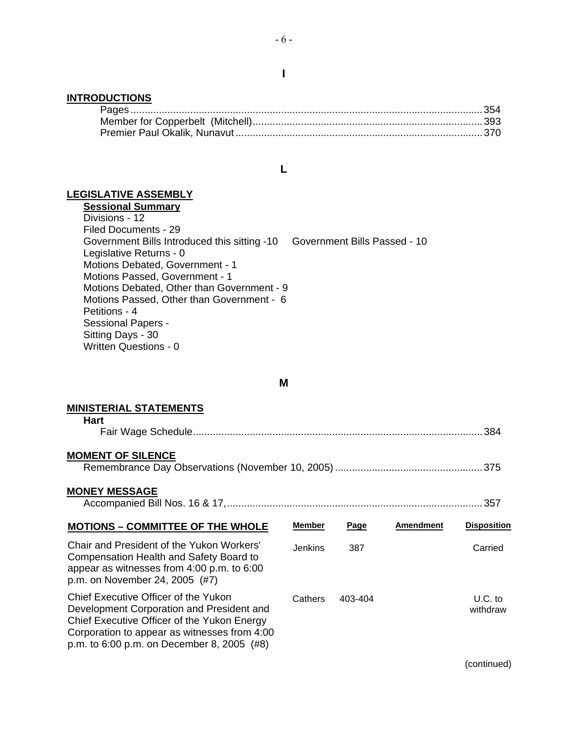#### **INTRODUCTIONS**

#### **L**

### **LEGISLATIVE ASSEMBLY**

**Sessional Summary** Divisions - 12 Filed Documents - 29 Government Bills Introduced this sitting -10 Government Bills Passed - 10 Legislative Returns - 0 Motions Debated, Government - 1 Motions Passed, Government - 1 Motions Debated, Other than Government - 9 Motions Passed, Other than Government - 6 Petitions - 4 Sessional Papers - Sitting Days - 30 Written Questions - 0

#### **M**

# **MINISTERIAL STATEMENTS**

Corporation to appear as witnesses from 4:00 p.m. to 6:00 p.m. on December 8, 2005 (#8)

| <b>MINISTERIAL STATEMENTS</b>                                                                                                                                        |               |         |                  |                       |
|----------------------------------------------------------------------------------------------------------------------------------------------------------------------|---------------|---------|------------------|-----------------------|
| <b>Hart</b>                                                                                                                                                          |               |         |                  |                       |
| <b>MOMENT OF SILENCE</b>                                                                                                                                             |               |         |                  |                       |
| <b>MONEY MESSAGE</b><br>. 357                                                                                                                                        |               |         |                  |                       |
| <b>MOTIONS - COMMITTEE OF THE WHOLE</b>                                                                                                                              | <b>Member</b> | Page    | <b>Amendment</b> | <b>Disposition</b>    |
| Chair and President of the Yukon Workers'<br>Compensation Health and Safety Board to<br>appear as witnesses from 4:00 p.m. to 6:00<br>p.m. on November 24, 2005 (#7) | Jenkins       | 387     |                  | Carried               |
| Chief Executive Officer of the Yukon<br>Development Corporation and President and<br>Chief Executive Officer of the Yukon Energy                                     | Cathers       | 403-404 |                  | $U.C.$ to<br>withdraw |

(continued)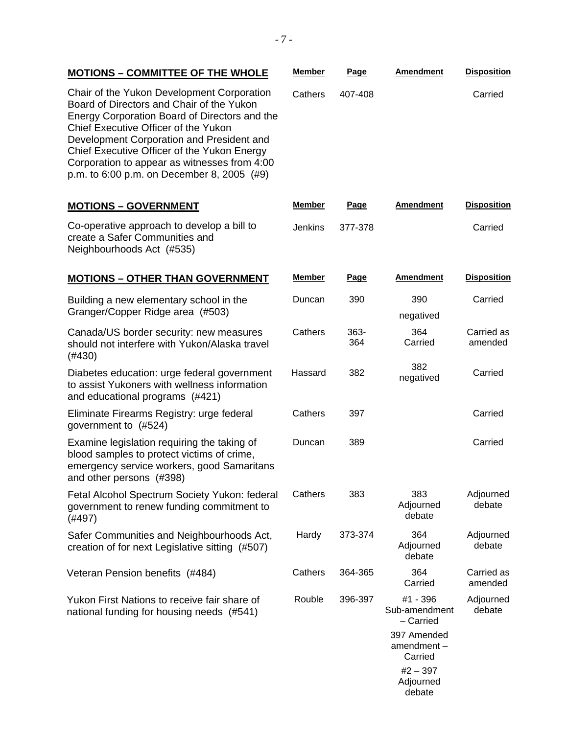## **MOTIONS – COMMITTEE OF THE WHOLE Member Page Amendment Disposition**

Chair of the Yukon Development Corporation Board of Directors and Chair of the Yukon Energy Corporation Board of Directors and the Chief Executive Officer of the Yukon Development Corporation and President and Chief Executive Officer of the Yukon Energy Corporation to appear as witnesses from 4:00 p.m. to 6:00 p.m. on December 8, 2005 (#9)

## **MOTIONS – GOVERNMENT Member Page Amendment Disposition**

Co-operative approach to develop a bill to create a Safer Communities and Neighbourhoods Act (#535)

#### **MOTIONS – OTHER THAN GOVERNMENT Member Page Amendment Disposition**

| Building a new elementary school in the<br>Granger/Copper Ridge area (#503)                                                                                         | Duncan  | 390         | 390<br>negatived                       | Carried               |
|---------------------------------------------------------------------------------------------------------------------------------------------------------------------|---------|-------------|----------------------------------------|-----------------------|
| Canada/US border security: new measures<br>should not interfere with Yukon/Alaska travel<br>(#430)                                                                  | Cathers | 363-<br>364 | 364<br>Carried                         | Carried as<br>amended |
| Diabetes education: urge federal government<br>to assist Yukoners with wellness information<br>and educational programs (#421)                                      | Hassard | 382         | 382<br>negatived                       | Carried               |
| Eliminate Firearms Registry: urge federal<br>government to (#524)                                                                                                   | Cathers | 397         |                                        | Carried               |
| Examine legislation requiring the taking of<br>blood samples to protect victims of crime,<br>emergency service workers, good Samaritans<br>and other persons (#398) | Duncan  | 389         |                                        | Carried               |
| Fetal Alcohol Spectrum Society Yukon: federal<br>government to renew funding commitment to<br>(#497)                                                                | Cathers | 383         | 383<br>Adjourned<br>debate             | Adjourned<br>debate   |
| Safer Communities and Neighbourhoods Act,<br>creation of for next Legislative sitting (#507)                                                                        | Hardy   | 373-374     | 364<br>Adjourned<br>debate             | Adjourned<br>debate   |
| Veteran Pension benefits (#484)                                                                                                                                     | Cathers | 364-365     | 364<br>Carried                         | Carried as<br>amended |
| Yukon First Nations to receive fair share of<br>national funding for housing needs (#541)                                                                           | Rouble  | 396-397     | #1 - 396<br>Sub-amendment<br>- Carried | Adjourned<br>debate   |
|                                                                                                                                                                     |         |             | 397 Amended<br>amendment-<br>Carried   |                       |
|                                                                                                                                                                     |         |             | $#2 - 397$                             |                       |

Cathers 407-408 Carried

| ı uyv           | мнонинон | ווטונטשוט |
|-----------------|----------|-----------|
| Jenkins 377-378 |          | Carried   |
|                 |          |           |

Adjourned debate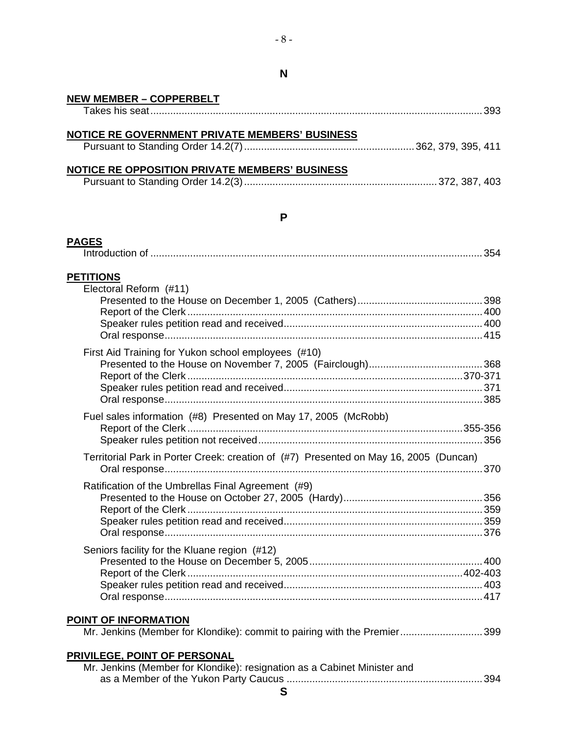#### **NEW MEMBER – COPPERBELT** Takes his seat.....................................................................................................................393

| NOTICE RE GOVERNMENT PRIVATE MEMBERS' BUSINESS |  |
|------------------------------------------------|--|
|                                                |  |

#### **NOTICE RE OPPOSITION PRIVATE MEMBERS' BUSINESS**

|--|--|--|

#### **P**

## **PAGES** Introduction of .....................................................................................................................354 **PETITIONS** Electoral Reform (#11) Presented to the House on December 1, 2005 (Cathers)............................................398 Report of the Clerk ........................................................................................................400 Speaker rules petition read and received......................................................................400 Oral response................................................................................................................415 First Aid Training for Yukon school employees (#10) Presented to the House on November 7, 2005 (Fairclough)........................................368 Report of the Clerk .................................................................................................370-371 Speaker rules petition read and received......................................................................371 Oral response................................................................................................................385 Fuel sales information (#8) Presented on May 17, 2005 (McRobb) Report of the Clerk .................................................................................................355-356 Speaker rules petition not received...............................................................................356 Territorial Park in Porter Creek: creation of (#7) Presented on May 16, 2005 (Duncan) Oral response................................................................................................................370 Ratification of the Umbrellas Final Agreement (#9) Presented to the House on October 27, 2005 (Hardy).................................................356 Report of the Clerk ........................................................................................................359 Speaker rules petition read and received......................................................................359 Oral response................................................................................................................376 Seniors facility for the Kluane region (#12) Presented to the House on December 5, 2005.............................................................400 Report of the Clerk .................................................................................................402-403 Speaker rules petition read and received......................................................................403 Oral response................................................................................................................417 **POINT OF INFORMATION** Mr. Jenkins (Member for Klondike): commit to pairing with the Premier.............................399 **PRIVILEGE, POINT OF PERSONAL** Mr. Jenkins (Member for Klondike): resignation as a Cabinet Minister and as a Member of the Yukon Party Caucus .....................................................................394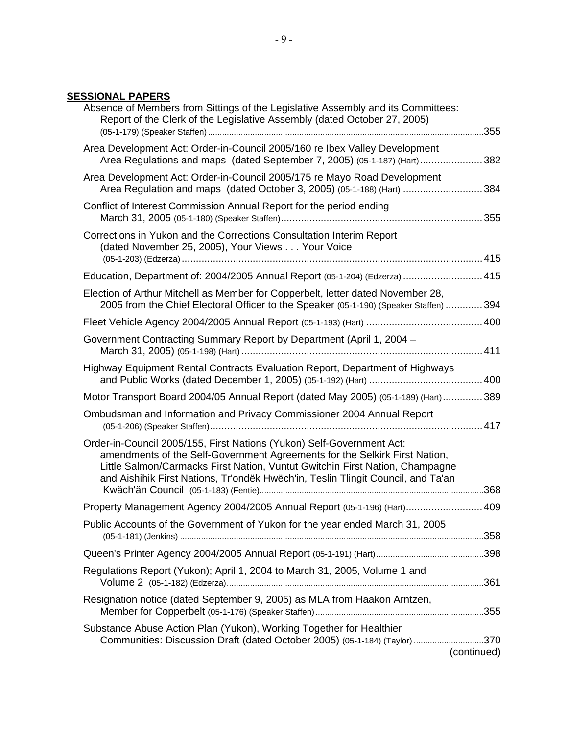## **SESSIONAL PAPERS**

| Absence of Members from Sittings of the Legislative Assembly and its Committees:<br>Report of the Clerk of the Legislative Assembly (dated October 27, 2005)                                                                                                                                                            |  |
|-------------------------------------------------------------------------------------------------------------------------------------------------------------------------------------------------------------------------------------------------------------------------------------------------------------------------|--|
| Area Development Act: Order-in-Council 2005/160 re Ibex Valley Development<br>Area Regulations and maps (dated September 7, 2005) (05-1-187) (Hart) 382                                                                                                                                                                 |  |
| Area Development Act: Order-in-Council 2005/175 re Mayo Road Development<br>Area Regulation and maps (dated October 3, 2005) (05-1-188) (Hart) 384                                                                                                                                                                      |  |
| Conflict of Interest Commission Annual Report for the period ending                                                                                                                                                                                                                                                     |  |
| Corrections in Yukon and the Corrections Consultation Interim Report<br>(dated November 25, 2005), Your Views Your Voice                                                                                                                                                                                                |  |
| Education, Department of: 2004/2005 Annual Report (05-1-204) (Edzerza)  415                                                                                                                                                                                                                                             |  |
| Election of Arthur Mitchell as Member for Copperbelt, letter dated November 28,<br>2005 from the Chief Electoral Officer to the Speaker (05-1-190) (Speaker Staffen)  394                                                                                                                                               |  |
|                                                                                                                                                                                                                                                                                                                         |  |
| Government Contracting Summary Report by Department (April 1, 2004 –                                                                                                                                                                                                                                                    |  |
| Highway Equipment Rental Contracts Evaluation Report, Department of Highways                                                                                                                                                                                                                                            |  |
| Motor Transport Board 2004/05 Annual Report (dated May 2005) (05-1-189) (Hart)389                                                                                                                                                                                                                                       |  |
| Ombudsman and Information and Privacy Commissioner 2004 Annual Report                                                                                                                                                                                                                                                   |  |
| Order-in-Council 2005/155, First Nations (Yukon) Self-Government Act:<br>amendments of the Self-Government Agreements for the Selkirk First Nation,<br>Little Salmon/Carmacks First Nation, Vuntut Gwitchin First Nation, Champagne<br>and Aishihik First Nations, Tr'ondëk Hwëch'in, Teslin Tlingit Council, and Ta'an |  |
| Property Management Agency 2004/2005 Annual Report (05-1-196) (Hart) 409                                                                                                                                                                                                                                                |  |
| Public Accounts of the Government of Yukon for the year ended March 31, 2005                                                                                                                                                                                                                                            |  |
|                                                                                                                                                                                                                                                                                                                         |  |
|                                                                                                                                                                                                                                                                                                                         |  |
| Regulations Report (Yukon); April 1, 2004 to March 31, 2005, Volume 1 and                                                                                                                                                                                                                                               |  |
| Resignation notice (dated September 9, 2005) as MLA from Haakon Arntzen,                                                                                                                                                                                                                                                |  |
| Substance Abuse Action Plan (Yukon), Working Together for Healthier                                                                                                                                                                                                                                                     |  |
| Communities: Discussion Draft (dated October 2005) (05-1-184) (Taylor) 370<br>(continued)                                                                                                                                                                                                                               |  |
|                                                                                                                                                                                                                                                                                                                         |  |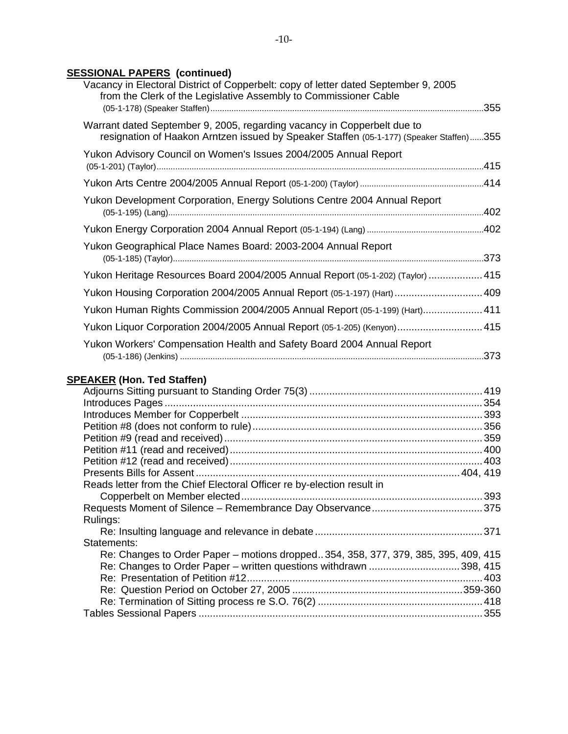## **SESSIONAL PAPERS (continued)**

| Vacancy in Electoral District of Copperbelt: copy of letter dated September 9, 2005<br>from the Clerk of the Legislative Assembly to Commissioner Cable            |  |
|--------------------------------------------------------------------------------------------------------------------------------------------------------------------|--|
| Warrant dated September 9, 2005, regarding vacancy in Copperbelt due to<br>resignation of Haakon Arntzen issued by Speaker Staffen (05-1-177) (Speaker Staffen)355 |  |
| Yukon Advisory Council on Women's Issues 2004/2005 Annual Report                                                                                                   |  |
|                                                                                                                                                                    |  |
| Yukon Development Corporation, Energy Solutions Centre 2004 Annual Report                                                                                          |  |
|                                                                                                                                                                    |  |
| Yukon Geographical Place Names Board: 2003-2004 Annual Report                                                                                                      |  |
| Yukon Heritage Resources Board 2004/2005 Annual Report (05-1-202) (Taylor)  415                                                                                    |  |
| Yukon Housing Corporation 2004/2005 Annual Report (05-1-197) (Hart)  409                                                                                           |  |
| Yukon Human Rights Commission 2004/2005 Annual Report (05-1-199) (Hart) 411                                                                                        |  |
| Yukon Liquor Corporation 2004/2005 Annual Report (05-1-205) (Kenyon) 415                                                                                           |  |
| Yukon Workers' Compensation Health and Safety Board 2004 Annual Report                                                                                             |  |
| <b>SPEAKER (Hon. Ted Staffen)</b>                                                                                                                                  |  |
|                                                                                                                                                                    |  |
|                                                                                                                                                                    |  |
|                                                                                                                                                                    |  |
|                                                                                                                                                                    |  |
|                                                                                                                                                                    |  |
|                                                                                                                                                                    |  |
|                                                                                                                                                                    |  |
| Reads letter from the Chief Electoral Officer re by-election result in                                                                                             |  |
|                                                                                                                                                                    |  |
| Rulings:                                                                                                                                                           |  |

| Statements:                                                                        |  |
|------------------------------------------------------------------------------------|--|
| Re: Changes to Order Paper – motions dropped354, 358, 377, 379, 385, 395, 409, 415 |  |
|                                                                                    |  |
|                                                                                    |  |
|                                                                                    |  |
|                                                                                    |  |
|                                                                                    |  |
|                                                                                    |  |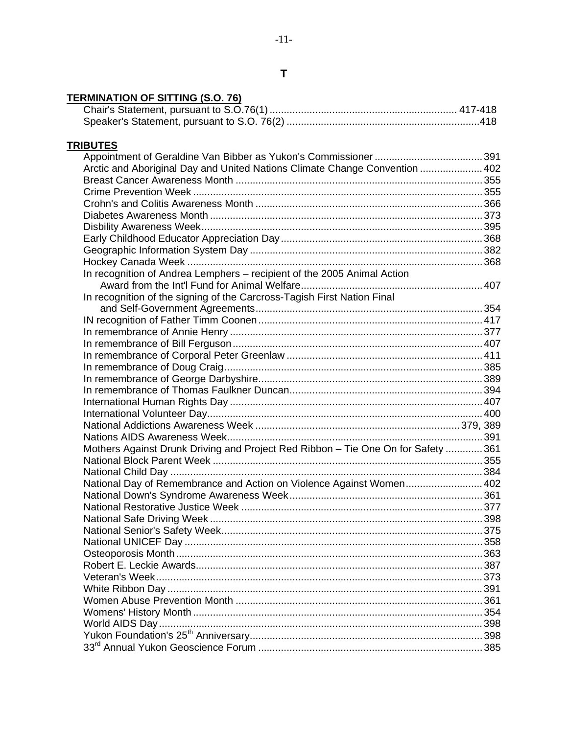# **TERMINATION OF SITTING (S.O. 76)**

# **TRIBUTES**

| Arctic and Aboriginal Day and United Nations Climate Change Convention  402       |  |
|-----------------------------------------------------------------------------------|--|
|                                                                                   |  |
|                                                                                   |  |
|                                                                                   |  |
|                                                                                   |  |
|                                                                                   |  |
|                                                                                   |  |
|                                                                                   |  |
|                                                                                   |  |
| In recognition of Andrea Lemphers - recipient of the 2005 Animal Action           |  |
|                                                                                   |  |
| In recognition of the signing of the Carcross-Tagish First Nation Final           |  |
|                                                                                   |  |
|                                                                                   |  |
|                                                                                   |  |
|                                                                                   |  |
|                                                                                   |  |
|                                                                                   |  |
|                                                                                   |  |
|                                                                                   |  |
|                                                                                   |  |
|                                                                                   |  |
|                                                                                   |  |
|                                                                                   |  |
| Mothers Against Drunk Driving and Project Red Ribbon - Tie One On for Safety  361 |  |
|                                                                                   |  |
|                                                                                   |  |
| National Day of Remembrance and Action on Violence Against Women 402              |  |
|                                                                                   |  |
|                                                                                   |  |
|                                                                                   |  |
|                                                                                   |  |
|                                                                                   |  |
|                                                                                   |  |
|                                                                                   |  |
|                                                                                   |  |
|                                                                                   |  |
|                                                                                   |  |
|                                                                                   |  |
|                                                                                   |  |
|                                                                                   |  |
|                                                                                   |  |
|                                                                                   |  |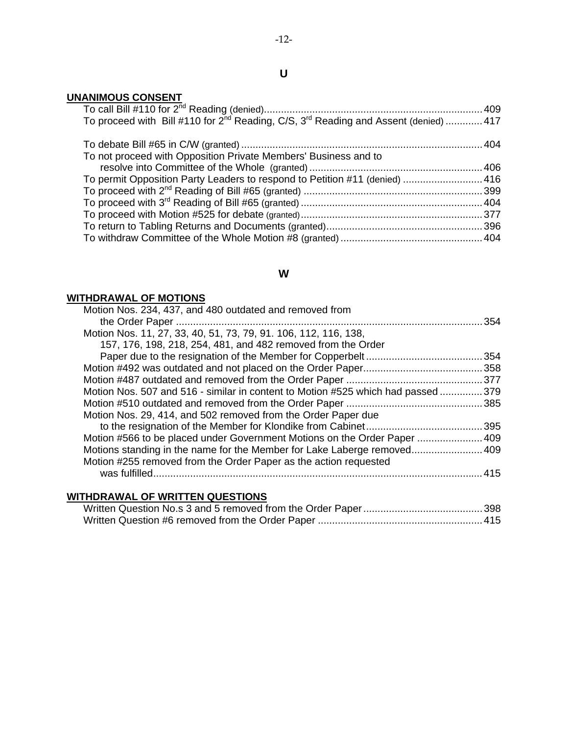## **UNANIMOUS CONSENT**

| To proceed with Bill #110 for 2 <sup>nd</sup> Reading, C/S, 3 <sup>rd</sup> Reading and Assent (denied)  417 |  |
|--------------------------------------------------------------------------------------------------------------|--|
|                                                                                                              |  |
|                                                                                                              |  |
| To not proceed with Opposition Private Members' Business and to                                              |  |
|                                                                                                              |  |
| To permit Opposition Party Leaders to respond to Petition #11 (denied)  416                                  |  |
|                                                                                                              |  |
|                                                                                                              |  |
|                                                                                                              |  |
|                                                                                                              |  |
|                                                                                                              |  |
|                                                                                                              |  |

# **W**

# **WITHDRAWAL OF MOTIONS**

| Motion Nos. 234, 437, and 480 outdated and removed from                         |      |
|---------------------------------------------------------------------------------|------|
|                                                                                 | .354 |
| Motion Nos. 11, 27, 33, 40, 51, 73, 79, 91, 106, 112, 116, 138,                 |      |
| 157, 176, 198, 218, 254, 481, and 482 removed from the Order                    |      |
|                                                                                 | .354 |
|                                                                                 |      |
|                                                                                 |      |
| Motion Nos. 507 and 516 - similar in content to Motion #525 which had passed379 |      |
|                                                                                 |      |
| Motion Nos. 29, 414, and 502 removed from the Order Paper due                   |      |
|                                                                                 |      |
| Motion #566 to be placed under Government Motions on the Order Paper  409       |      |
| Motions standing in the name for the Member for Lake Laberge removed 409        |      |
| Motion #255 removed from the Order Paper as the action requested                |      |
| was fulfilled                                                                   | 415  |
|                                                                                 |      |

## **WITHDRAWAL OF WRITTEN QUESTIONS**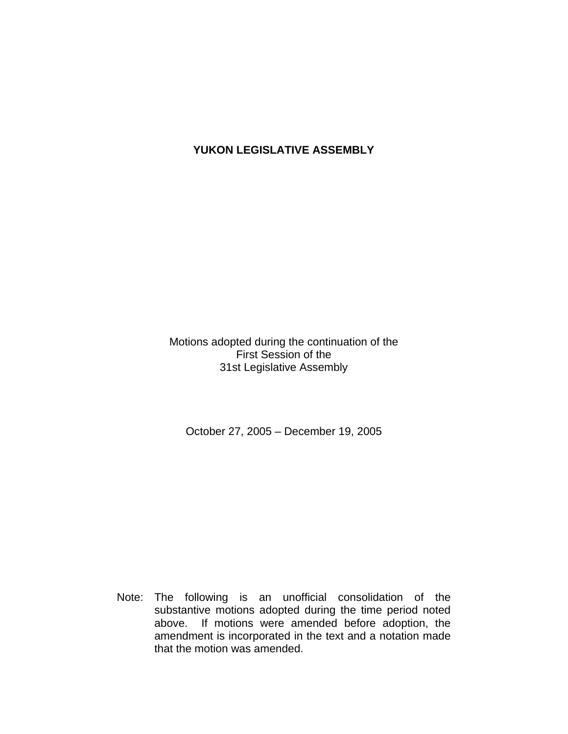# **YUKON LEGISLATIVE ASSEMBLY**

Motions adopted during the continuation of the First Session of the 31st Legislative Assembly

October 27, 2005 – December 19, 2005

 Note: The following is an unofficial consolidation of the substantive motions adopted during the time period noted above. If motions were amended before adoption, the amendment is incorporated in the text and a notation made that the motion was amended.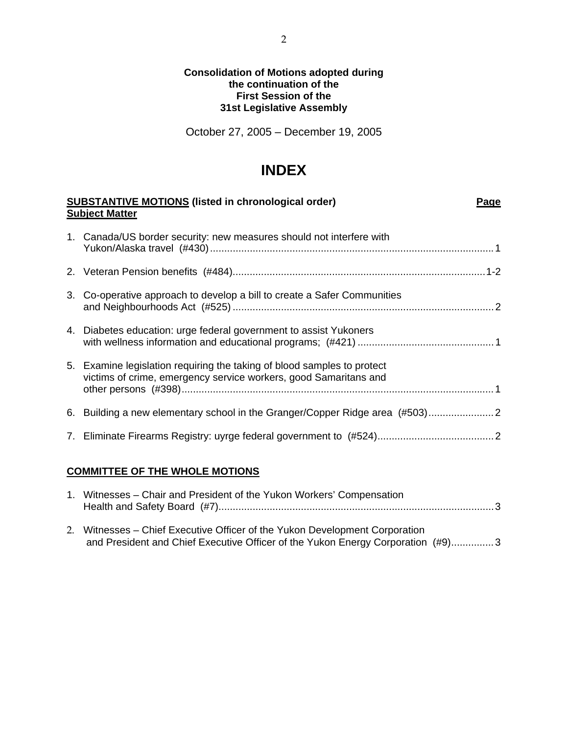#### **Consolidation of Motions adopted during the continuation of the First Session of the 31st Legislative Assembly**

October 27, 2005 – December 19, 2005

# **INDEX**

| <b>SUBSTANTIVE MOTIONS (listed in chronological order)</b><br>Page<br><b>Subject Matter</b>                                                 |  |  |
|---------------------------------------------------------------------------------------------------------------------------------------------|--|--|
| 1. Canada/US border security: new measures should not interfere with                                                                        |  |  |
|                                                                                                                                             |  |  |
| 3. Co-operative approach to develop a bill to create a Safer Communities                                                                    |  |  |
| 4. Diabetes education: urge federal government to assist Yukoners                                                                           |  |  |
| 5. Examine legislation requiring the taking of blood samples to protect<br>victims of crime, emergency service workers, good Samaritans and |  |  |
| 6. Building a new elementary school in the Granger/Copper Ridge area (#503) 2                                                               |  |  |
|                                                                                                                                             |  |  |
|                                                                                                                                             |  |  |

# **COMMITTEE OF THE WHOLE MOTIONS**

| 1. Witnesses – Chair and President of the Yukon Workers' Compensation                                                                                          |  |
|----------------------------------------------------------------------------------------------------------------------------------------------------------------|--|
| 2. Witnesses – Chief Executive Officer of the Yukon Development Corporation<br>and President and Chief Executive Officer of the Yukon Energy Corporation (#9)3 |  |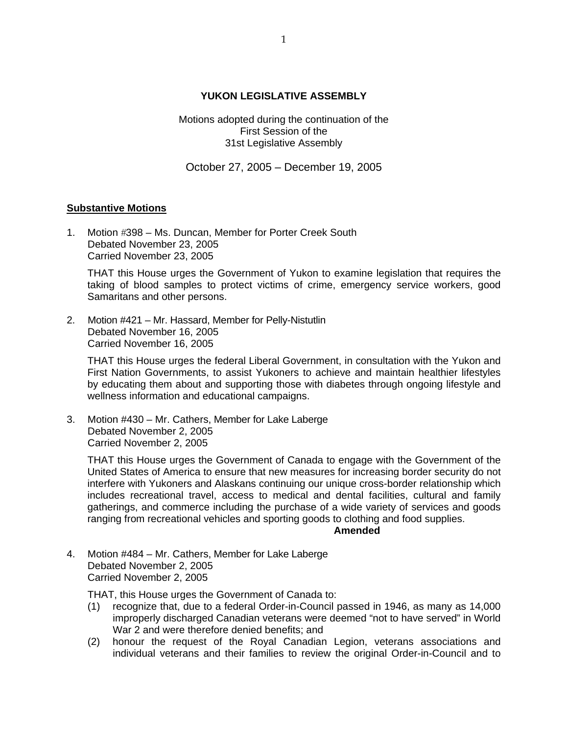#### **YUKON LEGISLATIVE ASSEMBLY**

Motions adopted during the continuation of the First Session of the 31st Legislative Assembly

October 27, 2005 – December 19, 2005

#### **Substantive Motions**

1. Motion #398 – Ms. Duncan, Member for Porter Creek South Debated November 23, 2005 Carried November 23, 2005

 THAT this House urges the Government of Yukon to examine legislation that requires the taking of blood samples to protect victims of crime, emergency service workers, good Samaritans and other persons.

2. Motion #421 – Mr. Hassard, Member for Pelly-Nistutlin Debated November 16, 2005 Carried November 16, 2005

 THAT this House urges the federal Liberal Government, in consultation with the Yukon and First Nation Governments, to assist Yukoners to achieve and maintain healthier lifestyles by educating them about and supporting those with diabetes through ongoing lifestyle and wellness information and educational campaigns.

3. Motion #430 – Mr. Cathers, Member for Lake Laberge Debated November 2, 2005 Carried November 2, 2005

 THAT this House urges the Government of Canada to engage with the Government of the United States of America to ensure that new measures for increasing border security do not interfere with Yukoners and Alaskans continuing our unique cross-border relationship which includes recreational travel, access to medical and dental facilities, cultural and family gatherings, and commerce including the purchase of a wide variety of services and goods ranging from recreational vehicles and sporting goods to clothing and food supplies.

#### **Amended**

4. Motion #484 – Mr. Cathers, Member for Lake Laberge Debated November 2, 2005 Carried November 2, 2005

THAT, this House urges the Government of Canada to:

- (1) recognize that, due to a federal Order-in-Council passed in 1946, as many as 14,000 improperly discharged Canadian veterans were deemed "not to have served" in World War 2 and were therefore denied benefits; and
- (2) honour the request of the Royal Canadian Legion, veterans associations and individual veterans and their families to review the original Order-in-Council and to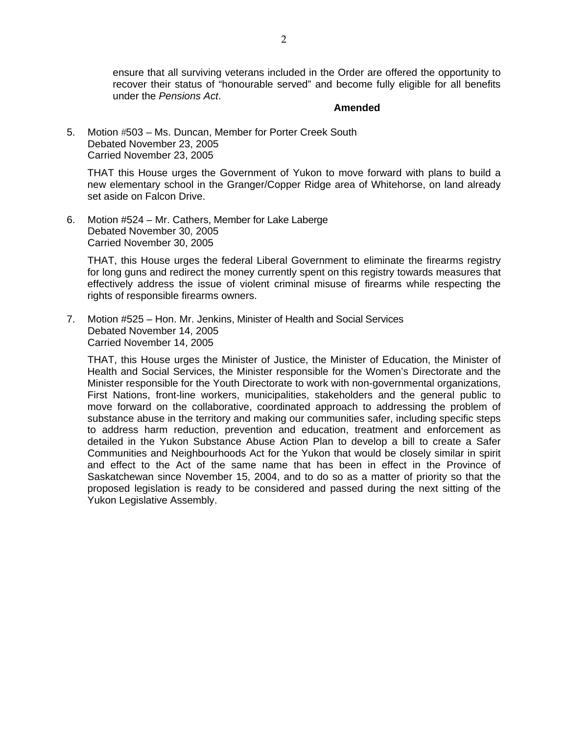ensure that all surviving veterans included in the Order are offered the opportunity to recover their status of "honourable served" and become fully eligible for all benefits under the *Pensions Act*.

#### **Amended**

5. Motion #503 – Ms. Duncan, Member for Porter Creek South Debated November 23, 2005 Carried November 23, 2005

 THAT this House urges the Government of Yukon to move forward with plans to build a new elementary school in the Granger/Copper Ridge area of Whitehorse, on land already set aside on Falcon Drive.

6. Motion #524 – Mr. Cathers, Member for Lake Laberge Debated November 30, 2005 Carried November 30, 2005

 THAT, this House urges the federal Liberal Government to eliminate the firearms registry for long guns and redirect the money currently spent on this registry towards measures that effectively address the issue of violent criminal misuse of firearms while respecting the rights of responsible firearms owners.

7. Motion #525 – Hon. Mr. Jenkins, Minister of Health and Social Services Debated November 14, 2005 Carried November 14, 2005

 THAT, this House urges the Minister of Justice, the Minister of Education, the Minister of Health and Social Services, the Minister responsible for the Women's Directorate and the Minister responsible for the Youth Directorate to work with non-governmental organizations, First Nations, front-line workers, municipalities, stakeholders and the general public to move forward on the collaborative, coordinated approach to addressing the problem of substance abuse in the territory and making our communities safer, including specific steps to address harm reduction, prevention and education, treatment and enforcement as detailed in the Yukon Substance Abuse Action Plan to develop a bill to create a Safer Communities and Neighbourhoods Act for the Yukon that would be closely similar in spirit and effect to the Act of the same name that has been in effect in the Province of Saskatchewan since November 15, 2004, and to do so as a matter of priority so that the proposed legislation is ready to be considered and passed during the next sitting of the Yukon Legislative Assembly.